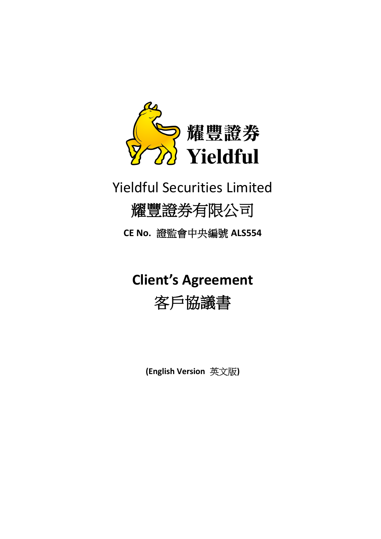

# Yieldful Securities Limited

# 耀豐證券有限公司

**CE No.** 證監會中央編號 **ALS554**

# **Client's Agreement**

客戶協議書

**(English Version** 英文版**)**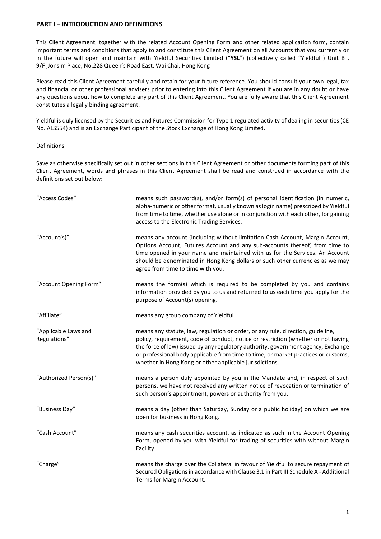## **PART I – INTRODUCTION AND DEFINITIONS**

This Client Agreement, together with the related Account Opening Form and other related application form, contain important terms and conditions that apply to and constitute this Client Agreement on all Accounts that you currently or in the future will open and maintain with Yieldful Securities Limited ("**YSL**") (collectively called "Yieldful") Unit B , 9/F ,Jonsim Place, No.228 Queen's Road East, Wai Chai, Hong Kong

Please read this Client Agreement carefully and retain for your future reference. You should consult your own legal, tax and financial or other professional advisers prior to entering into this Client Agreement if you are in any doubt or have any questions about how to complete any part of this Client Agreement. You are fully aware that this Client Agreement constitutes a legally binding agreement.

Yieldful is duly licensed by the Securities and Futures Commission for Type 1 regulated activity of dealing in securities (CE No. ALS554) and is an Exchange Participant of the Stock Exchange of Hong Kong Limited.

Definitions

Save as otherwise specifically set out in other sections in this Client Agreement or other documents forming part of this Client Agreement, words and phrases in this Client Agreement shall be read and construed in accordance with the definitions set out below:

| "Access Codes"                       | means such password(s), and/or form(s) of personal identification (in numeric,<br>alpha-numeric or other format, usually known as login name) prescribed by Yieldful<br>from time to time, whether use alone or in conjunction with each other, for gaining<br>access to the Electronic Trading Services.                                                                                                   |
|--------------------------------------|-------------------------------------------------------------------------------------------------------------------------------------------------------------------------------------------------------------------------------------------------------------------------------------------------------------------------------------------------------------------------------------------------------------|
| "Account(s)"                         | means any account (including without limitation Cash Account, Margin Account,<br>Options Account, Futures Account and any sub-accounts thereof) from time to<br>time opened in your name and maintained with us for the Services. An Account<br>should be denominated in Hong Kong dollars or such other currencies as we may<br>agree from time to time with you.                                          |
| "Account Opening Form"               | means the form(s) which is required to be completed by you and contains<br>information provided by you to us and returned to us each time you apply for the<br>purpose of Account(s) opening.                                                                                                                                                                                                               |
| "Affiliate"                          | means any group company of Yieldful.                                                                                                                                                                                                                                                                                                                                                                        |
| "Applicable Laws and<br>Regulations" | means any statute, law, regulation or order, or any rule, direction, guideline,<br>policy, requirement, code of conduct, notice or restriction (whether or not having<br>the force of law) issued by any regulatory authority, government agency, Exchange<br>or professional body applicable from time to time, or market practices or customs,<br>whether in Hong Kong or other applicable jurisdictions. |
| "Authorized Person(s)"               | means a person duly appointed by you in the Mandate and, in respect of such<br>persons, we have not received any written notice of revocation or termination of<br>such person's appointment, powers or authority from you.                                                                                                                                                                                 |
| "Business Day"                       | means a day (other than Saturday, Sunday or a public holiday) on which we are<br>open for business in Hong Kong.                                                                                                                                                                                                                                                                                            |
| "Cash Account"                       | means any cash securities account, as indicated as such in the Account Opening<br>Form, opened by you with Yieldful for trading of securities with without Margin<br>Facility.                                                                                                                                                                                                                              |
| "Charge"                             | means the charge over the Collateral in favour of Yieldful to secure repayment of<br>Secured Obligations in accordance with Clause 3.1 in Part III Schedule A - Additional<br>Terms for Margin Account.                                                                                                                                                                                                     |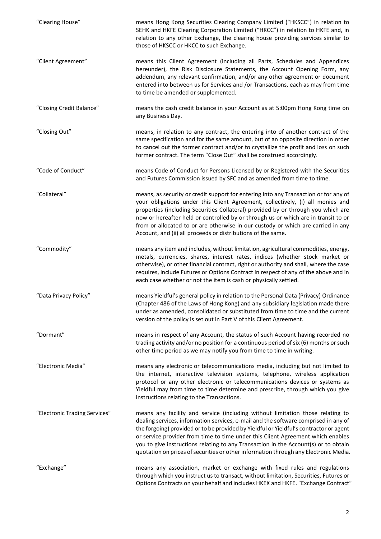| "Clearing House"              | means Hong Kong Securities Clearing Company Limited ("HKSCC") in relation to<br>SEHK and HKFE Clearing Corporation Limited ("HKCC") in relation to HKFE and, in<br>relation to any other Exchange, the clearing house providing services similar to<br>those of HKSCC or HKCC to such Exchange.                                                                                                                                                                                                                                   |
|-------------------------------|-----------------------------------------------------------------------------------------------------------------------------------------------------------------------------------------------------------------------------------------------------------------------------------------------------------------------------------------------------------------------------------------------------------------------------------------------------------------------------------------------------------------------------------|
| "Client Agreement"            | means this Client Agreement (including all Parts, Schedules and Appendices<br>hereunder), the Risk Disclosure Statements, the Account Opening Form, any<br>addendum, any relevant confirmation, and/or any other agreement or document<br>entered into between us for Services and /or Transactions, each as may from time<br>to time be amended or supplemented.                                                                                                                                                                 |
| "Closing Credit Balance"      | means the cash credit balance in your Account as at 5:00pm Hong Kong time on<br>any Business Day.                                                                                                                                                                                                                                                                                                                                                                                                                                 |
| "Closing Out"                 | means, in relation to any contract, the entering into of another contract of the<br>same specification and for the same amount, but of an opposite direction in order<br>to cancel out the former contract and/or to crystallize the profit and loss on such<br>former contract. The term "Close Out" shall be construed accordingly.                                                                                                                                                                                             |
| "Code of Conduct"             | means Code of Conduct for Persons Licensed by or Registered with the Securities<br>and Futures Commission issued by SFC and as amended from time to time.                                                                                                                                                                                                                                                                                                                                                                         |
| "Collateral"                  | means, as security or credit support for entering into any Transaction or for any of<br>your obligations under this Client Agreement, collectively, (i) all monies and<br>properties (including Securities Collateral) provided by or through you which are<br>now or hereafter held or controlled by or through us or which are in transit to or<br>from or allocated to or are otherwise in our custody or which are carried in any<br>Account, and (ii) all proceeds or distributions of the same.                             |
| "Commodity"                   | means any item and includes, without limitation, agricultural commodities, energy,<br>metals, currencies, shares, interest rates, indices (whether stock market or<br>otherwise), or other financial contract, right or authority and shall, where the case<br>requires, include Futures or Options Contract in respect of any of the above and in<br>each case whether or not the item is cash or physically settled.                                                                                                            |
| "Data Privacy Policy"         | means Yieldful's general policy in relation to the Personal Data (Privacy) Ordinance<br>(Chapter 486 of the Laws of Hong Kong) and any subsidiary legislation made there<br>under as amended, consolidated or substituted from time to time and the current<br>version of the policy is set out in Part V of this Client Agreement.                                                                                                                                                                                               |
| "Dormant"                     | means in respect of any Account, the status of such Account having recorded no<br>trading activity and/or no position for a continuous period of six (6) months or such<br>other time period as we may notify you from time to time in writing.                                                                                                                                                                                                                                                                                   |
| "Electronic Media"            | means any electronic or telecommunications media, including but not limited to<br>the internet, interactive television systems, telephone, wireless application<br>protocol or any other electronic or telecommunications devices or systems as<br>Yieldful may from time to time determine and prescribe, through which you give<br>instructions relating to the Transactions.                                                                                                                                                   |
| "Electronic Trading Services" | means any facility and service (including without limitation those relating to<br>dealing services, information services, e-mail and the software comprised in any of<br>the forgoing) provided or to be provided by Yieldful or Yieldful's contractor or agent<br>or service provider from time to time under this Client Agreement which enables<br>you to give instructions relating to any Transaction in the Account(s) or to obtain<br>quotation on prices of securities or other information through any Electronic Media. |
| "Exchange"                    | means any association, market or exchange with fixed rules and regulations<br>through which you instruct us to transact, without limitation, Securities, Futures or<br>Options Contracts on your behalf and includes HKEX and HKFE. "Exchange Contract"                                                                                                                                                                                                                                                                           |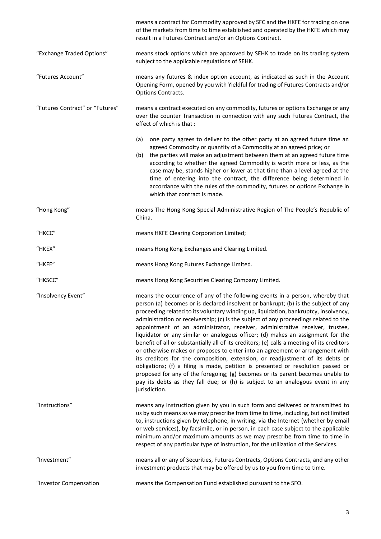|                                 | means a contract for Commodity approved by SFC and the HKFE for trading on one<br>of the markets from time to time established and operated by the HKFE which may<br>result in a Futures Contract and/or an Options Contract.                                                                                                                                                                                                                                                                                                                                                                                                                                                                                                                                                                                                                                                                                                                                                                                                                                   |
|---------------------------------|-----------------------------------------------------------------------------------------------------------------------------------------------------------------------------------------------------------------------------------------------------------------------------------------------------------------------------------------------------------------------------------------------------------------------------------------------------------------------------------------------------------------------------------------------------------------------------------------------------------------------------------------------------------------------------------------------------------------------------------------------------------------------------------------------------------------------------------------------------------------------------------------------------------------------------------------------------------------------------------------------------------------------------------------------------------------|
| "Exchange Traded Options"       | means stock options which are approved by SEHK to trade on its trading system<br>subject to the applicable regulations of SEHK.                                                                                                                                                                                                                                                                                                                                                                                                                                                                                                                                                                                                                                                                                                                                                                                                                                                                                                                                 |
| "Futures Account"               | means any futures & index option account, as indicated as such in the Account<br>Opening Form, opened by you with Yieldful for trading of Futures Contracts and/or<br>Options Contracts.                                                                                                                                                                                                                                                                                                                                                                                                                                                                                                                                                                                                                                                                                                                                                                                                                                                                        |
| "Futures Contract" or "Futures" | means a contract executed on any commodity, futures or options Exchange or any<br>over the counter Transaction in connection with any such Futures Contract, the<br>effect of which is that :                                                                                                                                                                                                                                                                                                                                                                                                                                                                                                                                                                                                                                                                                                                                                                                                                                                                   |
|                                 | one party agrees to deliver to the other party at an agreed future time an<br>(a)<br>agreed Commodity or quantity of a Commodity at an agreed price; or<br>the parties will make an adjustment between them at an agreed future time<br>(b)<br>according to whether the agreed Commodity is worth more or less, as the<br>case may be, stands higher or lower at that time than a level agreed at the<br>time of entering into the contract, the difference being determined in<br>accordance with the rules of the commodity, futures or options Exchange in<br>which that contract is made.                                                                                                                                                                                                                                                                                                                                                                                                                                                                   |
| "Hong Kong"                     | means The Hong Kong Special Administrative Region of The People's Republic of<br>China.                                                                                                                                                                                                                                                                                                                                                                                                                                                                                                                                                                                                                                                                                                                                                                                                                                                                                                                                                                         |
| "HKCC"                          | means HKFE Clearing Corporation Limited;                                                                                                                                                                                                                                                                                                                                                                                                                                                                                                                                                                                                                                                                                                                                                                                                                                                                                                                                                                                                                        |
| "HKEX"                          | means Hong Kong Exchanges and Clearing Limited.                                                                                                                                                                                                                                                                                                                                                                                                                                                                                                                                                                                                                                                                                                                                                                                                                                                                                                                                                                                                                 |
| "HKFE"                          | means Hong Kong Futures Exchange Limited.                                                                                                                                                                                                                                                                                                                                                                                                                                                                                                                                                                                                                                                                                                                                                                                                                                                                                                                                                                                                                       |
| "HKSCC"                         | means Hong Kong Securities Clearing Company Limited.                                                                                                                                                                                                                                                                                                                                                                                                                                                                                                                                                                                                                                                                                                                                                                                                                                                                                                                                                                                                            |
| "Insolvency Event"              | means the occurrence of any of the following events in a person, whereby that<br>person (a) becomes or is declared insolvent or bankrupt; (b) is the subject of any<br>proceeding related to its voluntary winding up, liquidation, bankruptcy, insolvency,<br>administration or receivership; (c) is the subject of any proceedings related to the<br>appointment of an administrator, receiver, administrative receiver, trustee,<br>liquidator or any similar or analogous officer; (d) makes an assignment for the<br>benefit of all or substantially all of its creditors; (e) calls a meeting of its creditors<br>or otherwise makes or proposes to enter into an agreement or arrangement with<br>its creditors for the composition, extension, or readjustment of its debts or<br>obligations; (f) a filing is made, petition is presented or resolution passed or<br>proposed for any of the foregoing; (g) becomes or its parent becomes unable to<br>pay its debts as they fall due; or (h) is subject to an analogous event in any<br>jurisdiction. |
| "Instructions"                  | means any instruction given by you in such form and delivered or transmitted to<br>us by such means as we may prescribe from time to time, including, but not limited<br>to, instructions given by telephone, in writing, via the Internet (whether by email<br>or web services), by facsimile, or in person, in each case subject to the applicable<br>minimum and/or maximum amounts as we may prescribe from time to time in<br>respect of any particular type of instruction, for the utilization of the Services.                                                                                                                                                                                                                                                                                                                                                                                                                                                                                                                                          |
| "Investment"                    | means all or any of Securities, Futures Contracts, Options Contracts, and any other<br>investment products that may be offered by us to you from time to time.                                                                                                                                                                                                                                                                                                                                                                                                                                                                                                                                                                                                                                                                                                                                                                                                                                                                                                  |
| "Investor Compensation          | means the Compensation Fund established pursuant to the SFO.                                                                                                                                                                                                                                                                                                                                                                                                                                                                                                                                                                                                                                                                                                                                                                                                                                                                                                                                                                                                    |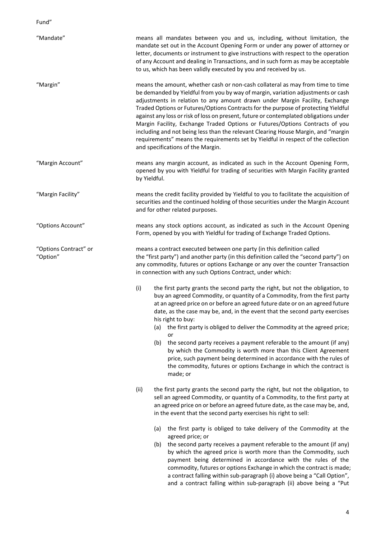Fund"

| "Mandate"                         | means all mandates between you and us, including, without limitation, the                                                                                                                                                                                                                                                                                                                                                                                                                                                                                                                                                                                                                                                       |
|-----------------------------------|---------------------------------------------------------------------------------------------------------------------------------------------------------------------------------------------------------------------------------------------------------------------------------------------------------------------------------------------------------------------------------------------------------------------------------------------------------------------------------------------------------------------------------------------------------------------------------------------------------------------------------------------------------------------------------------------------------------------------------|
|                                   | mandate set out in the Account Opening Form or under any power of attorney or<br>letter, documents or instrument to give instructions with respect to the operation<br>of any Account and dealing in Transactions, and in such form as may be acceptable<br>to us, which has been validly executed by you and received by us.                                                                                                                                                                                                                                                                                                                                                                                                   |
| "Margin"                          | means the amount, whether cash or non-cash collateral as may from time to time<br>be demanded by Yieldful from you by way of margin, variation adjustments or cash<br>adjustments in relation to any amount drawn under Margin Facility, Exchange<br>Traded Options or Futures/Options Contracts for the purpose of protecting Yieldful<br>against any loss or risk of loss on present, future or contemplated obligations under<br>Margin Facility, Exchange Traded Options or Futures/Options Contracts of you<br>including and not being less than the relevant Clearing House Margin, and "margin<br>requirements" means the requirements set by Yieldful in respect of the collection<br>and specifications of the Margin. |
| "Margin Account"                  | means any margin account, as indicated as such in the Account Opening Form,<br>opened by you with Yieldful for trading of securities with Margin Facility granted<br>by Yieldful.                                                                                                                                                                                                                                                                                                                                                                                                                                                                                                                                               |
| "Margin Facility"                 | means the credit facility provided by Yieldful to you to facilitate the acquisition of<br>securities and the continued holding of those securities under the Margin Account<br>and for other related purposes.                                                                                                                                                                                                                                                                                                                                                                                                                                                                                                                  |
| "Options Account"                 | means any stock options account, as indicated as such in the Account Opening<br>Form, opened by you with Yieldful for trading of Exchange Traded Options.                                                                                                                                                                                                                                                                                                                                                                                                                                                                                                                                                                       |
| "Options Contract" or<br>"Option" | means a contract executed between one party (in this definition called<br>the "first party") and another party (in this definition called the "second party") on<br>any commodity, futures or options Exchange or any over the counter Transaction<br>in connection with any such Options Contract, under which:                                                                                                                                                                                                                                                                                                                                                                                                                |
|                                   | (i)<br>the first party grants the second party the right, but not the obligation, to<br>buy an agreed Commodity, or quantity of a Commodity, from the first party<br>at an agreed price on or before an agreed future date or on an agreed future<br>date, as the case may be, and, in the event that the second party exercises<br>his right to buy:<br>the first party is obliged to deliver the Commodity at the agreed price;<br>(a)<br>or                                                                                                                                                                                                                                                                                  |
|                                   | the second party receives a payment referable to the amount (if any)<br>(b)<br>by which the Commodity is worth more than this Client Agreement<br>price, such payment being determined in accordance with the rules of<br>the commodity, futures or options Exchange in which the contract is<br>made; or                                                                                                                                                                                                                                                                                                                                                                                                                       |
|                                   | (ii)<br>the first party grants the second party the right, but not the obligation, to<br>sell an agreed Commodity, or quantity of a Commodity, to the first party at<br>an agreed price on or before an agreed future date, as the case may be, and,<br>in the event that the second party exercises his right to sell:                                                                                                                                                                                                                                                                                                                                                                                                         |
|                                   | the first party is obliged to take delivery of the Commodity at the<br>(a)                                                                                                                                                                                                                                                                                                                                                                                                                                                                                                                                                                                                                                                      |
|                                   | agreed price; or<br>the second party receives a payment referable to the amount (if any)<br>(b)<br>by which the agreed price is worth more than the Commodity, such<br>payment being determined in accordance with the rules of the<br>commodity, futures or options Exchange in which the contract is made;<br>a contract falling within sub-paragraph (i) above being a "Call Ontion"                                                                                                                                                                                                                                                                                                                                         |

a contract falling within sub-paragraph (i) above being a "Call Option", and a contract falling within sub-paragraph (ii) above being a "Put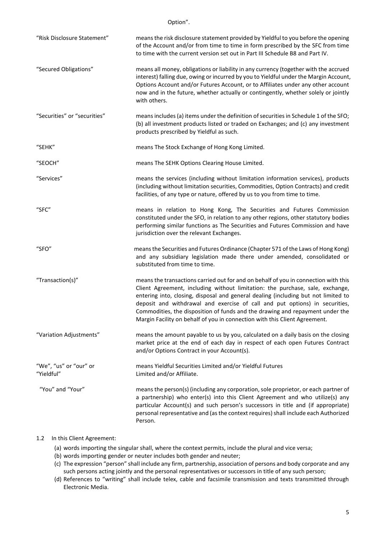|                                      | Option".                                                                                                                                                                                                                                                                                                                                                                                                                                                                                                 |
|--------------------------------------|----------------------------------------------------------------------------------------------------------------------------------------------------------------------------------------------------------------------------------------------------------------------------------------------------------------------------------------------------------------------------------------------------------------------------------------------------------------------------------------------------------|
| "Risk Disclosure Statement"          | means the risk disclosure statement provided by Yieldful to you before the opening<br>of the Account and/or from time to time in form prescribed by the SFC from time<br>to time with the current version set out in Part III Schedule B8 and Part IV.                                                                                                                                                                                                                                                   |
| "Secured Obligations"                | means all money, obligations or liability in any currency (together with the accrued<br>interest) falling due, owing or incurred by you to Yieldful under the Margin Account,<br>Options Account and/or Futures Account, or to Affiliates under any other account<br>now and in the future, whether actually or contingently, whether solely or jointly<br>with others.                                                                                                                                  |
| "Securities" or "securities"         | means includes (a) items under the definition of securities in Schedule 1 of the SFO;<br>(b) all investment products listed or traded on Exchanges; and (c) any investment<br>products prescribed by Yieldful as such.                                                                                                                                                                                                                                                                                   |
| "SEHK"                               | means The Stock Exchange of Hong Kong Limited.                                                                                                                                                                                                                                                                                                                                                                                                                                                           |
| "SEOCH"                              | means The SEHK Options Clearing House Limited.                                                                                                                                                                                                                                                                                                                                                                                                                                                           |
| "Services"                           | means the services (including without limitation information services), products<br>(including without limitation securities, Commodities, Option Contracts) and credit<br>facilities, of any type or nature, offered by us to you from time to time.                                                                                                                                                                                                                                                    |
| "SFC"                                | means in relation to Hong Kong, The Securities and Futures Commission<br>constituted under the SFO, in relation to any other regions, other statutory bodies<br>performing similar functions as The Securities and Futures Commission and have<br>jurisdiction over the relevant Exchanges.                                                                                                                                                                                                              |
| "SFO"                                | means the Securities and Futures Ordinance (Chapter 571 of the Laws of Hong Kong)<br>and any subsidiary legislation made there under amended, consolidated or<br>substituted from time to time.                                                                                                                                                                                                                                                                                                          |
| "Transaction(s)"                     | means the transactions carried out for and on behalf of you in connection with this<br>Client Agreement, including without limitation: the purchase, sale, exchange,<br>entering into, closing, disposal and general dealing (including but not limited to<br>deposit and withdrawal and exercise of call and put options) in securities,<br>Commodities, the disposition of funds and the drawing and repayment under the<br>Margin Facility on behalf of you in connection with this Client Agreement. |
| "Variation Adjustments"              | means the amount payable to us by you, calculated on a daily basis on the closing<br>market price at the end of each day in respect of each open Futures Contract<br>and/or Options Contract in your Account(s).                                                                                                                                                                                                                                                                                         |
| "We", "us" or "our" or<br>"Yieldful" | means Yieldful Securities Limited and/or Yieldful Futures<br>Limited and/or Affiliate.                                                                                                                                                                                                                                                                                                                                                                                                                   |
| "You" and "Your"                     | means the person(s) (including any corporation, sole proprietor, or each partner of<br>a partnership) who enter(s) into this Client Agreement and who utilize(s) any<br>particular Account(s) and such person's successors in title and (if appropriate)<br>personal representative and (as the context requires) shall include each Authorized<br>Person.                                                                                                                                               |

## 1.2 In this Client Agreement:

(a) words importing the singular shall, where the context permits, include the plural and vice versa;

- (b) words importing gender or neuter includes both gender and neuter;
- (c) The expression "person" shall include any firm, partnership, association of persons and body corporate and any such persons acting jointly and the personal representatives or successors in title of any such person;
- (d) References to "writing" shall include telex, cable and facsimile transmission and texts transmitted through Electronic Media.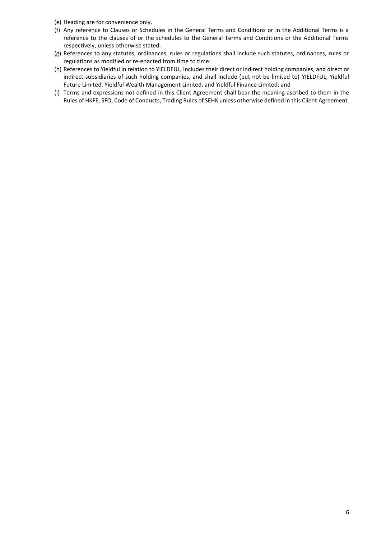- (e) Heading are for convenience only.
- (f) Any reference to Clauses or Schedules in the General Terms and Conditions or in the Additional Terms is a reference to the clauses of or the schedules to the General Terms and Conditions or the Additional Terms respectively, unless otherwise stated.
- (g) References to any statutes, ordinances, rules or regulations shall include such statutes, ordinances, rules or regulations as modified or re-enacted from time to time:
- (h) References to Yieldful in relation to YIELDFUL, includes their direct or indirect holding companies, and direct or indirect subsidiaries of such holding companies, and shall include (but not be limited to) YIELDFUL, Yieldful Future Limited, Yieldful Wealth Management Limited, and Yieldful Finance Limited; and
- (i) Terms and expressions not defined in this Client Agreement shall bear the meaning ascribed to them in the Rules of HKFE, SFO, Code of Conducts, Trading Rules of SEHK unless otherwise defined in this Client Agreement.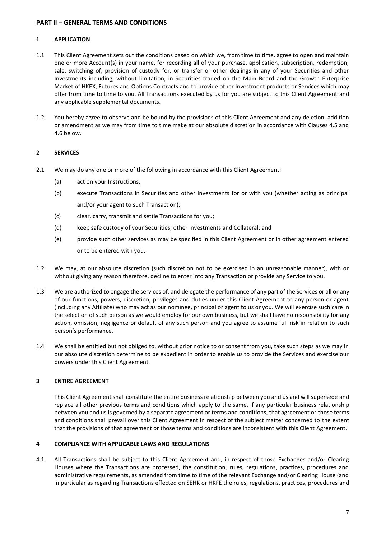## **PART II – GENERAL TERMS AND CONDITIONS**

## **1 APPLICATION**

- 1.1 This Client Agreement sets out the conditions based on which we, from time to time, agree to open and maintain one or more Account(s) in your name, for recording all of your purchase, application, subscription, redemption, sale, switching of, provision of custody for, or transfer or other dealings in any of your Securities and other Investments including, without limitation, in Securities traded on the Main Board and the Growth Enterprise Market of HKEX, Futures and Options Contracts and to provide other Investment products or Services which may offer from time to time to you. All Transactions executed by us for you are subject to this Client Agreement and any applicable supplemental documents.
- 1.2 You hereby agree to observe and be bound by the provisions of this Client Agreement and any deletion, addition or amendment as we may from time to time make at our absolute discretion in accordance with Clauses 4.5 and 4.6 below.

#### **2 SERVICES**

- 2.1 We may do any one or more of the following in accordance with this Client Agreement:
	- (a) act on your Instructions;
	- (b) execute Transactions in Securities and other Investments for or with you (whether acting as principal and/or your agent to such Transaction);
	- (c) clear, carry, transmit and settle Transactions for you;
	- (d) keep safe custody of your Securities, other Investments and Collateral; and
	- (e) provide such other services as may be specified in this Client Agreement or in other agreement entered or to be entered with you.
- 1.2 We may, at our absolute discretion (such discretion not to be exercised in an unreasonable manner), with or without giving any reason therefore, decline to enter into any Transaction or provide any Service to you.
- 1.3 We are authorized to engage the services of, and delegate the performance of any part of the Services or all or any of our functions, powers, discretion, privileges and duties under this Client Agreement to any person or agent (including any Affiliate) who may act as our nominee, principal or agent to us or you. We will exercise such care in the selection of such person as we would employ for our own business, but we shall have no responsibility for any action, omission, negligence or default of any such person and you agree to assume full risk in relation to such person's performance.
- 1.4 We shall be entitled but not obliged to, without prior notice to or consent from you, take such steps as we may in our absolute discretion determine to be expedient in order to enable us to provide the Services and exercise our powers under this Client Agreement.

#### **3 ENTIRE AGREEMENT**

This Client Agreement shall constitute the entire business relationship between you and us and will supersede and replace all other previous terms and conditions which apply to the same. If any particular business relationship between you and us is governed by a separate agreement or terms and conditions, that agreement or those terms and conditions shall prevail over this Client Agreement in respect of the subject matter concerned to the extent that the provisions of that agreement or those terms and conditions are inconsistent with this Client Agreement.

#### **4 COMPLIANCE WITH APPLICABLE LAWS AND REGULATIONS**

4.1 All Transactions shall be subject to this Client Agreement and, in respect of those Exchanges and/or Clearing Houses where the Transactions are processed, the constitution, rules, regulations, practices, procedures and administrative requirements, as amended from time to time of the relevant Exchange and/or Clearing House (and in particular as regarding Transactions effected on SEHK or HKFE the rules, regulations, practices, procedures and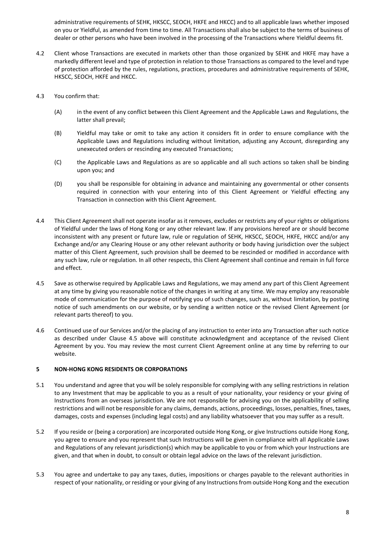administrative requirements of SEHK, HKSCC, SEOCH, HKFE and HKCC) and to all applicable laws whether imposed on you or Yieldful, as amended from time to time. All Transactions shall also be subject to the terms of business of dealer or other persons who have been involved in the processing of the Transactions where Yieldful deems fit.

- 4.2 Client whose Transactions are executed in markets other than those organized by SEHK and HKFE may have a markedly different level and type of protection in relation to those Transactions as compared to the level and type of protection afforded by the rules, regulations, practices, procedures and administrative requirements of SEHK, HKSCC, SEOCH, HKFE and HKCC.
- 4.3 You confirm that:
	- (A) in the event of any conflict between this Client Agreement and the Applicable Laws and Regulations, the latter shall prevail;
	- (B) Yieldful may take or omit to take any action it considers fit in order to ensure compliance with the Applicable Laws and Regulations including without limitation, adjusting any Account, disregarding any unexecuted orders or rescinding any executed Transactions;
	- (C) the Applicable Laws and Regulations as are so applicable and all such actions so taken shall be binding upon you; and
	- (D) you shall be responsible for obtaining in advance and maintaining any governmental or other consents required in connection with your entering into of this Client Agreement or Yieldful effecting any Transaction in connection with this Client Agreement.
- 4.4 This Client Agreement shall not operate insofar as it removes, excludes or restricts any of your rights or obligations of Yieldful under the laws of Hong Kong or any other relevant law. If any provisions hereof are or should become inconsistent with any present or future law, rule or regulation of SEHK, HKSCC, SEOCH, HKFE, HKCC and/or any Exchange and/or any Clearing House or any other relevant authority or body having jurisdiction over the subject matter of this Client Agreement, such provision shall be deemed to be rescinded or modified in accordance with any such law, rule or regulation. In all other respects, this Client Agreement shall continue and remain in full force and effect.
- 4.5 Save as otherwise required by Applicable Laws and Regulations, we may amend any part of this Client Agreement at any time by giving you reasonable notice of the changes in writing at any time. We may employ any reasonable mode of communication for the purpose of notifying you of such changes, such as, without limitation, by posting notice of such amendments on our website, or by sending a written notice or the revised Client Agreement (or relevant parts thereof) to you.
- 4.6 Continued use of our Services and/or the placing of any instruction to enter into any Transaction after such notice as described under Clause 4.5 above will constitute acknowledgment and acceptance of the revised Client Agreement by you. You may review the most current Client Agreement online at any time by referring to our website.

## **5 NON-HONG KONG RESIDENTS OR CORPORATIONS**

- 5.1 You understand and agree that you will be solely responsible for complying with any selling restrictions in relation to any Investment that may be applicable to you as a result of your nationality, your residency or your giving of Instructions from an overseas jurisdiction. We are not responsible for advising you on the applicability of selling restrictions and will not be responsible for any claims, demands, actions, proceedings, losses, penalties, fines, taxes, damages, costs and expenses (including legal costs) and any liability whatsoever that you may suffer as a result.
- 5.2 If you reside or (being a corporation) are incorporated outside Hong Kong, or give Instructions outside Hong Kong, you agree to ensure and you represent that such Instructions will be given in compliance with all Applicable Laws and Regulations of any relevant jurisdiction(s) which may be applicable to you or from which your Instructions are given, and that when in doubt, to consult or obtain legal advice on the laws of the relevant jurisdiction.
- 5.3 You agree and undertake to pay any taxes, duties, impositions or charges payable to the relevant authorities in respect of your nationality, or residing or your giving of any Instructions from outside Hong Kong and the execution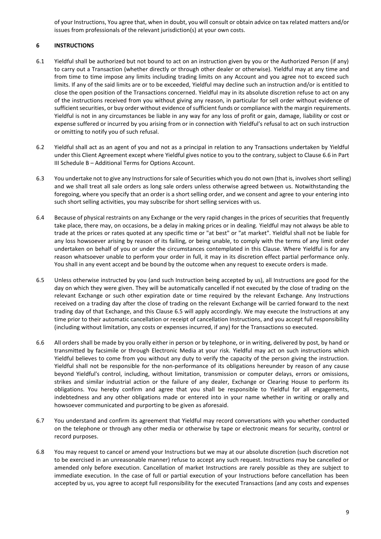of your Instructions, You agree that, when in doubt, you will consult or obtain advice on tax related matters and/or issues from professionals of the relevant jurisdiction(s) at your own costs.

#### **6 INSTRUCTIONS**

- 6.1 Yieldful shall be authorized but not bound to act on an instruction given by you or the Authorized Person (if any) to carry out a Transaction (whether directly or through other dealer or otherwise). Yieldful may at any time and from time to time impose any limits including trading limits on any Account and you agree not to exceed such limits. If any of the said limits are or to be exceeded, Yieldful may decline such an instruction and/or is entitled to close the open position of the Transactions concerned. Yieldful may in its absolute discretion refuse to act on any of the instructions received from you without giving any reason, in particular for sell order without evidence of sufficient securities, or buy order without evidence of sufficient funds or compliance with the margin requirements. Yieldful is not in any circumstances be liable in any way for any loss of profit or gain, damage, liability or cost or expense suffered or incurred by you arising from or in connection with Yieldful's refusal to act on such instruction or omitting to notify you of such refusal.
- 6.2 Yieldful shall act as an agent of you and not as a principal in relation to any Transactions undertaken by Yieldful under this Client Agreement except where Yieldful gives notice to you to the contrary, subject to Clause 6.6 in Part III Schedule B – Additional Terms for Options Account.
- 6.3 You undertake not to give any Instructions for sale of Securities which you do not own (that is, involves short selling) and we shall treat all sale orders as long sale orders unless otherwise agreed between us. Notwithstanding the foregoing, where you specify that an order is a short selling order, and we consent and agree to your entering into such short selling activities, you may subscribe for short selling services with us.
- 6.4 Because of physical restraints on any Exchange or the very rapid changes in the prices of securities that frequently take place, there may, on occasions, be a delay in making prices or in dealing. Yieldful may not always be able to trade at the prices or rates quoted at any specific time or "at best" or "at market". Yieldful shall not be liable for any loss howsoever arising by reason of its failing, or being unable, to comply with the terms of any limit order undertaken on behalf of you or under the circumstances contemplated in this Clause. Where Yieldful is for any reason whatsoever unable to perform your order in full, it may in its discretion effect partial performance only. You shall in any event accept and be bound by the outcome when any request to execute orders is made.
- 6.5 Unless otherwise instructed by you (and such Instruction being accepted by us), all Instructions are good for the day on which they were given. They will be automatically cancelled if not executed by the close of trading on the relevant Exchange or such other expiration date or time required by the relevant Exchange. Any Instructions received on a trading day after the close of trading on the relevant Exchange will be carried forward to the next trading day of that Exchange, and this Clause 6.5 will apply accordingly. We may execute the Instructions at any time prior to their automatic cancellation or receipt of cancellation Instructions, and you accept full responsibility (including without limitation, any costs or expenses incurred, if any) for the Transactions so executed.
- 6.6 All orders shall be made by you orally either in person or by telephone, or in writing, delivered by post, by hand or transmitted by facsimile or through Electronic Media at your risk. Yieldful may act on such instructions which Yieldful believes to come from you without any duty to verify the capacity of the person giving the instruction. Yieldful shall not be responsible for the non-performance of its obligations hereunder by reason of any cause beyond Yieldful's control, including, without limitation, transmission or computer delays, errors or omissions, strikes and similar industrial action or the failure of any dealer, Exchange or Clearing House to perform its obligations. You hereby confirm and agree that you shall be responsible to Yieldful for all engagements, indebtedness and any other obligations made or entered into in your name whether in writing or orally and howsoever communicated and purporting to be given as aforesaid.
- 6.7 You understand and confirm its agreement that Yieldful may record conversations with you whether conducted on the telephone or through any other media or otherwise by tape or electronic means for security, control or record purposes.
- 6.8 You may request to cancel or amend your Instructions but we may at our absolute discretion (such discretion not to be exercised in an unreasonable manner) refuse to accept any such request. Instructions may be cancelled or amended only before execution. Cancellation of market Instructions are rarely possible as they are subject to immediate execution. In the case of full or partial execution of your Instructions before cancellation has been accepted by us, you agree to accept full responsibility for the executed Transactions (and any costs and expenses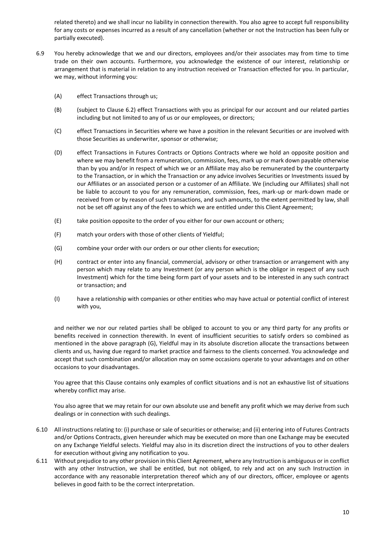related thereto) and we shall incur no liability in connection therewith. You also agree to accept full responsibility for any costs or expenses incurred as a result of any cancellation (whether or not the Instruction has been fully or partially executed).

- 6.9 You hereby acknowledge that we and our directors, employees and/or their associates may from time to time trade on their own accounts. Furthermore, you acknowledge the existence of our interest, relationship or arrangement that is material in relation to any instruction received or Transaction effected for you. In particular, we may, without informing you:
	- (A) effect Transactions through us;
	- (B) (subject to Clause 6.2) effect Transactions with you as principal for our account and our related parties including but not limited to any of us or our employees, or directors;
	- (C) effect Transactions in Securities where we have a position in the relevant Securities or are involved with those Securities as underwriter, sponsor or otherwise;
	- (D) effect Transactions in Futures Contracts or Options Contracts where we hold an opposite position and where we may benefit from a remuneration, commission, fees, mark up or mark down payable otherwise than by you and/or in respect of which we or an Affiliate may also be remunerated by the counterparty to the Transaction, or in which the Transaction or any advice involves Securities or Investments issued by our Affiliates or an associated person or a customer of an Affiliate. We (including our Affiliates) shall not be liable to account to you for any remuneration, commission, fees, mark-up or mark-down made or received from or by reason of such transactions, and such amounts, to the extent permitted by law, shall not be set off against any of the fees to which we are entitled under this Client Agreement;
	- (E) take position opposite to the order of you either for our own account or others;
	- (F) match your orders with those of other clients of Yieldful;
	- (G) combine your order with our orders or our other clients for execution;
	- (H) contract or enter into any financial, commercial, advisory or other transaction or arrangement with any person which may relate to any Investment (or any person which is the obligor in respect of any such Investment) which for the time being form part of your assets and to be interested in any such contract or transaction; and
	- (I) have a relationship with companies or other entities who may have actual or potential conflict of interest with you,

and neither we nor our related parties shall be obliged to account to you or any third party for any profits or benefits received in connection therewith. In event of insufficient securities to satisfy orders so combined as mentioned in the above paragraph (G), Yieldful may in its absolute discretion allocate the transactions between clients and us, having due regard to market practice and fairness to the clients concerned. You acknowledge and accept that such combination and/or allocation may on some occasions operate to your advantages and on other occasions to your disadvantages.

You agree that this Clause contains only examples of conflict situations and is not an exhaustive list of situations whereby conflict may arise.

You also agree that we may retain for our own absolute use and benefit any profit which we may derive from such dealings or in connection with such dealings.

- 6.10 All instructions relating to: (i) purchase or sale of securities or otherwise; and (ii) entering into of Futures Contracts and/or Options Contracts, given hereunder which may be executed on more than one Exchange may be executed on any Exchange Yieldful selects. Yieldful may also in its discretion direct the instructions of you to other dealers for execution without giving any notification to you.
- 6.11 Without prejudice to any other provision in this Client Agreement, where any Instruction is ambiguous or in conflict with any other Instruction, we shall be entitled, but not obliged, to rely and act on any such Instruction in accordance with any reasonable interpretation thereof which any of our directors, officer, employee or agents believes in good faith to be the correct interpretation.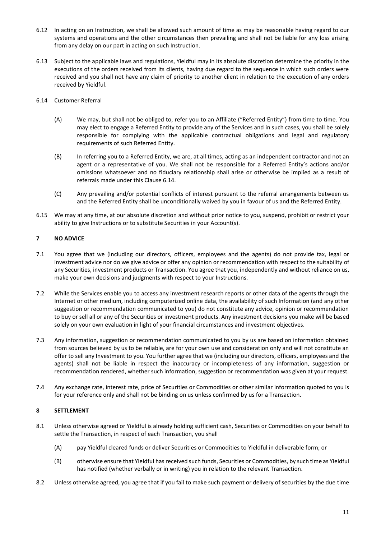- 6.12 In acting on an Instruction, we shall be allowed such amount of time as may be reasonable having regard to our systems and operations and the other circumstances then prevailing and shall not be liable for any loss arising from any delay on our part in acting on such Instruction.
- 6.13 Subject to the applicable laws and regulations, Yieldful may in its absolute discretion determine the priority in the executions of the orders received from its clients, having due regard to the sequence in which such orders were received and you shall not have any claim of priority to another client in relation to the execution of any orders received by Yieldful.
- 6.14 Customer Referral
	- (A) We may, but shall not be obliged to, refer you to an Affiliate ("Referred Entity") from time to time. You may elect to engage a Referred Entity to provide any of the Services and in such cases, you shall be solely responsible for complying with the applicable contractual obligations and legal and regulatory requirements of such Referred Entity.
	- (B) In referring you to a Referred Entity, we are, at all times, acting as an independent contractor and not an agent or a representative of you. We shall not be responsible for a Referred Entity's actions and/or omissions whatsoever and no fiduciary relationship shall arise or otherwise be implied as a result of referrals made under this Clause 6.14.
	- (C) Any prevailing and/or potential conflicts of interest pursuant to the referral arrangements between us and the Referred Entity shall be unconditionally waived by you in favour of us and the Referred Entity.
- 6.15 We may at any time, at our absolute discretion and without prior notice to you, suspend, prohibit or restrict your ability to give Instructions or to substitute Securities in your Account(s).

## **7 NO ADVICE**

- 7.1 You agree that we (including our directors, officers, employees and the agents) do not provide tax, legal or investment advice nor do we give advice or offer any opinion or recommendation with respect to the suitability of any Securities, investment products or Transaction. You agree that you, independently and without reliance on us, make your own decisions and judgments with respect to your Instructions.
- 7.2 While the Services enable you to access any investment research reports or other data of the agents through the Internet or other medium, including computerized online data, the availability of such Information (and any other suggestion or recommendation communicated to you) do not constitute any advice, opinion or recommendation to buy or sell all or any of the Securities or investment products. Any investment decisions you make will be based solely on your own evaluation in light of your financial circumstances and investment objectives.
- 7.3 Any information, suggestion or recommendation communicated to you by us are based on information obtained from sources believed by us to be reliable, are for your own use and consideration only and will not constitute an offer to sell any Investment to you. You further agree that we (including our directors, officers, employees and the agents) shall not be liable in respect the inaccuracy or incompleteness of any information, suggestion or recommendation rendered, whether such information, suggestion or recommendation was given at your request.
- 7.4 Any exchange rate, interest rate, price of Securities or Commodities or other similar information quoted to you is for your reference only and shall not be binding on us unless confirmed by us for a Transaction.

## **8 SETTLEMENT**

- 8.1 Unless otherwise agreed or Yieldful is already holding sufficient cash, Securities or Commodities on your behalf to settle the Transaction, in respect of each Transaction, you shall
	- (A) pay Yieldful cleared funds or deliver Securities or Commodities to Yieldful in deliverable form; or
	- (B) otherwise ensure that Yieldful has received such funds, Securities or Commodities, by such time as Yieldful has notified (whether verbally or in writing) you in relation to the relevant Transaction.
- 8.2 Unless otherwise agreed, you agree that if you fail to make such payment or delivery of securities by the due time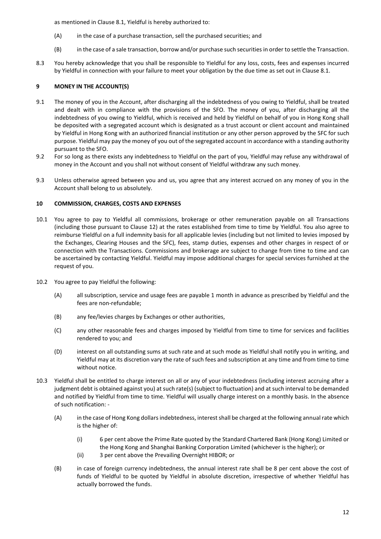as mentioned in Clause 8.1, Yieldful is hereby authorized to:

- (A) in the case of a purchase transaction, sell the purchased securities; and
- (B) in the case of a sale transaction, borrow and/or purchase such securities in order to settle the Transaction.
- 8.3 You hereby acknowledge that you shall be responsible to Yieldful for any loss, costs, fees and expenses incurred by Yieldful in connection with your failure to meet your obligation by the due time as set out in Clause 8.1.

## **9 MONEY IN THE ACCOUNT(S)**

- 9.1 The money of you in the Account, after discharging all the indebtedness of you owing to Yieldful, shall be treated and dealt with in compliance with the provisions of the SFO. The money of you, after discharging all the indebtedness of you owing to Yieldful, which is received and held by Yieldful on behalf of you in Hong Kong shall be deposited with a segregated account which is designated as a trust account or client account and maintained by Yieldful in Hong Kong with an authorized financial institution or any other person approved by the SFC for such purpose. Yieldful may pay the money of you out of the segregated account in accordance with a standing authority pursuant to the SFO.
- 9.2 For so long as there exists any indebtedness to Yieldful on the part of you, Yieldful may refuse any withdrawal of money in the Account and you shall not without consent of Yieldful withdraw any such money.
- 9.3 Unless otherwise agreed between you and us, you agree that any interest accrued on any money of you in the Account shall belong to us absolutely.

#### **10 COMMISSION, CHARGES, COSTS AND EXPENSES**

- 10.1 You agree to pay to Yieldful all commissions, brokerage or other remuneration payable on all Transactions (including those pursuant to Clause 12) at the rates established from time to time by Yieldful. You also agree to reimburse Yieldful on a full indemnity basis for all applicable levies (including but not limited to levies imposed by the Exchanges, Clearing Houses and the SFC), fees, stamp duties, expenses and other charges in respect of or connection with the Transactions. Commissions and brokerage are subject to change from time to time and can be ascertained by contacting Yieldful. Yieldful may impose additional charges for special services furnished at the request of you.
- 10.2 You agree to pay Yieldful the following:
	- (A) all subscription, service and usage fees are payable 1 month in advance as prescribed by Yieldful and the fees are non-refundable;
	- (B) any fee/levies charges by Exchanges or other authorities,
	- (C) any other reasonable fees and charges imposed by Yieldful from time to time for services and facilities rendered to you; and
	- (D) interest on all outstanding sums at such rate and at such mode as Yieldful shall notify you in writing, and Yieldful may at its discretion vary the rate of such fees and subscription at any time and from time to time without notice.
- 10.3 Yieldful shall be entitled to charge interest on all or any of your indebtedness (including interest accruing after a judgment debt is obtained against you) at such rate(s) (subject to fluctuation) and at such interval to be demanded and notified by Yieldful from time to time. Yieldful will usually charge interest on a monthly basis. In the absence of such notification: -
	- (A) in the case of Hong Kong dollars indebtedness, interest shall be charged at the following annual rate which is the higher of:
		- (i) 6 per cent above the Prime Rate quoted by the Standard Chartered Bank (Hong Kong) Limited or the Hong Kong and Shanghai Banking Corporation Limited (whichever is the higher); or
		- (ii) 3 per cent above the Prevailing Overnight HIBOR; or
	- (B) in case of foreign currency indebtedness, the annual interest rate shall be 8 per cent above the cost of funds of Yieldful to be quoted by Yieldful in absolute discretion, irrespective of whether Yieldful has actually borrowed the funds.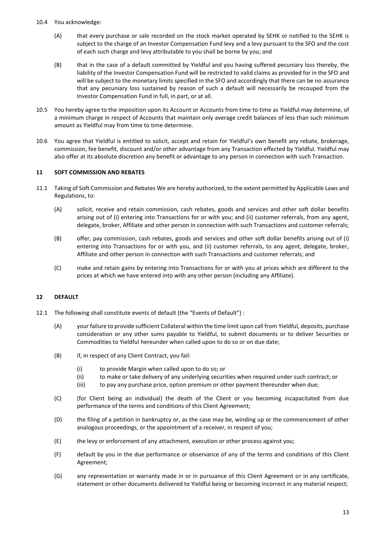#### 10.4 You acknowledge:

- (A) that every purchase or sale recorded on the stock market operated by SEHK or notified to the SEHK is subject to the charge of an Investor Compensation Fund levy and a levy pursuant to the SFO and the cost of each such charge and levy attributable to you shall be borne by you; and
- (B) that in the case of a default committed by Yieldful and you having suffered pecuniary loss thereby, the liability of the Investor Compensation Fund will be restricted to valid claims as provided for in the SFO and will be subject to the monetary limits specified in the SFO and accordingly that there can be no assurance that any pecuniary loss sustained by reason of such a default will necessarily be recouped from the Investor Compensation Fund in full, in part, or at all.
- 10.5 You hereby agree to the imposition upon its Account or Accounts from time to time as Yieldful may determine, of a minimum charge in respect of Accounts that maintain only average credit balances of less than such minimum amount as Yieldful may from time to time determine.
- 10.6 You agree that Yieldful is entitled to solicit, accept and retain for Yieldful's own benefit any rebate, brokerage, commission, fee benefit, discount and/or other advantage from any Transaction effected by Yieldful. Yieldful may also offer at its absolute discretion any benefit or advantage to any person in connection with such Transaction.

## **11 SOFT COMMISSION AND REBATES**

- 11.1 Taking of Soft Commission and Rebates We are hereby authorized, to the extent permitted by Applicable Laws and Regulations, to:
	- (A) solicit, receive and retain commission, cash rebates, goods and services and other soft dollar benefits arising out of (i) entering into Transactions for or with you; and (ii) customer referrals, from any agent, delegate, broker, Affiliate and other person in connection with such Transactions and customer referrals;
	- (B) offer, pay commission, cash rebates, goods and services and other soft dollar benefits arising out of (i) entering into Transactions for or with you, and (ii) customer referrals, to any agent, delegate, broker, Affiliate and other person in connection with such Transactions and customer referrals; and
	- (C) make and retain gains by entering into Transactions for or with you at prices which are different to the prices at which we have entered into with any other person (including any Affiliate).

## **12 DEFAULT**

- 12.1 The following shall constitute events of default (the "Events of Default") :
	- (A) your failure to provide sufficient Collateral within the time limit upon call from Yieldful, deposits, purchase consideration or any other sums payable to Yieldful, to submit documents or to deliver Securities or Commodities to Yieldful hereunder when called upon to do so or on due date;
	- (B) if, in respect of any Client Contract, you fail:
		- (i) to provide Margin when called upon to do so; or
		- (ii) to make or take delivery of any underlying securities when required under such contract; or
		- (iii) to pay any purchase price, option premium or other payment thereunder when due;
	- (C) (for Client being an individual) the death of the Client or you becoming incapacitated from due performance of the terms and conditions of this Client Agreement;
	- (D) the filing of a petition in bankruptcy or, as the case may be, winding up or the commencement of other analogous proceedings, or the appointment of a receiver, in respect of you;
	- (E) the levy or enforcement of any attachment, execution or other process against you;
	- (F) default by you in the due performance or observance of any of the terms and conditions of this Client Agreement;
	- (G) any representation or warranty made in or in pursuance of this Client Agreement or in any certificate, statement or other documents delivered to Yieldful being or becoming incorrect in any material respect;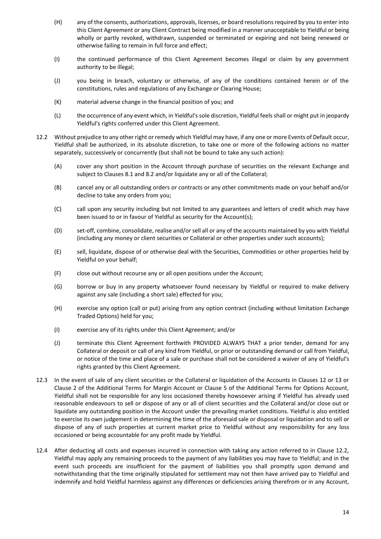- (H) any of the consents, authorizations, approvals, licenses, or board resolutions required by you to enter into this Client Agreement or any Client Contract being modified in a manner unacceptable to Yieldful or being wholly or partly revoked, withdrawn, suspended or terminated or expiring and not being renewed or otherwise failing to remain in full force and effect;
- (I) the continued performance of this Client Agreement becomes illegal or claim by any government authority to be illegal;
- (J) you being in breach, voluntary or otherwise, of any of the conditions contained herein or of the constitutions, rules and regulations of any Exchange or Clearing House;
- (K) material adverse change in the financial position of you; and
- (L) the occurrence of any event which, in Yieldful's sole discretion, Yieldful feels shall or might put in jeopardy Yieldful's rights conferred under this Client Agreement.
- 12.2 Without prejudice to any other right or remedy which Yieldful may have, if any one or more Events of Default occur, Yieldful shall be authorized, in its absolute discretion, to take one or more of the following actions no matter separately, successively or concurrently (but shall not be bound to take any such action):
	- (A) cover any short position in the Account through purchase of securities on the relevant Exchange and subject to Clauses 8.1 and 8.2 and/or liquidate any or all of the Collateral;
	- (B) cancel any or all outstanding orders or contracts or any other commitments made on your behalf and/or decline to take any orders from you;
	- (C) call upon any security including but not limited to any guarantees and letters of credit which may have been issued to or in favour of Yieldful as security for the Account(s);
	- (D) set-off, combine, consolidate, realise and/or sell all or any of the accounts maintained by you with Yieldful (including any money or client securities or Collateral or other properties under such accounts);
	- (E) sell, liquidate, dispose of or otherwise deal with the Securities, Commodities or other properties held by Yieldful on your behalf;
	- (F) close out without recourse any or all open positions under the Account;
	- (G) borrow or buy in any property whatsoever found necessary by Yieldful or required to make delivery against any sale (including a short sale) effected for you;
	- (H) exercise any option (call or put) arising from any option contract (including without limitation Exchange Traded Options) held for you;
	- (I) exercise any of its rights under this Client Agreement; and/or
	- (J) terminate this Client Agreement forthwith PROVIDED ALWAYS THAT a prior tender, demand for any Collateral or deposit or call of any kind from Yieldful, or prior or outstanding demand or call from Yieldful, or notice of the time and place of a sale or purchase shall not be considered a waiver of any of Yieldful's rights granted by this Client Agreement.
- 12.3 In the event of sale of any client securities or the Collateral or liquidation of the Accounts in Clauses 12 or 13 or Clause 2 of the Additional Terms for Margin Account or Clause 5 of the Additional Terms for Options Account, Yieldful shall not be responsible for any loss occasioned thereby howsoever arising if Yieldful has already used reasonable endeavours to sell or dispose of any or all of client securities and the Collateral and/or close out or liquidate any outstanding position in the Account under the prevailing market conditions. Yieldful is also entitled to exercise its own judgement in determining the time of the aforesaid sale or disposal or liquidation and to sell or dispose of any of such properties at current market price to Yieldful without any responsibility for any loss occasioned or being accountable for any profit made by Yieldful.
- 12.4 After deducting all costs and expenses incurred in connection with taking any action referred to in Clause 12.2, Yieldful may apply any remaining proceeds to the payment of any liabilities you may have to Yieldful; and in the event such proceeds are insufficient for the payment of liabilities you shall promptly upon demand and notwithstanding that the time originally stipulated for settlement may not then have arrived pay to Yieldful and indemnify and hold Yieldful harmless against any differences or deficiencies arising therefrom or in any Account,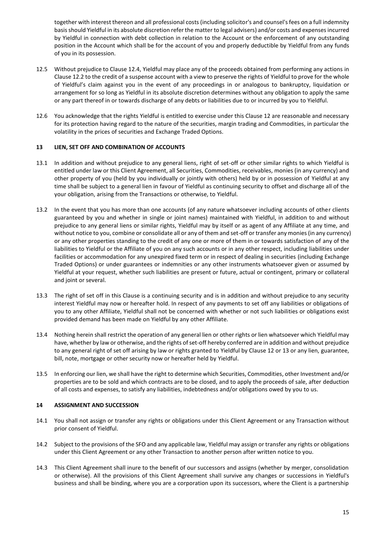together with interest thereon and all professional costs (including solicitor's and counsel's fees on a full indemnity basis should Yieldful in its absolute discretion refer the matter to legal advisers) and/or costs and expenses incurred by Yieldful in connection with debt collection in relation to the Account or the enforcement of any outstanding position in the Account which shall be for the account of you and properly deductible by Yieldful from any funds of you in its possession.

- 12.5 Without prejudice to Clause 12.4, Yieldful may place any of the proceeds obtained from performing any actions in Clause 12.2 to the credit of a suspense account with a view to preserve the rights of Yieldful to prove for the whole of Yieldful's claim against you in the event of any proceedings in or analogous to bankruptcy, liquidation or arrangement for so long as Yieldful in its absolute discretion determines without any obligation to apply the same or any part thereof in or towards discharge of any debts or liabilities due to or incurred by you to Yieldful.
- 12.6 You acknowledge that the rights Yieldful is entitled to exercise under this Clause 12 are reasonable and necessary for its protection having regard to the nature of the securities, margin trading and Commodities, in particular the volatility in the prices of securities and Exchange Traded Options.

## **13 LIEN, SET OFF AND COMBINATION OF ACCOUNTS**

- 13.1 In addition and without prejudice to any general liens, right of set-off or other similar rights to which Yieldful is entitled under law or this Client Agreement, all Securities, Commodities, receivables, monies (in any currency) and other property of you (held by you individually or jointly with others) held by or in possession of Yieldful at any time shall be subject to a general lien in favour of Yieldful as continuing security to offset and discharge all of the your obligation, arising from the Transactions or otherwise, to Yieldful.
- 13.2 In the event that you has more than one accounts (of any nature whatsoever including accounts of other clients guaranteed by you and whether in single or joint names) maintained with Yieldful, in addition to and without prejudice to any general liens or similar rights, Yieldful may by itself or as agent of any Affiliate at any time, and without notice to you, combine or consolidate all or any of them and set-off or transfer any monies (in any currency) or any other properties standing to the credit of any one or more of them in or towards satisfaction of any of the liabilities to Yieldful or the Affiliate of you on any such accounts or in any other respect, including liabilities under facilities or accommodation for any unexpired fixed term or in respect of dealing in securities (including Exchange Traded Options) or under guarantees or indemnities or any other instruments whatsoever given or assumed by Yieldful at your request, whether such liabilities are present or future, actual or contingent, primary or collateral and joint or several.
- 13.3 The right of set off in this Clause is a continuing security and is in addition and without prejudice to any security interest Yieldful may now or hereafter hold. In respect of any payments to set off any liabilities or obligations of you to any other Affiliate, Yieldful shall not be concerned with whether or not such liabilities or obligations exist provided demand has been made on Yieldful by any other Affiliate.
- 13.4 Nothing herein shall restrict the operation of any general lien or other rights or lien whatsoever which Yieldful may have, whether by law or otherwise, and the rights of set-off hereby conferred are in addition and without prejudice to any general right of set off arising by law or rights granted to Yieldful by Clause 12 or 13 or any lien, guarantee, bill, note, mortgage or other security now or hereafter held by Yieldful.
- 13.5 In enforcing our lien, we shall have the right to determine which Securities, Commodities, other Investment and/or properties are to be sold and which contracts are to be closed, and to apply the proceeds of sale, after deduction of all costs and expenses, to satisfy any liabilities, indebtedness and/or obligations owed by you to us.

#### **14 ASSIGNMENT AND SUCCESSION**

- 14.1 You shall not assign or transfer any rights or obligations under this Client Agreement or any Transaction without prior consent of Yieldful.
- 14.2 Subject to the provisions of the SFO and any applicable law, Yieldful may assign or transfer any rights or obligations under this Client Agreement or any other Transaction to another person after written notice to you.
- 14.3 This Client Agreement shall inure to the benefit of our successors and assigns (whether by merger, consolidation or otherwise). All the provisions of this Client Agreement shall survive any changes or successions in Yieldful's business and shall be binding, where you are a corporation upon its successors, where the Client is a partnership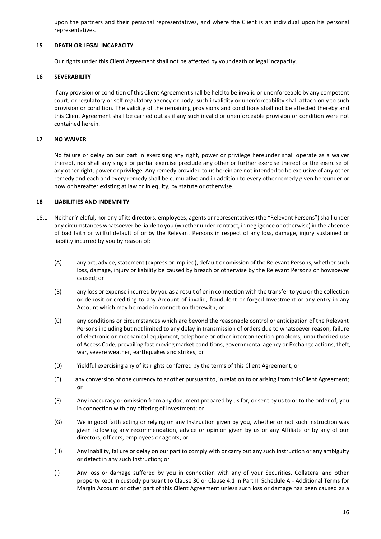upon the partners and their personal representatives, and where the Client is an individual upon his personal representatives.

#### **15 DEATH OR LEGAL INCAPACITY**

Our rights under this Client Agreement shall not be affected by your death or legal incapacity.

### **16 SEVERABILITY**

If any provision or condition of this Client Agreement shall be held to be invalid or unenforceable by any competent court, or regulatory or self-regulatory agency or body, such invalidity or unenforceability shall attach only to such provision or condition. The validity of the remaining provisions and conditions shall not be affected thereby and this Client Agreement shall be carried out as if any such invalid or unenforceable provision or condition were not contained herein.

## **17 NO WAIVER**

No failure or delay on our part in exercising any right, power or privilege hereunder shall operate as a waiver thereof, nor shall any single or partial exercise preclude any other or further exercise thereof or the exercise of any other right, power or privilege. Any remedy provided to us herein are not intended to be exclusive of any other remedy and each and every remedy shall be cumulative and in addition to every other remedy given hereunder or now or hereafter existing at law or in equity, by statute or otherwise.

#### **18 LIABILITIES AND INDEMNITY**

- 18.1 Neither Yieldful, nor any of its directors, employees, agents or representatives (the "Relevant Persons") shall under any circumstances whatsoever be liable to you (whether under contract, in negligence or otherwise) in the absence of bad faith or willful default of or by the Relevant Persons in respect of any loss, damage, injury sustained or liability incurred by you by reason of:
	- (A) any act, advice, statement (express or implied), default or omission of the Relevant Persons, whether such loss, damage, injury or liability be caused by breach or otherwise by the Relevant Persons or howsoever caused; or
	- (B) any loss or expense incurred by you as a result of or in connection with the transfer to you or the collection or deposit or crediting to any Account of invalid, fraudulent or forged Investment or any entry in any Account which may be made in connection therewith; or
	- (C) any conditions or circumstances which are beyond the reasonable control or anticipation of the Relevant Persons including but not limited to any delay in transmission of orders due to whatsoever reason, failure of electronic or mechanical equipment, telephone or other interconnection problems, unauthorized use of Access Code, prevailing fast moving market conditions, governmental agency or Exchange actions, theft, war, severe weather, earthquakes and strikes; or
	- (D) Yieldful exercising any of its rights conferred by the terms of this Client Agreement; or
	- (E) any conversion of one currency to another pursuant to, in relation to or arising from this Client Agreement; or
	- (F) Any inaccuracy or omission from any document prepared by us for, or sent by us to or to the order of, you in connection with any offering of investment; or
	- (G) We in good faith acting or relying on any Instruction given by you, whether or not such Instruction was given following any recommendation, advice or opinion given by us or any Affiliate or by any of our directors, officers, employees or agents; or
	- (H) Any inability, failure or delay on our part to comply with or carry out any such Instruction or any ambiguity or detect in any such Instruction; or
	- (I) Any loss or damage suffered by you in connection with any of your Securities, Collateral and other property kept in custody pursuant to Clause 30 or Clause 4.1 in Part III Schedule A - Additional Terms for Margin Account or other part of this Client Agreement unless such loss or damage has been caused as a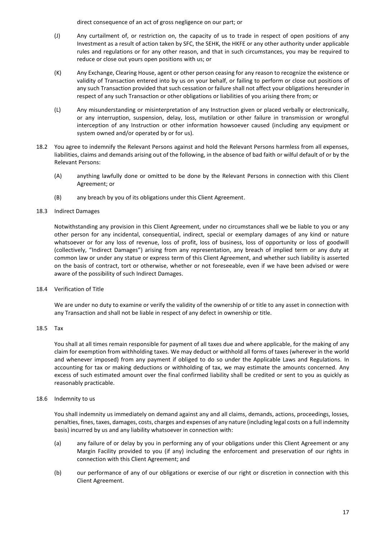direct consequence of an act of gross negligence on our part; or

- (J) Any curtailment of, or restriction on, the capacity of us to trade in respect of open positions of any Investment as a result of action taken by SFC, the SEHK, the HKFE or any other authority under applicable rules and regulations or for any other reason, and that in such circumstances, you may be required to reduce or close out yours open positions with us; or
- (K) Any Exchange, Clearing House, agent or other person ceasing for any reason to recognize the existence or validity of Transaction entered into by us on your behalf, or failing to perform or close out positions of any such Transaction provided that such cessation or failure shall not affect your obligations hereunder in respect of any such Transaction or other obligations or liabilities of you arising there from; or
- (L) Any misunderstanding or misinterpretation of any Instruction given or placed verbally or electronically, or any interruption, suspension, delay, loss, mutilation or other failure in transmission or wrongful interception of any Instruction or other information howsoever caused (including any equipment or system owned and/or operated by or for us).
- 18.2 You agree to indemnify the Relevant Persons against and hold the Relevant Persons harmless from all expenses, liabilities, claims and demands arising out of the following, in the absence of bad faith or wilful default of or by the Relevant Persons:
	- (A) anything lawfully done or omitted to be done by the Relevant Persons in connection with this Client Agreement; or
	- (B) any breach by you of its obligations under this Client Agreement.

## 18.3 Indirect Damages

Notwithstanding any provision in this Client Agreement, under no circumstances shall we be liable to you or any other person for any incidental, consequential, indirect, special or exemplary damages of any kind or nature whatsoever or for any loss of revenue, loss of profit, loss of business, loss of opportunity or loss of goodwill (collectively, "Indirect Damages") arising from any representation, any breach of implied term or any duty at common law or under any statue or express term of this Client Agreement, and whether such liability is asserted on the basis of contract, tort or otherwise, whether or not foreseeable, even if we have been advised or were aware of the possibility of such Indirect Damages.

18.4 Verification of Title

We are under no duty to examine or verify the validity of the ownership of or title to any asset in connection with any Transaction and shall not be liable in respect of any defect in ownership or title.

#### 18.5 Tax

You shall at all times remain responsible for payment of all taxes due and where applicable, for the making of any claim for exemption from withholding taxes. We may deduct or withhold all forms of taxes (wherever in the world and whenever imposed) from any payment if obliged to do so under the Applicable Laws and Regulations. In accounting for tax or making deductions or withholding of tax, we may estimate the amounts concerned. Any excess of such estimated amount over the final confirmed liability shall be credited or sent to you as quickly as reasonably practicable.

#### 18.6 Indemnity to us

You shall indemnity us immediately on demand against any and all claims, demands, actions, proceedings, losses, penalties, fines, taxes, damages, costs, charges and expenses of any nature (including legal costs on a full indemnity basis) incurred by us and any liability whatsoever in connection with:

- (a) any failure of or delay by you in performing any of your obligations under this Client Agreement or any Margin Facility provided to you (if any) including the enforcement and preservation of our rights in connection with this Client Agreement; and
- (b) our performance of any of our obligations or exercise of our right or discretion in connection with this Client Agreement.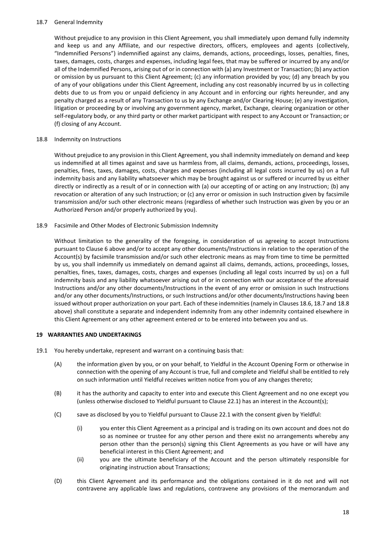#### 18.7 General Indemnity

Without prejudice to any provision in this Client Agreement, you shall immediately upon demand fully indemnity and keep us and any Affiliate, and our respective directors, officers, employees and agents (collectively, "Indemnified Persons") indemnified against any claims, demands, actions, proceedings, losses, penalties, fines, taxes, damages, costs, charges and expenses, including legal fees, that may be suffered or incurred by any and/or all of the Indemnified Persons, arising out of or in connection with (a) any Investment or Transaction; (b) any action or omission by us pursuant to this Client Agreement; (c) any information provided by you; (d) any breach by you of any of your obligations under this Client Agreement, including any cost reasonably incurred by us in collecting debts due to us from you or unpaid deficiency in any Account and in enforcing our rights hereunder, and any penalty charged as a result of any Transaction to us by any Exchange and/or Clearing House; (e) any investigation, litigation or proceeding by or involving any government agency, market, Exchange, clearing organization or other self-regulatory body, or any third party or other market participant with respect to any Account or Transaction; or (f) closing of any Account.

#### 18.8 Indemnity on Instructions

Without prejudice to any provision in this Client Agreement, you shall indemnity immediately on demand and keep us indemnified at all times against and save us harmless from, all claims, demands, actions, proceedings, losses, penalties, fines, taxes, damages, costs, charges and expenses (including all legal costs incurred by us) on a full indemnity basis and any liability whatsoever which may be brought against us or suffered or incurred by us either directly or indirectly as a result of or in connection with (a) our accepting of or acting on any Instruction; (b) any revocation or alteration of any such Instruction; or (c) any error or omission in such Instruction given by facsimile transmission and/or such other electronic means (regardless of whether such Instruction was given by you or an Authorized Person and/or properly authorized by you).

18.9 Facsimile and Other Modes of Electronic Submission Indemnity

Without limitation to the generality of the foregoing, in consideration of us agreeing to accept Instructions pursuant to Clause 6 above and/or to accept any other documents/Instructions in relation to the operation of the Account(s) by facsimile transmission and/or such other electronic means as may from time to time be permitted by us, you shall indemnify us immediately on demand against all claims, demands, actions, proceedings, losses, penalties, fines, taxes, damages, costs, charges and expenses (including all legal costs incurred by us) on a full indemnity basis and any liability whatsoever arising out of or in connection with our acceptance of the aforesaid Instructions and/or any other documents/Instructions in the event of any error or omission in such Instructions and/or any other documents/Instructions, or such Instructions and/or other documents/Instructions having been issued without proper authorization on your part. Each of these indemnities (namely in Clauses 18.6, 18.7 and 18.8 above) shall constitute a separate and independent indemnity from any other indemnity contained elsewhere in this Client Agreement or any other agreement entered or to be entered into between you and us.

#### **19 WARRANTIES AND UNDERTAKINGS**

- 19.1 You hereby undertake, represent and warrant on a continuing basis that:
	- (A) the information given by you, or on your behalf, to Yieldful in the Account Opening Form or otherwise in connection with the opening of any Account is true, full and complete and Yieldful shall be entitled to rely on such information until Yieldful receives written notice from you of any changes thereto;
	- (B) it has the authority and capacity to enter into and execute this Client Agreement and no one except you (unless otherwise disclosed to Yieldful pursuant to Clause 22.1) has an interest in the Account(s);
	- (C) save as disclosed by you to Yieldful pursuant to Clause 22.1 with the consent given by Yieldful:
		- (i) you enter this Client Agreement as a principal and is trading on its own account and does not do so as nominee or trustee for any other person and there exist no arrangements whereby any person other than the person(s) signing this Client Agreements as you have or will have any beneficial interest in this Client Agreement; and
		- (ii) you are the ultimate beneficiary of the Account and the person ultimately responsible for originating instruction about Transactions;
	- (D) this Client Agreement and its performance and the obligations contained in it do not and will not contravene any applicable laws and regulations, contravene any provisions of the memorandum and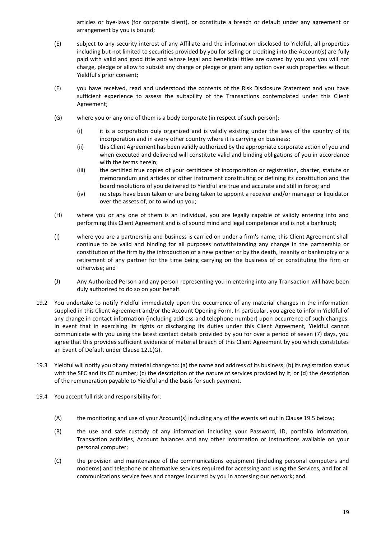articles or bye-laws (for corporate client), or constitute a breach or default under any agreement or arrangement by you is bound;

- (E) subject to any security interest of any Affiliate and the information disclosed to Yieldful, all properties including but not limited to securities provided by you for selling or crediting into the Account(s) are fully paid with valid and good title and whose legal and beneficial titles are owned by you and you will not charge, pledge or allow to subsist any charge or pledge or grant any option over such properties without Yieldful's prior consent;
- (F) you have received, read and understood the contents of the Risk Disclosure Statement and you have sufficient experience to assess the suitability of the Transactions contemplated under this Client Agreement;
- (G) where you or any one of them is a body corporate (in respect of such person):-
	- (i) it is a corporation duly organized and is validly existing under the laws of the country of its incorporation and in every other country where it is carrying on business;
	- (ii) this Client Agreement has been validly authorized by the appropriate corporate action of you and when executed and delivered will constitute valid and binding obligations of you in accordance with the terms herein;
	- (iii) the certified true copies of your certificate of incorporation or registration, charter, statute or memorandum and articles or other instrument constituting or defining its constitution and the board resolutions of you delivered to Yieldful are true and accurate and still in force; and
	- (iv) no steps have been taken or are being taken to appoint a receiver and/or manager or liquidator over the assets of, or to wind up you;
- (H) where you or any one of them is an individual, you are legally capable of validly entering into and performing this Client Agreement and is of sound mind and legal competence and is not a bankrupt;
- (I) where you are a partnership and business is carried on under a firm's name, this Client Agreement shall continue to be valid and binding for all purposes notwithstanding any change in the partnership or constitution of the firm by the introduction of a new partner or by the death, insanity or bankruptcy or a retirement of any partner for the time being carrying on the business of or constituting the firm or otherwise; and
- (J) Any Authorized Person and any person representing you in entering into any Transaction will have been duly authorized to do so on your behalf.
- 19.2 You undertake to notify Yieldful immediately upon the occurrence of any material changes in the information supplied in this Client Agreement and/or the Account Opening Form. In particular, you agree to inform Yieldful of any change in contact information (including address and telephone number) upon occurrence of such changes. In event that in exercising its rights or discharging its duties under this Client Agreement, Yieldful cannot communicate with you using the latest contact details provided by you for over a period of seven (7) days, you agree that this provides sufficient evidence of material breach of this Client Agreement by you which constitutes an Event of Default under Clause 12.1(G).
- 19.3 Yieldful will notify you of any material change to: (a) the name and address of its business; (b) its registration status with the SFC and its CE number; (c) the description of the nature of services provided by it; or (d) the description of the remuneration payable to Yieldful and the basis for such payment.
- 19.4 You accept full risk and responsibility for:
	- (A) the monitoring and use of your Account(s) including any of the events set out in Clause 19.5 below;
	- (B) the use and safe custody of any information including your Password, ID, portfolio information, Transaction activities, Account balances and any other information or Instructions available on your personal computer;
	- (C) the provision and maintenance of the communications equipment (including personal computers and modems) and telephone or alternative services required for accessing and using the Services, and for all communications service fees and charges incurred by you in accessing our network; and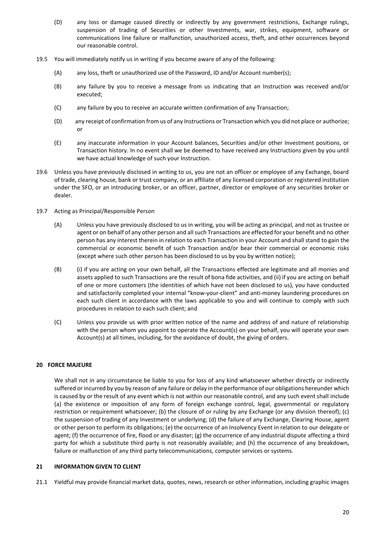- (D) any loss or damage caused directly or indirectly by any government restrictions, Exchange rulings, suspension of trading of Securities or other Investments, war, strikes, equipment, software or communications line failure or malfunction, unauthorized access, theft, and other occurrences beyond our reasonable control.
- 19.5 You will immediately notify us in writing if you become aware of any of the following:
	- (A) any loss, theft or unauthorized use of the Password, ID and/or Account number(s);
	- (B) any failure by you to receive a message from us indicating that an Instruction was received and/or executed;
	- (C) any failure by you to receive an accurate written confirmation of any Transaction;
	- (D) any receipt of confirmation from us of any Instructions or Transaction which you did not place or authorize; or
	- (E) any inaccurate information in your Account balances, Securities and/or other Investment positions, or Transaction history. In no event shall we be deemed to have received any Instructions given by you until we have actual knowledge of such your Instruction.
- 19.6 Unless you have previously disclosed in writing to us, you are not an officer or employee of any Exchange, board of trade, clearing house, bank or trust company, or an affiliate of any licensed corporation or registered institution under the SFO, or an introducing broker, or an officer, partner, director or employee of any securities broker or dealer.
- 19.7 Acting as Principal/Responsible Person
	- (A) Unless you have previously disclosed to us in writing, you will be acting as principal, and not as trustee or agent or on behalf of any other person and all such Transactions are effected for your benefit and no other person has any interest therein in relation to each Transaction in your Account and shall stand to gain the commercial or economic benefit of such Transaction and/or bear their commercial or economic risks (except where such other person has been disclosed to us by you by written notice);
	- (B) (i) if you are acting on your own behalf, all the Transactions effected are legitimate and all monies and assets applied to such Transactions are the result of bona fide activities, and (ii) if you are acting on behalf of one or more customers (the identities of which have not been disclosed to us), you have conducted and satisfactorily completed your internal "know-your-client" and anti-money laundering procedures on each such client in accordance with the laws applicable to you and will continue to comply with such procedures in relation to each such client; and
	- (C) Unless you provide us with prior written notice of the name and address of and nature of relationship with the person whom you appoint to operate the Account(s) on your behalf, you will operate your own Account(s) at all times, including, for the avoidance of doubt, the giving of orders.

#### **20 FORCE MAJEURE**

We shall not in any circumstance be liable to you for loss of any kind whatsoever whether directly or indirectly suffered or incurred by you by reason of any failure or delay in the performance of our obligations hereunder which is caused by or the result of any event which is not within our reasonable control, and any such event shall include (a) the existence or imposition of any form of foreign exchange control, legal, governmental or regulatory restriction or requirement whatsoever; (b) the closure of or ruling by any Exchange (or any division thereof); (c) the suspension of trading of any Investment or underlying; (d) the failure of any Exchange, Clearing House, agent or other person to perform its obligations; (e) the occurrence of an Insolvency Event in relation to our delegate or agent; (f) the occurrence of fire, flood or any disaster; (g) the occurrence of any industrial dispute affecting a third party for which a substitute third party is not reasonably available; and (h) the occurrence of any breakdown, failure or malfunction of any third party telecommunications, computer services or systems.

#### **21 INFORMATION GIVEN TO CLIENT**

21.1 Yieldful may provide financial market data, quotes, news, research or other information, including graphic images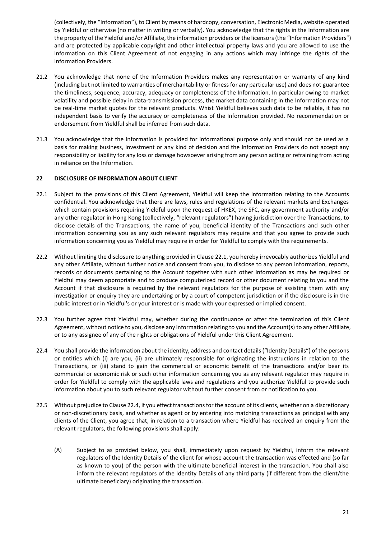(collectively, the "Information"), to Client by means of hardcopy, conversation, Electronic Media, website operated by Yieldful or otherwise (no matter in writing or verbally). You acknowledge that the rights in the Information are the property of the Yieldful and/or Affiliate, the information providers or the licensors (the "Information Providers") and are protected by applicable copyright and other intellectual property laws and you are allowed to use the Information on this Client Agreement of not engaging in any actions which may infringe the rights of the Information Providers.

- 21.2 You acknowledge that none of the Information Providers makes any representation or warranty of any kind (including but not limited to warranties of merchantability or fitness for any particular use) and does not guarantee the timeliness, sequence, accuracy, adequacy or completeness of the Information. In particular owing to market volatility and possible delay in data-transmission process, the market data containing in the Information may not be real-time market quotes for the relevant products. Whist Yieldful believes such data to be reliable, it has no independent basis to verify the accuracy or completeness of the Information provided. No recommendation or endorsement from Yieldful shall be inferred from such data.
- 21.3 You acknowledge that the Information is provided for informational purpose only and should not be used as a basis for making business, investment or any kind of decision and the Information Providers do not accept any responsibility or liability for any loss or damage howsoever arising from any person acting or refraining from acting in reliance on the Information.

## **22 DISCLOSURE OF INFORMATION ABOUT CLIENT**

- 22.1 Subject to the provisions of this Client Agreement, Yieldful will keep the information relating to the Accounts confidential. You acknowledge that there are laws, rules and regulations of the relevant markets and Exchanges which contain provisions requiring Yieldful upon the request of HKEX, the SFC, any government authority and/or any other regulator in Hong Kong (collectively, "relevant regulators") having jurisdiction over the Transactions, to disclose details of the Transactions, the name of you, beneficial identity of the Transactions and such other information concerning you as any such relevant regulators may require and that you agree to provide such information concerning you as Yieldful may require in order for Yieldful to comply with the requirements.
- 22.2 Without limiting the disclosure to anything provided in Clause 22.1, you hereby irrevocably authorizes Yieldful and any other Affiliate, without further notice and consent from you, to disclose to any person information, reports, records or documents pertaining to the Account together with such other information as may be required or Yieldful may deem appropriate and to produce computerized record or other document relating to you and the Account if that disclosure is required by the relevant regulators for the purpose of assisting them with any investigation or enquiry they are undertaking or by a court of competent jurisdiction or if the disclosure is in the public interest or in Yieldful's or your interest or is made with your expressed or implied consent.
- 22.3 You further agree that Yieldful may, whether during the continuance or after the termination of this Client Agreement, without notice to you, disclose any information relating to you and the Account(s) to any other Affiliate, or to any assignee of any of the rights or obligations of Yieldful under this Client Agreement.
- 22.4 You shall provide the information about the identity, address and contact details ("Identity Details") of the persons or entities which (i) are you, (ii) are ultimately responsible for originating the instructions in relation to the Transactions, or (iii) stand to gain the commercial or economic benefit of the transactions and/or bear its commercial or economic risk or such other information concerning you as any relevant regulator may require in order for Yieldful to comply with the applicable laws and regulations and you authorize Yieldful to provide such information about you to such relevant regulator without further consent from or notification to you.
- 22.5 Without prejudice to Clause 22.4, if you effect transactions for the account of its clients, whether on a discretionary or non-discretionary basis, and whether as agent or by entering into matching transactions as principal with any clients of the Client, you agree that, in relation to a transaction where Yieldful has received an enquiry from the relevant regulators, the following provisions shall apply:
	- (A) Subject to as provided below, you shall, immediately upon request by Yieldful, inform the relevant regulators of the Identity Details of the client for whose account the transaction was effected and (so far as known to you) of the person with the ultimate beneficial interest in the transaction. You shall also inform the relevant regulators of the Identity Details of any third party (if different from the client/the ultimate beneficiary) originating the transaction.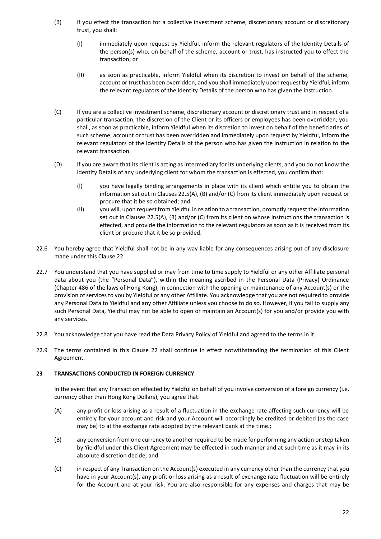- (B) If you effect the transaction for a collective investment scheme, discretionary account or discretionary trust, you shall:
	- (I) immediately upon request by Yieldful, inform the relevant regulators of the Identity Details of the person(s) who, on behalf of the scheme, account or trust, has instructed you to effect the transaction; or
	- (II) as soon as practicable, inform Yieldful when its discretion to invest on behalf of the scheme, account or trust has been overridden, and you shall immediately upon request by Yieldful, inform the relevant regulators of the Identity Details of the person who has given the instruction.
- (C) If you are a collective investment scheme, discretionary account or discretionary trust and in respect of a particular transaction, the discretion of the Client or its officers or employees has been overridden, you shall, as soon as practicable, inform Yieldful when its discretion to invest on behalf of the beneficiaries of such scheme, account or trust has been overridden and immediately upon request by Yieldful, inform the relevant regulators of the Identity Details of the person who has given the instruction in relation to the relevant transaction.
- (D) If you are aware that its client is acting as intermediary for its underlying clients, and you do not know the Identity Details of any underlying client for whom the transaction is effected, you confirm that:
	- (I) you have legally binding arrangements in place with its client which entitle you to obtain the information set out in Clauses 22.5(A), (B) and/or (C) from its client immediately upon request or procure that it be so obtained; and
	- (II) you will, upon request from Yieldful in relation to a transaction, promptly request the information set out in Clauses 22.5(A), (B) and/or (C) from its client on whose instructions the transaction is effected, and provide the information to the relevant regulators as soon as it is received from its client or procure that it be so provided.
- 22.6 You hereby agree that Yieldful shall not be in any way liable for any consequences arising out of any disclosure made under this Clause 22.
- 22.7 You understand that you have supplied or may from time to time supply to Yieldful or any other Affiliate personal data about you (the "Personal Data"), within the meaning ascribed in the Personal Data (Privacy) Ordinance (Chapter 486 of the laws of Hong Kong), in connection with the opening or maintenance of any Account(s) or the provision of services to you by Yieldful or any other Affiliate. You acknowledge that you are not required to provide any Personal Data to Yieldful and any other Affiliate unless you choose to do so. However, if you fail to supply any such Personal Data, Yieldful may not be able to open or maintain an Account(s) for you and/or provide you with any services.
- 22.8 You acknowledge that you have read the Data Privacy Policy of Yieldful and agreed to the terms in it.
- 22.9 The terms contained in this Clause 22 shall continue in effect notwithstanding the termination of this Client Agreement.

## **23 TRANSACTIONS CONDUCTED IN FOREIGN CURRENCY**

In the event that any Transaction effected by Yieldful on behalf of you involve conversion of a foreign currency (i.e. currency other than Hong Kong Dollars), you agree that:

- (A) any profit or loss arising as a result of a fluctuation in the exchange rate affecting such currency will be entirely for your account and risk and your Account will accordingly be credited or debited (as the case may be) to at the exchange rate adopted by the relevant bank at the time.;
- (B) any conversion from one currency to another required to be made for performing any action or step taken by Yieldful under this Client Agreement may be effected in such manner and at such time as it may in its absolute discretion decide; and
- (C) in respect of any Transaction on the Account(s) executed in any currency other than the currency that you have in your Account(s), any profit or loss arising as a result of exchange rate fluctuation will be entirely for the Account and at your risk. You are also responsible for any expenses and charges that may be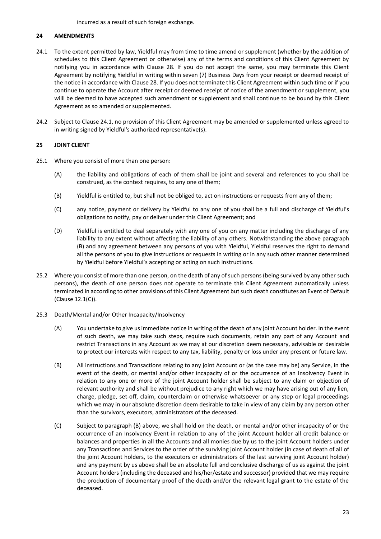incurred as a result of such foreign exchange.

## **24 AMENDMENTS**

- 24.1 To the extent permitted by law, Yieldful may from time to time amend or supplement (whether by the addition of schedules to this Client Agreement or otherwise) any of the terms and conditions of this Client Agreement by notifying you in accordance with Clause 28. If you do not accept the same, you may terminate this Client Agreement by notifying Yieldful in writing within seven (7) Business Days from your receipt or deemed receipt of the notice in accordance with Clause 28. If you does not terminate this Client Agreement within such time or if you continue to operate the Account after receipt or deemed receipt of notice of the amendment or supplement, you willl be deemed to have accepted such amendment or supplement and shall continue to be bound by this Client Agreement as so amended or supplemented.
- 24.2 Subject to Clause 24.1, no provision of this Client Agreement may be amended or supplemented unless agreed to in writing signed by Yieldful's authorized representative(s).

## **25 JOINT CLIENT**

- 25.1 Where you consist of more than one person:
	- (A) the liability and obligations of each of them shall be joint and several and references to you shall be construed, as the context requires, to any one of them;
	- (B) Yieldful is entitled to, but shall not be obliged to, act on instructions or requests from any of them;
	- (C) any notice, payment or delivery by Yieldful to any one of you shall be a full and discharge of Yieldful's obligations to notify, pay or deliver under this Client Agreement; and
	- (D) Yieldful is entitled to deal separately with any one of you on any matter including the discharge of any liability to any extent without affecting the liability of any others. Notwithstanding the above paragraph (B) and any agreement between any persons of you with Yieldful, Yieldful reserves the right to demand all the persons of you to give instructions or requests in writing or in any such other manner determined by Yieldful before Yieldful's accepting or acting on such instructions.
- 25.2 Where you consist of more than one person, on the death of any of such persons (being survived by any other such persons), the death of one person does not operate to terminate this Client Agreement automatically unless terminated in according to other provisions of this Client Agreement but such death constitutes an Event of Default (Clause 12.1(C)).
- 25.3 Death/Mental and/or Other Incapacity/Insolvency
	- (A) You undertake to give us immediate notice in writing of the death of any joint Account holder. In the event of such death, we may take such steps, require such documents, retain any part of any Account and restrict Transactions in any Account as we may at our discretion deem necessary, advisable or desirable to protect our interests with respect to any tax, liability, penalty or loss under any present or future law.
	- (B) All instructions and Transactions relating to any joint Account or (as the case may be) any Service, in the event of the death, or mental and/or other incapacity of or the occurrence of an Insolvency Event in relation to any one or more of the joint Account holder shall be subject to any claim or objection of relevant authority and shall be without prejudice to any right which we may have arising out of any lien, charge, pledge, set-off, claim, counterclaim or otherwise whatsoever or any step or legal proceedings which we may in our absolute discretion deem desirable to take in view of any claim by any person other than the survivors, executors, administrators of the deceased.
	- (C) Subject to paragraph (B) above, we shall hold on the death, or mental and/or other incapacity of or the occurrence of an Insolvency Event in relation to any of the joint Account holder all credit balance or balances and properties in all the Accounts and all monies due by us to the joint Account holders under any Transactions and Services to the order of the surviving joint Account holder (in case of death of all of the joint Account holders, to the executors or administrators of the last surviving joint Account holder) and any payment by us above shall be an absolute full and conclusive discharge of us as against the joint Account holders (including the deceased and his/her/estate and successor) provided that we may require the production of documentary proof of the death and/or the relevant legal grant to the estate of the deceased.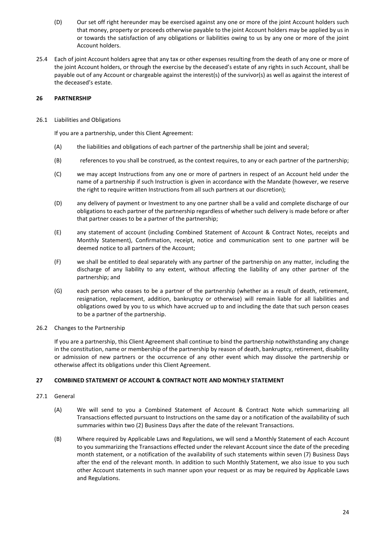- (D) Our set off right hereunder may be exercised against any one or more of the joint Account holders such that money, property or proceeds otherwise payable to the joint Account holders may be applied by us in or towards the satisfaction of any obligations or liabilities owing to us by any one or more of the joint Account holders.
- 25.4 Each of joint Account holders agree that any tax or other expenses resulting from the death of any one or more of the joint Account holders, or through the exercise by the deceased's estate of any rights in such Account, shall be payable out of any Account or chargeable against the interest(s) of the survivor(s) as well as against the interest of the deceased's estate.

## **26 PARTNERSHIP**

## 26.1 Liabilities and Obligations

If you are a partnership, under this Client Agreement:

- (A) the liabilities and obligations of each partner of the partnership shall be joint and several;
- (B) references to you shall be construed, as the context requires, to any or each partner of the partnership;
- (C) we may accept Instructions from any one or more of partners in respect of an Account held under the name of a partnership if such Instruction is given in accordance with the Mandate (however, we reserve the right to require written Instructions from all such partners at our discretion);
- (D) any delivery of payment or Investment to any one partner shall be a valid and complete discharge of our obligations to each partner of the partnership regardless of whether such delivery is made before or after that partner ceases to be a partner of the partnership;
- (E) any statement of account (including Combined Statement of Account & Contract Notes, receipts and Monthly Statement), Confirmation, receipt, notice and communication sent to one partner will be deemed notice to all partners of the Account;
- (F) we shall be entitled to deal separately with any partner of the partnership on any matter, including the discharge of any liability to any extent, without affecting the liability of any other partner of the partnership; and
- (G) each person who ceases to be a partner of the partnership (whether as a result of death, retirement, resignation, replacement, addition, bankruptcy or otherwise) will remain liable for all liabilities and obligations owed by you to us which have accrued up to and including the date that such person ceases to be a partner of the partnership.

## 26.2 Changes to the Partnership

If you are a partnership, this Client Agreement shall continue to bind the partnership notwithstanding any change in the constitution, name or membership of the partnership by reason of death, bankruptcy, retirement, disability or admission of new partners or the occurrence of any other event which may dissolve the partnership or otherwise affect its obligations under this Client Agreement.

## **27 COMBINED STATEMENT OF ACCOUNT & CONTRACT NOTE AND MONTHLY STATEMENT**

#### 27.1 General

- (A) We will send to you a Combined Statement of Account & Contract Note which summarizing all Transactions effected pursuant to Instructions on the same day or a notification of the availability of such summaries within two (2) Business Days after the date of the relevant Transactions.
- (B) Where required by Applicable Laws and Regulations, we will send a Monthly Statement of each Account to you summarizing the Transactions effected under the relevant Account since the date of the preceding month statement, or a notification of the availability of such statements within seven (7) Business Days after the end of the relevant month. In addition to such Monthly Statement, we also issue to you such other Account statements in such manner upon your request or as may be required by Applicable Laws and Regulations.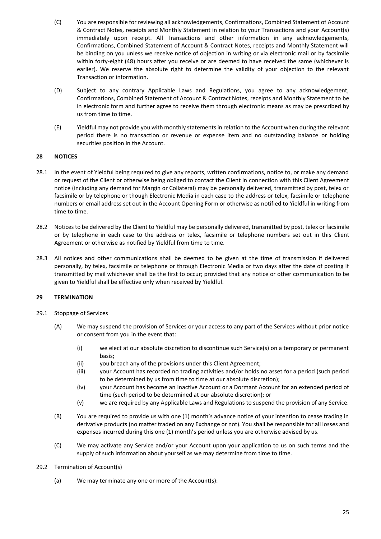- (C) You are responsible for reviewing all acknowledgements, Confirmations, Combined Statement of Account & Contract Notes, receipts and Monthly Statement in relation to your Transactions and your Account(s) immediately upon receipt. All Transactions and other information in any acknowledgements, Confirmations, Combined Statement of Account & Contract Notes, receipts and Monthly Statement will be binding on you unless we receive notice of objection in writing or via electronic mail or by facsimile within forty-eight (48) hours after you receive or are deemed to have received the same (whichever is earlier). We reserve the absolute right to determine the validity of your objection to the relevant Transaction or information.
- (D) Subject to any contrary Applicable Laws and Regulations, you agree to any acknowledgement, Confirmations, Combined Statement of Account & Contract Notes, receipts and Monthly Statement to be in electronic form and further agree to receive them through electronic means as may be prescribed by us from time to time.
- (E) Yieldful may not provide you with monthly statements in relation to the Account when during the relevant period there is no transaction or revenue or expense item and no outstanding balance or holding securities position in the Account.

## **28 NOTICES**

- 28.1 In the event of Yieldful being required to give any reports, written confirmations, notice to, or make any demand or request of the Client or otherwise being obliged to contact the Client in connection with this Client Agreement notice (including any demand for Margin or Collateral) may be personally delivered, transmitted by post, telex or facsimile or by telephone or though Electronic Media in each case to the address or telex, facsimile or telephone numbers or email address set out in the Account Opening Form or otherwise as notified to Yieldful in writing from time to time.
- 28.2 Notices to be delivered by the Client to Yieldful may be personally delivered, transmitted by post, telex or facsimile or by telephone in each case to the address or telex, facsimile or telephone numbers set out in this Client Agreement or otherwise as notified by Yieldful from time to time.
- 28.3 All notices and other communications shall be deemed to be given at the time of transmission if delivered personally, by telex, facsimile or telephone or through Electronic Media or two days after the date of posting if transmitted by mail whichever shall be the first to occur; provided that any notice or other communication to be given to Yieldful shall be effective only when received by Yieldful.

## **29 TERMINATION**

- 29.1 Stoppage of Services
	- (A) We may suspend the provision of Services or your access to any part of the Services without prior notice or consent from you in the event that:
		- (i) we elect at our absolute discretion to discontinue such Service(s) on a temporary or permanent basis;
		- (ii) you breach any of the provisions under this Client Agreement;
		- (iii) your Account has recorded no trading activities and/or holds no asset for a period (such period to be determined by us from time to time at our absolute discretion);
		- (iv) your Account has become an Inactive Account or a Dormant Account for an extended period of time (such period to be determined at our absolute discretion); or
		- (v) we are required by any Applicable Laws and Regulations to suspend the provision of any Service.
	- (B) You are required to provide us with one (1) month's advance notice of your intention to cease trading in derivative products (no matter traded on any Exchange or not). You shall be responsible for all losses and expenses incurred during this one (1) month's period unless you are otherwise advised by us.
	- (C) We may activate any Service and/or your Account upon your application to us on such terms and the supply of such information about yourself as we may determine from time to time.
- 29.2 Termination of Account(s)
	- (a) We may terminate any one or more of the Account(s):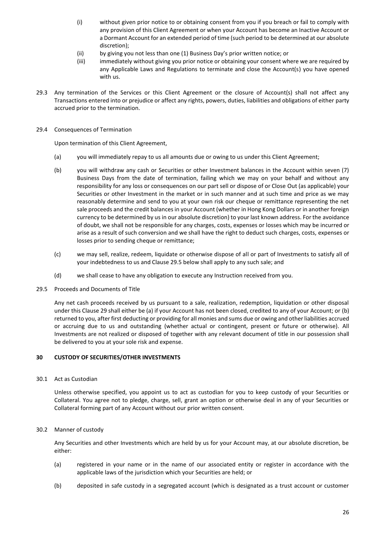- (i) without given prior notice to or obtaining consent from you if you breach or fail to comply with any provision of this Client Agreement or when your Account has become an Inactive Account or a Dormant Account for an extended period of time (such period to be determined at our absolute discretion);
- (ii) by giving you not less than one (1) Business Day's prior written notice; or
- (iii) immediately without giving you prior notice or obtaining your consent where we are required by any Applicable Laws and Regulations to terminate and close the Account(s) you have opened with us.
- 29.3 Any termination of the Services or this Client Agreement or the closure of Account(s) shall not affect any Transactions entered into or prejudice or affect any rights, powers, duties, liabilities and obligations of either party accrued prior to the termination.
- 29.4 Consequences of Termination

Upon termination of this Client Agreement,

- (a) you will immediately repay to us all amounts due or owing to us under this Client Agreement;
- (b) you will withdraw any cash or Securities or other Investment balances in the Account within seven (7) Business Days from the date of termination, failing which we may on your behalf and without any responsibility for any loss or consequences on our part sell or dispose of or Close Out (as applicable) your Securities or other Investment in the market or in such manner and at such time and price as we may reasonably determine and send to you at your own risk our cheque or remittance representing the net sale proceeds and the credit balances in your Account (whether in Hong Kong Dollars or in another foreign currency to be determined by us in our absolute discretion) to your last known address. For the avoidance of doubt, we shall not be responsible for any charges, costs, expenses or losses which may be incurred or arise as a result of such conversion and we shall have the right to deduct such charges, costs, expenses or losses prior to sending cheque or remittance;
- (c) we may sell, realize, redeem, liquidate or otherwise dispose of all or part of Investments to satisfy all of your indebtedness to us and Clause 29.5 below shall apply to any such sale; and
- (d) we shall cease to have any obligation to execute any Instruction received from you.
- 29.5 Proceeds and Documents of Title

Any net cash proceeds received by us pursuant to a sale, realization, redemption, liquidation or other disposal under this Clause 29 shall either be (a) if your Account has not been closed, credited to any of your Account; or (b) returned to you, after first deducting or providing for all monies and sums due or owing and other liabilities accrued or accruing due to us and outstanding (whether actual or contingent, present or future or otherwise). All Investments are not realized or disposed of together with any relevant document of title in our possession shall be delivered to you at your sole risk and expense.

## **30 CUSTODY OF SECURITIES/OTHER INVESTMENTS**

30.1 Act as Custodian

Unless otherwise specified, you appoint us to act as custodian for you to keep custody of your Securities or Collateral. You agree not to pledge, charge, sell, grant an option or otherwise deal in any of your Securities or Collateral forming part of any Account without our prior written consent.

30.2 Manner of custody

Any Securities and other Investments which are held by us for your Account may, at our absolute discretion, be either:

- (a) registered in your name or in the name of our associated entity or register in accordance with the applicable laws of the jurisdiction which your Securities are held; or
- (b) deposited in safe custody in a segregated account (which is designated as a trust account or customer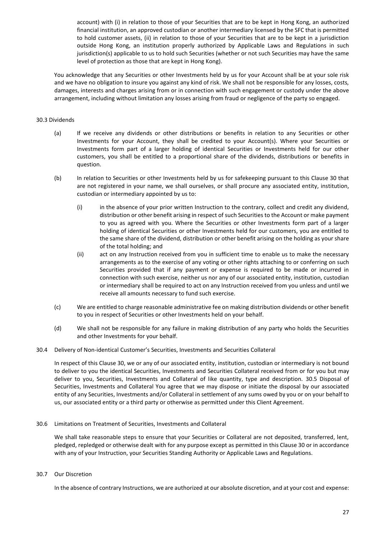account) with (i) in relation to those of your Securities that are to be kept in Hong Kong, an authorized financial institution, an approved custodian or another intermediary licensed by the SFC that is permitted to hold customer assets, (ii) in relation to those of your Securities that are to be kept in a jurisdiction outside Hong Kong, an institution properly authorized by Applicable Laws and Regulations in such jurisdiction(s) applicable to us to hold such Securities (whether or not such Securities may have the same level of protection as those that are kept in Hong Kong).

You acknowledge that any Securities or other Investments held by us for your Account shall be at your sole risk and we have no obligation to insure you against any kind of risk. We shall not be responsible for any losses, costs, damages, interests and charges arising from or in connection with such engagement or custody under the above arrangement, including without limitation any losses arising from fraud or negligence of the party so engaged.

#### 30.3 Dividends

- (a) If we receive any dividends or other distributions or benefits in relation to any Securities or other Investments for your Account, they shall be credited to your Account(s). Where your Securities or Investments form part of a larger holding of identical Securities or Investments held for our other customers, you shall be entitled to a proportional share of the dividends, distributions or benefits in question.
- (b) In relation to Securities or other Investments held by us for safekeeping pursuant to this Clause 30 that are not registered in your name, we shall ourselves, or shall procure any associated entity, institution, custodian or intermediary appointed by us to:
	- (i) in the absence of your prior written Instruction to the contrary, collect and credit any dividend, distribution or other benefit arising in respect of such Securities to the Account or make payment to you as agreed with you. Where the Securities or other Investments form part of a larger holding of identical Securities or other Investments held for our customers, you are entitled to the same share of the dividend, distribution or other benefit arising on the holding as your share of the total holding; and
	- (ii) act on any Instruction received from you in sufficient time to enable us to make the necessary arrangements as to the exercise of any voting or other rights attaching to or conferring on such Securities provided that if any payment or expense is required to be made or incurred in connection with such exercise, neither us nor any of our associated entity, institution, custodian or intermediary shall be required to act on any Instruction received from you unless and until we receive all amounts necessary to fund such exercise.
- (c) We are entitled to charge reasonable administrative fee on making distribution dividends or other benefit to you in respect of Securities or other Investments held on your behalf.
- (d) We shall not be responsible for any failure in making distribution of any party who holds the Securities and other Investments for your behalf.
- 30.4 Delivery of Non-identical Customer's Securities, Investments and Securities Collateral

In respect of this Clause 30, we or any of our associated entity, institution, custodian or intermediary is not bound to deliver to you the identical Securities, Investments and Securities Collateral received from or for you but may deliver to you, Securities, Investments and Collateral of like quantity, type and description. 30.5 Disposal of Securities, Investments and Collateral You agree that we may dispose or initiate the disposal by our associated entity of any Securities, Investments and/or Collateral in settlement of any sums owed by you or on your behalf to us, our associated entity or a third party or otherwise as permitted under this Client Agreement.

#### 30.6 Limitations on Treatment of Securities, Investments and Collateral

We shall take reasonable steps to ensure that your Securities or Collateral are not deposited, transferred, lent, pledged, repledged or otherwise dealt with for any purpose except as permitted in this Clause 30 or in accordance with any of your Instruction, your Securities Standing Authority or Applicable Laws and Regulations.

30.7 Our Discretion

In the absence of contrary Instructions, we are authorized at our absolute discretion, and at your cost and expense: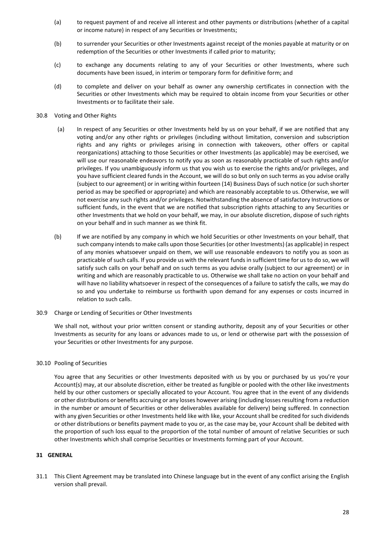- (a) to request payment of and receive all interest and other payments or distributions (whether of a capital or income nature) in respect of any Securities or Investments;
- (b) to surrender your Securities or other Investments against receipt of the monies payable at maturity or on redemption of the Securities or other Investments if called prior to maturity;
- (c) to exchange any documents relating to any of your Securities or other Investments, where such documents have been issued, in interim or temporary form for definitive form; and
- (d) to complete and deliver on your behalf as owner any ownership certificates in connection with the Securities or other Investments which may be required to obtain income from your Securities or other Investments or to facilitate their sale.

### 30.8 Voting and Other Rights

- (a) In respect of any Securities or other Investments held by us on your behalf, if we are notified that any voting and/or any other rights or privileges (including without limitation, conversion and subscription rights and any rights or privileges arising in connection with takeovers, other offers or capital reorganizations) attaching to those Securities or other Investments (as applicable) may be exercised, we will use our reasonable endeavors to notify you as soon as reasonably practicable of such rights and/or privileges. If you unambiguously inform us that you wish us to exercise the rights and/or privileges, and you have sufficient cleared funds in the Account, we will do so but only on such terms as you advise orally (subject to our agreement) or in writing within fourteen (14) Business Days of such notice (or such shorter period as may be specified or appropriate) and which are reasonably acceptable to us. Otherwise, we will not exercise any such rights and/or privileges. Notwithstanding the absence of satisfactory Instructions or sufficient funds, in the event that we are notified that subscription rights attaching to any Securities or other Investments that we hold on your behalf, we may, in our absolute discretion, dispose of such rights on your behalf and in such manner as we think fit.
- (b) If we are notified by any company in which we hold Securities or other Investments on your behalf, that such company intends to make calls upon those Securities (or other Investments) (as applicable) in respect of any monies whatsoever unpaid on them, we will use reasonable endeavors to notify you as soon as practicable of such calls. If you provide us with the relevant funds in sufficient time for us to do so, we will satisfy such calls on your behalf and on such terms as you advise orally (subject to our agreement) or in writing and which are reasonably practicable to us. Otherwise we shall take no action on your behalf and will have no liability whatsoever in respect of the consequences of a failure to satisfy the calls, we may do so and you undertake to reimburse us forthwith upon demand for any expenses or costs incurred in relation to such calls.
- 30.9 Charge or Lending of Securities or Other Investments

We shall not, without your prior written consent or standing authority, deposit any of your Securities or other Investments as security for any loans or advances made to us, or lend or otherwise part with the possession of your Securities or other Investments for any purpose.

#### 30.10 Pooling of Securities

You agree that any Securities or other Investments deposited with us by you or purchased by us you're your Account(s) may, at our absolute discretion, either be treated as fungible or pooled with the other like investments held by our other customers or specially allocated to your Account. You agree that in the event of any dividends or other distributions or benefits accruing or any losses however arising (including losses resulting from a reduction in the number or amount of Securities or other deliverables available for delivery) being suffered. In connection with any given Securities or other Investments held like with like, your Account shall be credited for such dividends or other distributions or benefits payment made to you or, as the case may be, your Account shall be debited with the proportion of such loss equal to the proportion of the total number of amount of relative Securities or such other Investments which shall comprise Securities or Investments forming part of your Account.

#### **31 GENERAL**

31.1 This Client Agreement may be translated into Chinese language but in the event of any conflict arising the English version shall prevail.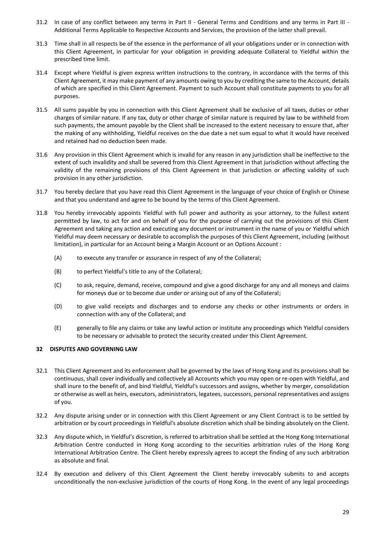- 31.2 In case of any conflict between any terms in Part II General Terms and Conditions and any terms in Part III Additional Terms Applicable to Respective Accounts and Services, the provision of the latter shall prevail.
- 31.3 Time shall in all respects be of the essence in the performance of all your obligations under or in connection with this Client Agreement, in particular for your obligation in providing adequate Collateral to Yieldful within the prescribed time limit.
- 31.4 Except where Yieldful is given express written instructions to the contrary, in accordance with the terms of this Client Agreement, it may make payment of any amounts owing to you by crediting the same to the Account, details of which are specified in this Client Agreement. Payment to such Account shall constitute payments to you for all purposes.
- 31.5 All sums payable by you in connection with this Client Agreement shall be exclusive of all taxes, duties or other charges of similar nature. If any tax, duty or other charge of similar nature is required by law to be withheld from such payments, the amount payable by the Client shall be increased to the extent necessary to ensure that, after the making of any withholding, Yieldful receives on the due date a net sum equal to what it would have received and retained had no deduction been made.
- 31.6 Any provision in this Client Agreement which is invalid for any reason in any jurisdiction shall be ineffective to the extent of such invalidity and shall be severed from this Client Agreement in that jurisdiction without affecting the validity of the remaining provisions of this Client Agreement in that jurisdiction or affecting validity of such provision in any other jurisdiction.
- 31.7 You hereby declare that you have read this Client Agreement in the language of your choice of English or Chinese and that you understand and agree to be bound by the terms of this Client Agreement.
- 31.8 You hereby irrevocably appoints Yieldful with full power and authority as your attorney, to the fullest extent permitted by law, to act for and on behalf of you for the purpose of carrying out the provisions of this Client Agreement and taking any action and executing any document or instrument in the name of you or Yieldful which Yieldful may deem necessary or desirable to accomplish the purposes of this Client Agreement, including (without limitation), in particular for an Account being a Margin Account or an Options Account :
	- (A) to execute any transfer or assurance in respect of any of the Collateral;
	- (B) to perfect Yieldful's title to any of the Collateral;
	- (C) to ask, require, demand, receive, compound and give a good discharge for any and all moneys and claims for moneys due or to become due under or arising out of any of the Collateral;
	- (D) to give valid receipts and discharges and to endorse any checks or other instruments or orders in connection with any of the Collateral; and
	- (E) generally to file any claims or take any lawful action or institute any proceedings which Yieldful considers to be necessary or advisable to protect the security created under this Client Agreement.

## **32 DISPUTES AND GOVERNING LAW**

- 32.1 This Client Agreement and its enforcement shall be governed by the laws of Hong Kong and its provisions shall be continuous, shall cover individually and collectively all Accounts which you may open or re-open with Yieldful, and shall inure to the benefit of, and bind Yieldful, Yieldful's successors and assigns, whether by merger, consolidation or otherwise as well as heirs, executors, administrators, legatees, successors, personal representatives and assigns of you.
- 32.2 Any dispute arising under or in connection with this Client Agreement or any Client Contract is to be settled by arbitration or by court proceedings in Yieldful's absolute discretion which shall be binding absolutely on the Client.
- 32.3 Any dispute which, in Yieldful's discretion, is referred to arbitration shall be settled at the Hong Kong International Arbitration Centre conducted in Hong Kong according to the securities arbitration rules of the Hong Kong International Arbitration Centre. The Client hereby expressly agrees to accept the finding of any such arbitration as absolute and final.
- 32.4 By execution and delivery of this Client Agreement the Client hereby irrevocably submits to and accepts unconditionally the non-exclusive jurisdiction of the courts of Hong Kong. In the event of any legal proceedings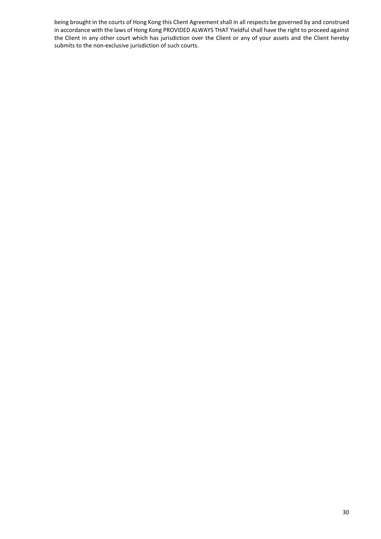being brought in the courts of Hong Kong this Client Agreement shall in all respects be governed by and construed in accordance with the laws of Hong Kong PROVIDED ALWAYS THAT Yieldful shall have the right to proceed against the Client in any other court which has jurisdiction over the Client or any of your assets and the Client hereby submits to the non-exclusive jurisdiction of such courts.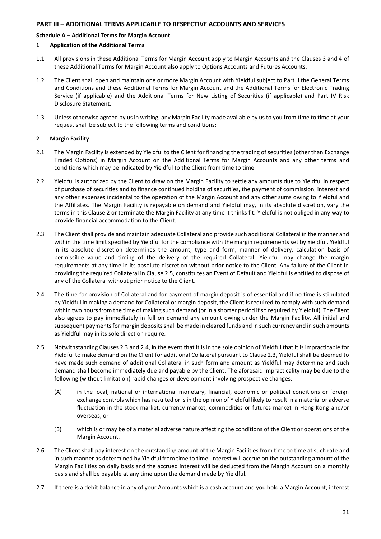## **PART III – ADDITIONAL TERMS APPLICABLE TO RESPECTIVE ACCOUNTS AND SERVICES**

#### **Schedule A – Additional Terms for Margin Account**

### **1 Application of the Additional Terms**

- 1.1 All provisions in these Additional Terms for Margin Account apply to Margin Accounts and the Clauses 3 and 4 of these Additional Terms for Margin Account also apply to Options Accounts and Futures Accounts.
- 1.2 The Client shall open and maintain one or more Margin Account with Yieldful subject to Part II the General Terms and Conditions and these Additional Terms for Margin Account and the Additional Terms for Electronic Trading Service (if applicable) and the Additional Terms for New Listing of Securities (if applicable) and Part IV Risk Disclosure Statement.
- 1.3 Unless otherwise agreed by us in writing, any Margin Facility made available by us to you from time to time at your request shall be subject to the following terms and conditions:

#### **2 Margin Facility**

- 2.1 The Margin Facility is extended by Yieldful to the Client for financing the trading of securities (other than Exchange Traded Options) in Margin Account on the Additional Terms for Margin Accounts and any other terms and conditions which may be indicated by Yieldful to the Client from time to time.
- 2.2 Yieldful is authorized by the Client to draw on the Margin Facility to settle any amounts due to Yieldful in respect of purchase of securities and to finance continued holding of securities, the payment of commission, interest and any other expenses incidental to the operation of the Margin Account and any other sums owing to Yieldful and the Affiliates. The Margin Facility is repayable on demand and Yieldful may, in its absolute discretion, vary the terms in this Clause 2 or terminate the Margin Facility at any time it thinks fit. Yieldful is not obliged in any way to provide financial accommodation to the Client.
- 2.3 The Client shall provide and maintain adequate Collateral and provide such additional Collateral in the manner and within the time limit specified by Yieldful for the compliance with the margin requirements set by Yieldful. Yieldful in its absolute discretion determines the amount, type and form, manner of delivery, calculation basis of permissible value and timing of the delivery of the required Collateral. Yieldful may change the margin requirements at any time in its absolute discretion without prior notice to the Client. Any failure of the Client in providing the required Collateral in Clause 2.5, constitutes an Event of Default and Yieldful is entitled to dispose of any of the Collateral without prior notice to the Client.
- 2.4 The time for provision of Collateral and for payment of margin deposit is of essential and if no time is stipulated by Yieldful in making a demand for Collateral or margin deposit, the Client is required to comply with such demand within two hours from the time of making such demand (or in a shorter period if so required by Yieldful). The Client also agrees to pay immediately in full on demand any amount owing under the Margin Facility. All initial and subsequent payments for margin deposits shall be made in cleared funds and in such currency and in such amounts as Yieldful may in its sole direction require.
- 2.5 Notwithstanding Clauses 2.3 and 2.4, in the event that it is in the sole opinion of Yieldful that it is impracticable for Yieldful to make demand on the Client for additional Collateral pursuant to Clause 2.3, Yieldful shall be deemed to have made such demand of additional Collateral in such form and amount as Yieldful may determine and such demand shall become immediately due and payable by the Client. The aforesaid impracticality may be due to the following (without limitation) rapid changes or development involving prospective changes:
	- (A) in the local, national or international monetary, financial, economic or political conditions or foreign exchange controls which has resulted or is in the opinion of Yieldful likely to result in a material or adverse fluctuation in the stock market, currency market, commodities or futures market in Hong Kong and/or overseas; or
	- (B) which is or may be of a material adverse nature affecting the conditions of the Client or operations of the Margin Account.
- 2.6 The Client shall pay interest on the outstanding amount of the Margin Facilities from time to time at such rate and in such manner as determined by Yieldful from time to time. Interest will accrue on the outstanding amount of the Margin Facilities on daily basis and the accrued interest will be deducted from the Margin Account on a monthly basis and shall be payable at any time upon the demand made by Yieldful.
- 2.7 If there is a debit balance in any of your Accounts which is a cash account and you hold a Margin Account, interest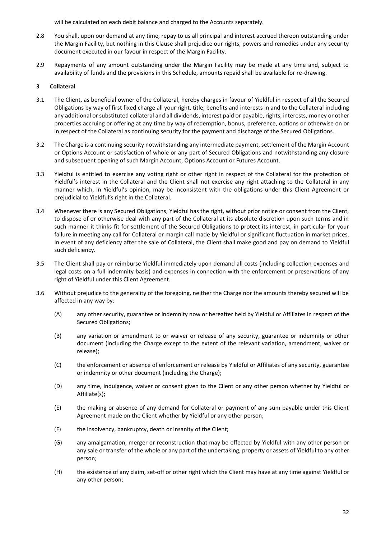will be calculated on each debit balance and charged to the Accounts separately.

- 2.8 You shall, upon our demand at any time, repay to us all principal and interest accrued thereon outstanding under the Margin Facility, but nothing in this Clause shall prejudice our rights, powers and remedies under any security document executed in our favour in respect of the Margin Facility.
- 2.9 Repayments of any amount outstanding under the Margin Facility may be made at any time and, subject to availability of funds and the provisions in this Schedule, amounts repaid shall be available for re-drawing.

### **3 Collateral**

- 3.1 The Client, as beneficial owner of the Collateral, hereby charges in favour of Yieldful in respect of all the Secured Obligations by way of first fixed charge all your right, title, benefits and interests in and to the Collateral including any additional or substituted collateral and all dividends, interest paid or payable, rights, interests, money or other properties accruing or offering at any time by way of redemption, bonus, preference, options or otherwise on or in respect of the Collateral as continuing security for the payment and discharge of the Secured Obligations.
- 3.2 The Charge is a continuing security notwithstanding any intermediate payment, settlement of the Margin Account or Options Account or satisfaction of whole or any part of Secured Obligations and notwithstanding any closure and subsequent opening of such Margin Account, Options Account or Futures Account.
- 3.3 Yieldful is entitled to exercise any voting right or other right in respect of the Collateral for the protection of Yieldful's interest in the Collateral and the Client shall not exercise any right attaching to the Collateral in any manner which, in Yieldful's opinion, may be inconsistent with the obligations under this Client Agreement or prejudicial to Yieldful's right in the Collateral.
- 3.4 Whenever there is any Secured Obligations, Yieldful has the right, without prior notice or consent from the Client, to dispose of or otherwise deal with any part of the Collateral at its absolute discretion upon such terms and in such manner it thinks fit for settlement of the Secured Obligations to protect its interest, in particular for your failure in meeting any call for Collateral or margin call made by Yieldful or significant fluctuation in market prices. In event of any deficiency after the sale of Collateral, the Client shall make good and pay on demand to Yieldful such deficiency.
- 3.5 The Client shall pay or reimburse Yieldful immediately upon demand all costs (including collection expenses and legal costs on a full indemnity basis) and expenses in connection with the enforcement or preservations of any right of Yieldful under this Client Agreement.
- 3.6 Without prejudice to the generality of the foregoing, neither the Charge nor the amounts thereby secured will be affected in any way by:
	- (A) any other security, guarantee or indemnity now or hereafter held by Yieldful or Affiliates in respect of the Secured Obligations;
	- (B) any variation or amendment to or waiver or release of any security, guarantee or indemnity or other document (including the Charge except to the extent of the relevant variation, amendment, waiver or release);
	- (C) the enforcement or absence of enforcement or release by Yieldful or Affiliates of any security, guarantee or indemnity or other document (including the Charge);
	- (D) any time, indulgence, waiver or consent given to the Client or any other person whether by Yieldful or Affiliate(s);
	- (E) the making or absence of any demand for Collateral or payment of any sum payable under this Client Agreement made on the Client whether by Yieldful or any other person;
	- (F) the insolvency, bankruptcy, death or insanity of the Client;
	- (G) any amalgamation, merger or reconstruction that may be effected by Yieldful with any other person or any sale or transfer of the whole or any part of the undertaking, property or assets of Yieldful to any other person;
	- (H) the existence of any claim, set-off or other right which the Client may have at any time against Yieldful or any other person;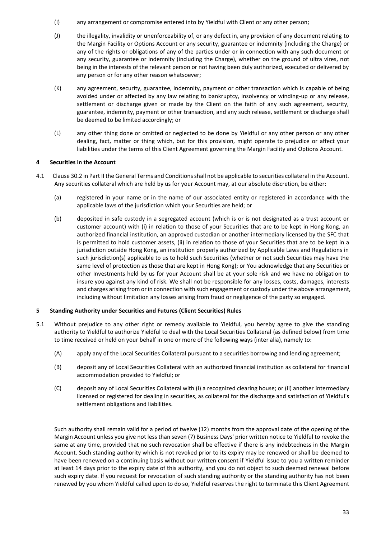- (I) any arrangement or compromise entered into by Yieldful with Client or any other person;
- (J) the illegality, invalidity or unenforceability of, or any defect in, any provision of any document relating to the Margin Facility or Options Account or any security, guarantee or indemnity (including the Charge) or any of the rights or obligations of any of the parties under or in connection with any such document or any security, guarantee or indemnity (including the Charge), whether on the ground of ultra vires, not being in the interests of the relevant person or not having been duly authorized, executed or delivered by any person or for any other reason whatsoever;
- (K) any agreement, security, guarantee, indemnity, payment or other transaction which is capable of being avoided under or affected by any law relating to bankruptcy, insolvency or winding-up or any release, settlement or discharge given or made by the Client on the faith of any such agreement, security, guarantee, indemnity, payment or other transaction, and any such release, settlement or discharge shall be deemed to be limited accordingly; or
- (L) any other thing done or omitted or neglected to be done by Yieldful or any other person or any other dealing, fact, matter or thing which, but for this provision, might operate to prejudice or affect your liabilities under the terms of this Client Agreement governing the Margin Facility and Options Account.

## **4 Securities in the Account**

- 4.1 Clause 30.2 in Part II the General Terms and Conditions shall not be applicable to securities collateral in the Account. Any securities collateral which are held by us for your Account may, at our absolute discretion, be either:
	- (a) registered in your name or in the name of our associated entity or registered in accordance with the applicable laws of the jurisdiction which your Securities are held; or
	- (b) deposited in safe custody in a segregated account (which is or is not designated as a trust account or customer account) with (i) in relation to those of your Securities that are to be kept in Hong Kong, an authorized financial institution, an approved custodian or another intermediary licensed by the SFC that is permitted to hold customer assets, (ii) in relation to those of your Securities that are to be kept in a jurisdiction outside Hong Kong, an institution properly authorized by Applicable Laws and Regulations in such jurisdiction(s) applicable to us to hold such Securities (whether or not such Securities may have the same level of protection as those that are kept in Hong Kong); or You acknowledge that any Securities or other Investments held by us for your Account shall be at your sole risk and we have no obligation to insure you against any kind of risk. We shall not be responsible for any losses, costs, damages, interests and charges arising from or in connection with such engagement or custody under the above arrangement, including without limitation any losses arising from fraud or negligence of the party so engaged.

## **5 Standing Authority under Securities and Futures (Client Securities) Rules**

- 5.1 Without prejudice to any other right or remedy available to Yieldful, you hereby agree to give the standing authority to Yieldful to authorize Yieldful to deal with the Local Securities Collateral (as defined below) from time to time received or held on your behalf in one or more of the following ways (inter alia), namely to:
	- (A) apply any of the Local Securities Collateral pursuant to a securities borrowing and lending agreement;
	- (B) deposit any of Local Securities Collateral with an authorized financial institution as collateral for financial accommodation provided to Yieldful; or
	- (C) deposit any of Local Securities Collateral with (i) a recognized clearing house; or (ii) another intermediary licensed or registered for dealing in securities, as collateral for the discharge and satisfaction of Yieldful's settlement obligations and liabilities.

Such authority shall remain valid for a period of twelve (12) months from the approval date of the opening of the Margin Account unless you give not less than seven (7) Business Days' prior written notice to Yieldful to revoke the same at any time, provided that no such revocation shall be effective if there is any indebtedness in the Margin Account. Such standing authority which is not revoked prior to its expiry may be renewed or shall be deemed to have been renewed on a continuing basis without our written consent if Yieldful issue to you a written reminder at least 14 days prior to the expiry date of this authority, and you do not object to such deemed renewal before such expiry date. If you request for revocation of such standing authority or the standing authority has not been renewed by you whom Yieldful called upon to do so, Yieldful reserves the right to terminate this Client Agreement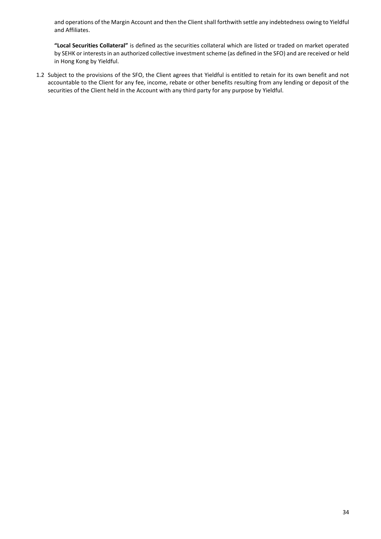and operations of the Margin Account and then the Client shall forthwith settle any indebtedness owing to Yieldful and Affiliates.

**"Local Securities Collateral"** is defined as the securities collateral which are listed or traded on market operated by SEHK or interests in an authorized collective investment scheme (as defined in the SFO) and are received or held in Hong Kong by Yieldful.

1.2 Subject to the provisions of the SFO, the Client agrees that Yieldful is entitled to retain for its own benefit and not accountable to the Client for any fee, income, rebate or other benefits resulting from any lending or deposit of the securities of the Client held in the Account with any third party for any purpose by Yieldful.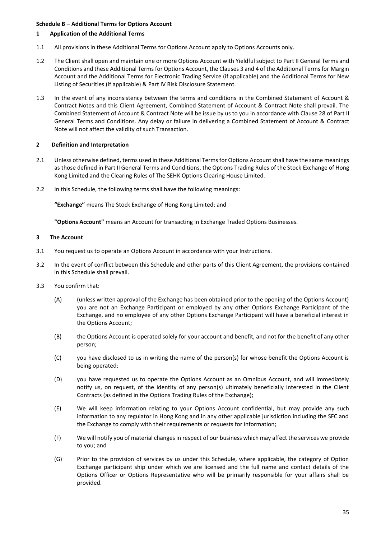## **Schedule B – Additional Terms for Options Account**

## **1 Application of the Additional Terms**

- 1.1 All provisions in these Additional Terms for Options Account apply to Options Accounts only.
- 1.2 The Client shall open and maintain one or more Options Account with Yieldful subject to Part II General Terms and Conditions and these Additional Terms for Options Account, the Clauses 3 and 4 of the Additional Terms for Margin Account and the Additional Terms for Electronic Trading Service (if applicable) and the Additional Terms for New Listing of Securities (if applicable) & Part IV Risk Disclosure Statement.
- 1.3 In the event of any inconsistency between the terms and conditions in the Combined Statement of Account & Contract Notes and this Client Agreement, Combined Statement of Account & Contract Note shall prevail. The Combined Statement of Account & Contract Note will be issue by us to you in accordance with Clause 28 of Part II General Terms and Conditions. Any delay or failure in delivering a Combined Statement of Account & Contract Note will not affect the validity of such Transaction.

## **2 Definition and Interpretation**

- 2.1 Unless otherwise defined, terms used in these Additional Terms for Options Account shall have the same meanings as those defined in Part II General Terms and Conditions, the Options Trading Rules of the Stock Exchange of Hong Kong Limited and the Clearing Rules of The SEHK Options Clearing House Limited.
- 2.2 In this Schedule, the following terms shall have the following meanings:

**"Exchange"** means The Stock Exchange of Hong Kong Limited; and

**"Options Account"** means an Account for transacting in Exchange Traded Options Businesses.

## **3 The Account**

- 3.1 You request us to operate an Options Account in accordance with your Instructions.
- 3.2 In the event of conflict between this Schedule and other parts of this Client Agreement, the provisions contained in this Schedule shall prevail.
- 3.3 You confirm that:
	- (A) (unless written approval of the Exchange has been obtained prior to the opening of the Options Account) you are not an Exchange Participant or employed by any other Options Exchange Participant of the Exchange, and no employee of any other Options Exchange Participant will have a beneficial interest in the Options Account;
	- (B) the Options Account is operated solely for your account and benefit, and not for the benefit of any other person;
	- (C) you have disclosed to us in writing the name of the person(s) for whose benefit the Options Account is being operated;
	- (D) you have requested us to operate the Options Account as an Omnibus Account, and will immediately notify us, on request, of the identity of any person(s) ultimately beneficially interested in the Client Contracts (as defined in the Options Trading Rules of the Exchange);
	- (E) We will keep information relating to your Options Account confidential, but may provide any such information to any regulator in Hong Kong and in any other applicable jurisdiction including the SFC and the Exchange to comply with their requirements or requests for information;
	- (F) We will notify you of material changes in respect of our business which may affect the services we provide to you; and
	- (G) Prior to the provision of services by us under this Schedule, where applicable, the category of Option Exchange participant ship under which we are licensed and the full name and contact details of the Options Officer or Options Representative who will be primarily responsible for your affairs shall be provided.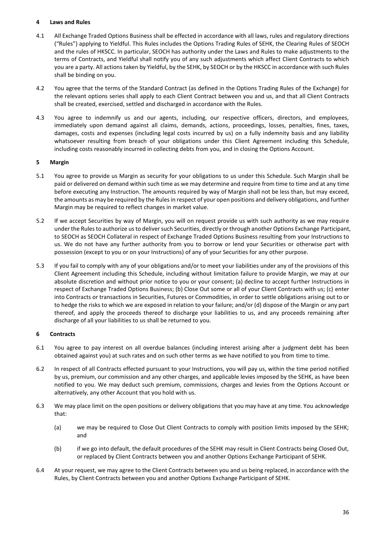## **4 Laws and Rules**

- 4.1 All Exchange Traded Options Business shall be effected in accordance with all laws, rules and regulatory directions ("Rules") applying to Yieldful. This Rules includes the Options Trading Rules of SEHK, the Clearing Rules of SEOCH and the rules of HKSCC. In particular, SEOCH has authority under the Laws and Rules to make adjustments to the terms of Contracts, and Yieldful shall notify you of any such adjustments which affect Client Contracts to which you are a party. All actions taken by Yieldful, by the SEHK, by SEOCH or by the HKSCC in accordance with such Rules shall be binding on you.
- 4.2 You agree that the terms of the Standard Contract (as defined in the Options Trading Rules of the Exchange) for the relevant options series shall apply to each Client Contract between you and us, and that all Client Contracts shall be created, exercised, settled and discharged in accordance with the Rules.
- 4.3 You agree to indemnify us and our agents, including, our respective officers, directors, and employees, immediately upon demand against all claims, demands, actions, proceedings, losses, penalties, fines, taxes, damages, costs and expenses (including legal costs incurred by us) on a fully indemnity basis and any liability whatsoever resulting from breach of your obligations under this Client Agreement including this Schedule, including costs reasonably incurred in collecting debts from you, and in closing the Options Account.

## **5 Margin**

- 5.1 You agree to provide us Margin as security for your obligations to us under this Schedule. Such Margin shall be paid or delivered on demand within such time as we may determine and require from time to time and at any time before executing any Instruction. The amounts required by way of Margin shall not be less than, but may exceed, the amounts as may be required by the Rules in respect of your open positions and delivery obligations, and further Margin may be required to reflect changes in market value.
- 5.2 If we accept Securities by way of Margin, you will on request provide us with such authority as we may require under the Rules to authorize us to deliver such Securities, directly or through another Options Exchange Participant, to SEOCH as SEOCH Collateral in respect of Exchange Traded Options Business resulting from your Instructions to us. We do not have any further authority from you to borrow or lend your Securities or otherwise part with possession (except to you or on your Instructions) of any of your Securities for any other purpose.
- 5.3 If you fail to comply with any of your obligations and/or to meet your liabilities under any of the provisions of this Client Agreement including this Schedule, including without limitation failure to provide Margin, we may at our absolute discretion and without prior notice to you or your consent; (a) decline to accept further Instructions in respect of Exchange Traded Options Business; (b) Close Out some or all of your Client Contracts with us; (c) enter into Contracts or transactions in Securities, Futures or Commodities, in order to settle obligations arising out to or to hedge the risks to which we are exposed in relation to your failure; and/or (d) dispose of the Margin or any part thereof, and apply the proceeds thereof to discharge your liabilities to us, and any proceeds remaining after discharge of all your liabilities to us shall be returned to you.

## **6 Contracts**

- 6.1 You agree to pay interest on all overdue balances (including interest arising after a judgment debt has been obtained against you) at such rates and on such other terms as we have notified to you from time to time.
- 6.2 In respect of all Contracts effected pursuant to your Instructions, you will pay us, within the time period notified by us, premium, our commission and any other charges, and applicable levies imposed by the SEHK, as have been notified to you. We may deduct such premium, commissions, charges and levies from the Options Account or alternatively, any other Account that you hold with us.
- 6.3 We may place limit on the open positions or delivery obligations that you may have at any time. You acknowledge that:
	- (a) we may be required to Close Out Client Contracts to comply with position limits imposed by the SEHK; and
	- (b) if we go into default, the default procedures of the SEHK may result in Client Contracts being Closed Out, or replaced by Client Contracts between you and another Options Exchange Participant of SEHK.
- 6.4 At your request, we may agree to the Client Contracts between you and us being replaced, in accordance with the Rules, by Client Contracts between you and another Options Exchange Participant of SEHK.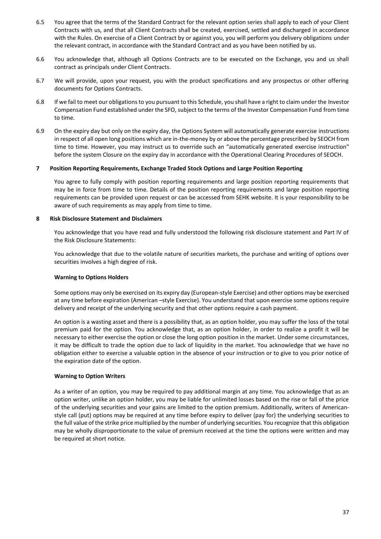- 6.5 You agree that the terms of the Standard Contract for the relevant option series shall apply to each of your Client Contracts with us, and that all Client Contracts shall be created, exercised, settled and discharged in accordance with the Rules. On exercise of a Client Contract by or against you, you will perform you delivery obligations under the relevant contract, in accordance with the Standard Contract and as you have been notified by us.
- 6.6 You acknowledge that, although all Options Contracts are to be executed on the Exchange, you and us shall contract as principals under Client Contracts.
- 6.7 We will provide, upon your request, you with the product specifications and any prospectus or other offering documents for Options Contracts.
- 6.8 If we fail to meet our obligations to you pursuant to this Schedule, you shall have a right to claim under the Investor Compensation Fund established under the SFO, subject to the terms of the Investor Compensation Fund from time to time.
- 6.9 On the expiry day but only on the expiry day, the Options System will automatically generate exercise instructions in respect of all open long positions which are in-the-money by or above the percentage prescribed by SEOCH from time to time. However, you may instruct us to override such an "automatically generated exercise instruction" before the system Closure on the expiry day in accordance with the Operational Clearing Procedures of SEOCH.

#### **7 Position Reporting Requirements, Exchange Traded Stock Options and Large Position Reporting**

You agree to fully comply with position reporting requirements and large position reporting requirements that may be in force from time to time. Details of the position reporting requirements and large position reporting requirements can be provided upon request or can be accessed from SEHK website. It is your responsibility to be aware of such requirements as may apply from time to time.

#### **8 Risk Disclosure Statement and Disclaimers**

You acknowledge that you have read and fully understood the following risk disclosure statement and Part IV of the Risk Disclosure Statements:

You acknowledge that due to the volatile nature of securities markets, the purchase and writing of options over securities involves a high degree of risk.

#### **Warning to Options Holders**

Some options may only be exercised on its expiry day (European-style Exercise) and other options may be exercised at any time before expiration (American –style Exercise). You understand that upon exercise some options require delivery and receipt of the underlying security and that other options require a cash payment.

An option is a wasting asset and there is a possibility that, as an option holder, you may suffer the loss of the total premium paid for the option. You acknowledge that, as an option holder, in order to realize a profit it will be necessary to either exercise the option or close the long option position in the market. Under some circumstances, it may be difficult to trade the option due to lack of liquidity in the market. You acknowledge that we have no obligation either to exercise a valuable option in the absence of your instruction or to give to you prior notice of the expiration date of the option.

#### **Warning to Option Writers**

As a writer of an option, you may be required to pay additional margin at any time. You acknowledge that as an option writer, unlike an option holder, you may be liable for unlimited losses based on the rise or fall of the price of the underlying securities and your gains are limited to the option premium. Additionally, writers of Americanstyle call (put) options may be required at any time before expiry to deliver (pay for) the underlying securities to the full value of the strike price multiplied by the number of underlying securities. You recognize that this obligation may be wholly disproportionate to the value of premium received at the time the options were written and may be required at short notice.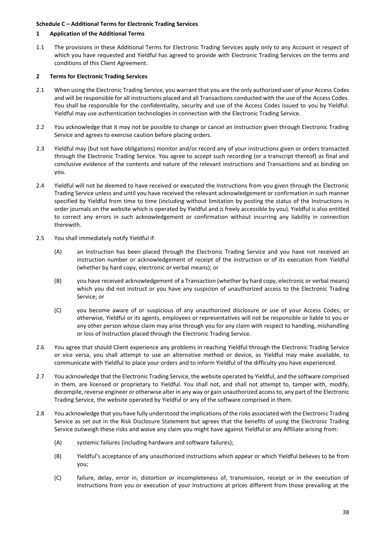## **Schedule C – Additional Terms for Electronic Trading Services**

## **1 Application of the Additional Terms**

1.1 The provisions in these Additional Terms for Electronic Trading Services apply only to any Account in respect of which you have requested and Yieldful has agreed to provide with Electronic Trading Services on the terms and conditions of this Client Agreement.

## **2 Terms for Electronic Trading Services**

- 2.1 When using the Electronic Trading Service, you warrant that you are the only authorized user of your Access Codes and will be responsible for all instructions placed and all Transactions conducted with the use of the Access Codes. You shall be responsible for the confidentiality, security and use of the Access Codes issued to you by Yieldful. Yieldful may use authentication technologies in connection with the Electronic Trading Service.
- 2.2 You acknowledge that it may not be possible to change or cancel an instruction given through Electronic Trading Service and agrees to exercise caution before placing orders.
- 2.3 Yieldful may (but not have obligations) monitor and/or record any of your instructions given or orders transacted through the Electronic Trading Service. You agree to accept such recording (or a transcript thereof) as final and conclusive evidence of the contents and nature of the relevant instructions and Transactions and as binding on you.
- 2.4 Yieldful will not be deemed to have received or executed the Instructions from you given through the Electronic Trading Service unless and until you have received the relevant acknowledgement or confirmation in such manner specified by Yieldful from time to time (including without limitation by posting the status of the Instructions in order journals on the website which is operated by Yieldful and is freely accessible by you). Yieldful is also entitled to correct any errors in such acknowledgement or confirmation without incurring any liability in connection therewith.
- 2.5 You shall immediately notify Yieldful if:
	- (A) an Instruction has been placed through the Electronic Trading Service and you have not received an instruction number or acknowledgement of receipt of the instruction or of its execution from Yieldful (whether by hard copy, electronic or verbal means); or
	- (B) you have received acknowledgement of a Transaction (whether by hard copy, electronic or verbal means) which you did not instruct or you have any suspicion of unauthorized access to the Electronic Trading Service; or
	- (C) you become aware of or suspicious of any unauthorized disclosure or use of your Access Codes; or otherwise, Yieldful or its agents, employees or representatives will not be responsible or liable to you or any other person whose claim may arise through you for any claim with respect to handling, mishandling or loss of Instruction placed through the Electronic Trading Service.
- 2.6 You agree that should Client experience any problems in reaching Yieldful through the Electronic Trading Service or vice versa, you shall attempt to use an alternative method or device, as Yieldful may make available, to communicate with Yieldful to place your orders and to inform Yieldful of the difficulty you have experienced.
- 2.7 You acknowledge that the Electronic Trading Service, the website operated by Yieldful, and the software comprised in them, are licensed or proprietary to Yieldful. You shall not, and shall not attempt to, tamper with, modify, decompile, reverse engineer or otherwise alter in any way or gain unauthorized access to, any part of the Electronic Trading Service, the website operated by Yieldful or any of the software comprised in them.
- 2.8 You acknowledge that you have fully understood the implications of the risks associated with the Electronic Trading Service as set out in the Risk Disclosure Statement but agrees that the benefits of using the Electronic Trading Service outweigh these risks and waive any claim you might have against Yieldful or any Affiliate arising from:
	- (A) systemic failures (including hardware and software failures);
	- (B) Yieldful's acceptance of any unauthorized instructions which appear or which Yieldful believes to be from you;
	- (C) failure, delay, error in, distortion or incompleteness of, transmission, receipt or in the execution of Instructions from you or execution of your Instructions at prices different from those prevailing at the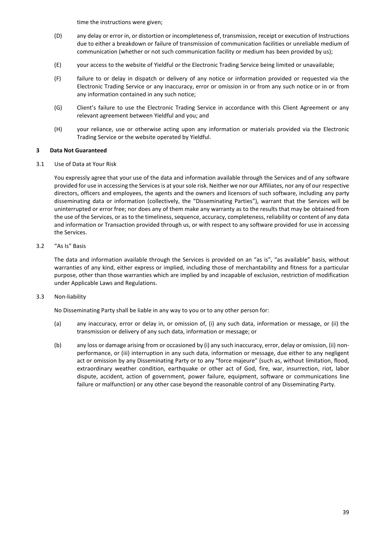time the instructions were given;

- (D) any delay or error in, or distortion or incompleteness of, transmission, receipt or execution of Instructions due to either a breakdown or failure of transmission of communication facilities or unreliable medium of communication (whether or not such communication facility or medium has been provided by us);
- (E) your access to the website of Yieldful or the Electronic Trading Service being limited or unavailable;
- (F) failure to or delay in dispatch or delivery of any notice or information provided or requested via the Electronic Trading Service or any inaccuracy, error or omission in or from any such notice or in or from any information contained in any such notice;
- (G) Client's failure to use the Electronic Trading Service in accordance with this Client Agreement or any relevant agreement between Yieldful and you; and
- (H) your reliance, use or otherwise acting upon any information or materials provided via the Electronic Trading Service or the website operated by Yieldful.

## **3 Data Not Guaranteed**

3.1 Use of Data at Your Risk

You expressly agree that your use of the data and information available through the Services and of any software provided for use in accessing the Services is at your sole risk. Neither we nor our Affiliates, nor any of our respective directors, officers and employees, the agents and the owners and licensors of such software, including any party disseminating data or information (collectively, the "Disseminating Parties"), warrant that the Services will be uninterrupted or error free; nor does any of them make any warranty as to the results that may be obtained from the use of the Services, or as to the timeliness, sequence, accuracy, completeness, reliability or content of any data and information or Transaction provided through us, or with respect to any software provided for use in accessing the Services.

3.2 "As Is" Basis

The data and information available through the Services is provided on an "as is", "as available" basis, without warranties of any kind, either express or implied, including those of merchantability and fitness for a particular purpose, other than those warranties which are implied by and incapable of exclusion, restriction of modification under Applicable Laws and Regulations.

## 3.3 Non-liability

No Disseminating Party shall be liable in any way to you or to any other person for:

- (a) any inaccuracy, error or delay in, or omission of, (i) any such data, information or message, or (ii) the transmission or delivery of any such data, information or message; or
- (b) any loss or damage arising from or occasioned by (i) any such inaccuracy, error, delay or omission, (ii) nonperformance, or (iii) interruption in any such data, information or message, due either to any negligent act or omission by any Disseminating Party or to any "force majeure" (such as, without limitation, flood, extraordinary weather condition, earthquake or other act of God, fire, war, insurrection, riot, labor dispute, accident, action of government, power failure, equipment, software or communications line failure or malfunction) or any other case beyond the reasonable control of any Disseminating Party.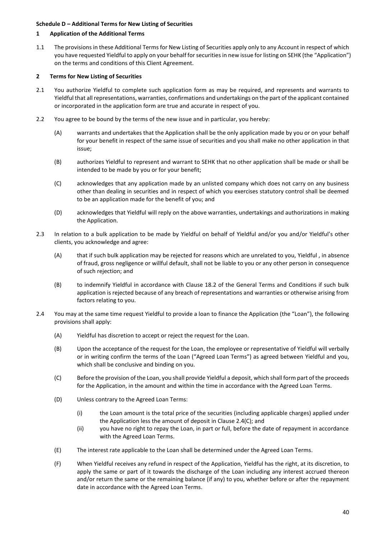## **Schedule D – Additional Terms for New Listing of Securities**

## **1 Application of the Additional Terms**

1.1 The provisions in these Additional Terms for New Listing of Securities apply only to any Account in respect of which you have requested Yieldful to apply on your behalf for securities in new issue for listing on SEHK (the "Application") on the terms and conditions of this Client Agreement.

## **2 Terms for New Listing of Securities**

- 2.1 You authorize Yieldful to complete such application form as may be required, and represents and warrants to Yieldful that all representations, warranties, confirmations and undertakings on the part of the applicant contained or incorporated in the application form are true and accurate in respect of you.
- 2.2 You agree to be bound by the terms of the new issue and in particular, you hereby:
	- (A) warrants and undertakes that the Application shall be the only application made by you or on your behalf for your benefit in respect of the same issue of securities and you shall make no other application in that issue;
	- (B) authorizes Yieldful to represent and warrant to SEHK that no other application shall be made or shall be intended to be made by you or for your benefit;
	- (C) acknowledges that any application made by an unlisted company which does not carry on any business other than dealing in securities and in respect of which you exercises statutory control shall be deemed to be an application made for the benefit of you; and
	- (D) acknowledges that Yieldful will reply on the above warranties, undertakings and authorizations in making the Application.
- 2.3 In relation to a bulk application to be made by Yieldful on behalf of Yieldful and/or you and/or Yieldful's other clients, you acknowledge and agree:
	- (A) that if such bulk application may be rejected for reasons which are unrelated to you, Yieldful , in absence of fraud, gross negligence or willful default, shall not be liable to you or any other person in consequence of such rejection; and
	- (B) to indemnify Yieldful in accordance with Clause 18.2 of the General Terms and Conditions if such bulk application is rejected because of any breach of representations and warranties or otherwise arising from factors relating to you.
- 2.4 You may at the same time request Yieldful to provide a loan to finance the Application (the "Loan"), the following provisions shall apply:
	- (A) Yieldful has discretion to accept or reject the request for the Loan.
	- (B) Upon the acceptance of the request for the Loan, the employee or representative of Yieldful will verbally or in writing confirm the terms of the Loan ("Agreed Loan Terms") as agreed between Yieldful and you, which shall be conclusive and binding on you.
	- (C) Before the provision of the Loan, you shall provide Yieldful a deposit, which shall form part of the proceeds for the Application, in the amount and within the time in accordance with the Agreed Loan Terms.
	- (D) Unless contrary to the Agreed Loan Terms:
		- (i) the Loan amount is the total price of the securities (including applicable charges) applied under the Application less the amount of deposit in Clause 2.4(C); and
		- (ii) you have no right to repay the Loan, in part or full, before the date of repayment in accordance with the Agreed Loan Terms.
	- (E) The interest rate applicable to the Loan shall be determined under the Agreed Loan Terms.
	- (F) When Yieldful receives any refund in respect of the Application, Yieldful has the right, at its discretion, to apply the same or part of it towards the discharge of the Loan including any interest accrued thereon and/or return the same or the remaining balance (if any) to you, whether before or after the repayment date in accordance with the Agreed Loan Terms.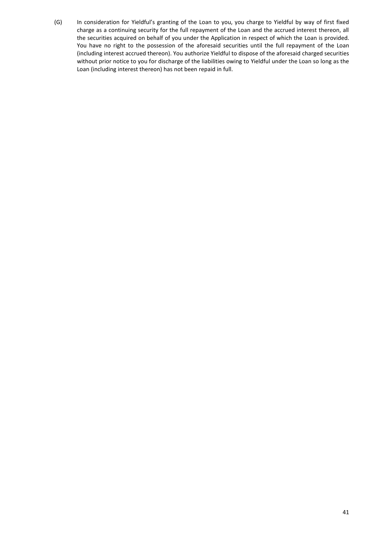(G) In consideration for Yieldful's granting of the Loan to you, you charge to Yieldful by way of first fixed charge as a continuing security for the full repayment of the Loan and the accrued interest thereon, all the securities acquired on behalf of you under the Application in respect of which the Loan is provided. You have no right to the possession of the aforesaid securities until the full repayment of the Loan (including interest accrued thereon). You authorize Yieldful to dispose of the aforesaid charged securities without prior notice to you for discharge of the liabilities owing to Yieldful under the Loan so long as the Loan (including interest thereon) has not been repaid in full.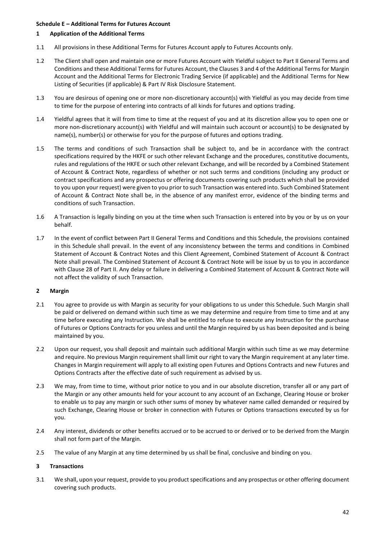## **Schedule E – Additional Terms for Futures Account**

## **1 Application of the Additional Terms**

- 1.1 All provisions in these Additional Terms for Futures Account apply to Futures Accounts only.
- 1.2 The Client shall open and maintain one or more Futures Account with Yieldful subject to Part II General Terms and Conditions and these Additional Terms for Futures Account, the Clauses 3 and 4 of the Additional Terms for Margin Account and the Additional Terms for Electronic Trading Service (if applicable) and the Additional Terms for New Listing of Securities (if applicable) & Part IV Risk Disclosure Statement.
- 1.3 You are desirous of opening one or more non-discretionary account(s) with Yieldful as you may decide from time to time for the purpose of entering into contracts of all kinds for futures and options trading.
- 1.4 Yieldful agrees that it will from time to time at the request of you and at its discretion allow you to open one or more non-discretionary account(s) with Yieldful and will maintain such account or account(s) to be designated by name(s), number(s) or otherwise for you for the purpose of futures and options trading.
- 1.5 The terms and conditions of such Transaction shall be subject to, and be in accordance with the contract specifications required by the HKFE or such other relevant Exchange and the procedures, constitutive documents, rules and regulations of the HKFE or such other relevant Exchange, and will be recorded by a Combined Statement of Account & Contract Note, regardless of whether or not such terms and conditions (including any product or contract specifications and any prospectus or offering documents covering such products which shall be provided to you upon your request) were given to you prior to such Transaction was entered into. Such Combined Statement of Account & Contract Note shall be, in the absence of any manifest error, evidence of the binding terms and conditions of such Transaction.
- 1.6 A Transaction is legally binding on you at the time when such Transaction is entered into by you or by us on your behalf.
- 1.7 In the event of conflict between Part II General Terms and Conditions and this Schedule, the provisions contained in this Schedule shall prevail. In the event of any inconsistency between the terms and conditions in Combined Statement of Account & Contract Notes and this Client Agreement, Combined Statement of Account & Contract Note shall prevail. The Combined Statement of Account & Contract Note will be issue by us to you in accordance with Clause 28 of Part II. Any delay or failure in delivering a Combined Statement of Account & Contract Note will not affect the validity of such Transaction.

## **2 Margin**

- 2.1 You agree to provide us with Margin as security for your obligations to us under this Schedule. Such Margin shall be paid or delivered on demand within such time as we may determine and require from time to time and at any time before executing any Instruction. We shall be entitled to refuse to execute any Instruction for the purchase of Futures or Options Contracts for you unless and until the Margin required by us has been deposited and is being maintained by you.
- 2.2 Upon our request, you shall deposit and maintain such additional Margin within such time as we may determine and require. No previous Margin requirement shall limit our right to vary the Margin requirement at any later time. Changes in Margin requirement will apply to all existing open Futures and Options Contracts and new Futures and Options Contracts after the effective date of such requirement as advised by us.
- 2.3 We may, from time to time, without prior notice to you and in our absolute discretion, transfer all or any part of the Margin or any other amounts held for your account to any account of an Exchange, Clearing House or broker to enable us to pay any margin or such other sums of money by whatever name called demanded or required by such Exchange, Clearing House or broker in connection with Futures or Options transactions executed by us for you.
- 2.4 Any interest, dividends or other benefits accrued or to be accrued to or derived or to be derived from the Margin shall not form part of the Margin.
- 2.5 The value of any Margin at any time determined by us shall be final, conclusive and binding on you.

## **3 Transactions**

3.1 We shall, upon your request, provide to you product specifications and any prospectus or other offering document covering such products.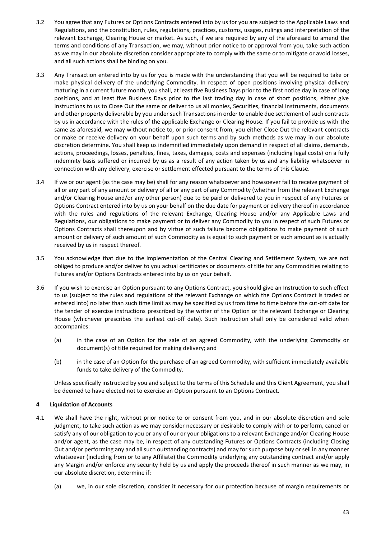- 3.2 You agree that any Futures or Options Contracts entered into by us for you are subject to the Applicable Laws and Regulations, and the constitution, rules, regulations, practices, customs, usages, rulings and interpretation of the relevant Exchange, Clearing House or market. As such, if we are required by any of the aforesaid to amend the terms and conditions of any Transaction, we may, without prior notice to or approval from you, take such action as we may in our absolute discretion consider appropriate to comply with the same or to mitigate or avoid losses, and all such actions shall be binding on you.
- 3.3 Any Transaction entered into by us for you is made with the understanding that you will be required to take or make physical delivery of the underlying Commodity. In respect of open positions involving physical delivery maturing in a current future month, you shall, at least five Business Days prior to the first notice day in case of long positions, and at least five Business Days prior to the last trading day in case of short positions, either give Instructions to us to Close Out the same or deliver to us all monies, Securities, financial instruments, documents and other property deliverable by you under such Transactions in order to enable due settlement of such contracts by us in accordance with the rules of the applicable Exchange or Clearing House. If you fail to provide us with the same as aforesaid, we may without notice to, or prior consent from, you either Close Out the relevant contracts or make or receive delivery on your behalf upon such terms and by such methods as we may in our absolute discretion determine. You shall keep us indemnified immediately upon demand in respect of all claims, demands, actions, proceedings, losses, penalties, fines, taxes, damages, costs and expenses (including legal costs) on a fully indemnity basis suffered or incurred by us as a result of any action taken by us and any liability whatsoever in connection with any delivery, exercise or settlement effected pursuant to the terms of this Clause.
- 3.4 If we or our agent (as the case may be) shall for any reason whatsoever and howsoever fail to receive payment of all or any part of any amount or delivery of all or any part of any Commodity (whether from the relevant Exchange and/or Clearing House and/or any other person) due to be paid or delivered to you in respect of any Futures or Options Contract entered into by us on your behalf on the due date for payment or delivery thereof in accordance with the rules and regulations of the relevant Exchange, Clearing House and/or any Applicable Laws and Regulations, our obligations to make payment or to deliver any Commodity to you in respect of such Futures or Options Contracts shall thereupon and by virtue of such failure become obligations to make payment of such amount or delivery of such amount of such Commodity as is equal to such payment or such amount as is actually received by us in respect thereof.
- 3.5 You acknowledge that due to the implementation of the Central Clearing and Settlement System, we are not obliged to produce and/or deliver to you actual certificates or documents of title for any Commodities relating to Futures and/or Options Contracts entered into by us on your behalf.
- 3.6 If you wish to exercise an Option pursuant to any Options Contract, you should give an Instruction to such effect to us (subject to the rules and regulations of the relevant Exchange on which the Options Contract is traded or entered into) no later than such time limit as may be specified by us from time to time before the cut-off date for the tender of exercise instructions prescribed by the writer of the Option or the relevant Exchange or Clearing House (whichever prescribes the earliest cut-off date). Such Instruction shall only be considered valid when accompanies:
	- (a) in the case of an Option for the sale of an agreed Commodity, with the underlying Commodity or document(s) of title required for making delivery; and
	- (b) in the case of an Option for the purchase of an agreed Commodity, with sufficient immediately available funds to take delivery of the Commodity.

Unless specifically instructed by you and subject to the terms of this Schedule and this Client Agreement, you shall be deemed to have elected not to exercise an Option pursuant to an Options Contract.

## **4 Liquidation of Accounts**

- 4.1 We shall have the right, without prior notice to or consent from you, and in our absolute discretion and sole judgment, to take such action as we may consider necessary or desirable to comply with or to perform, cancel or satisfy any of our obligation to you or any of our or your obligations to a relevant Exchange and/or Clearing House and/or agent, as the case may be, in respect of any outstanding Futures or Options Contracts (including Closing Out and/or performing any and all such outstanding contracts) and may for such purpose buy or sell in any manner whatsoever (including from or to any Affiliate) the Commodity underlying any outstanding contract and/or apply any Margin and/or enforce any security held by us and apply the proceeds thereof in such manner as we may, in our absolute discretion, determine if:
	- (a) we, in our sole discretion, consider it necessary for our protection because of margin requirements or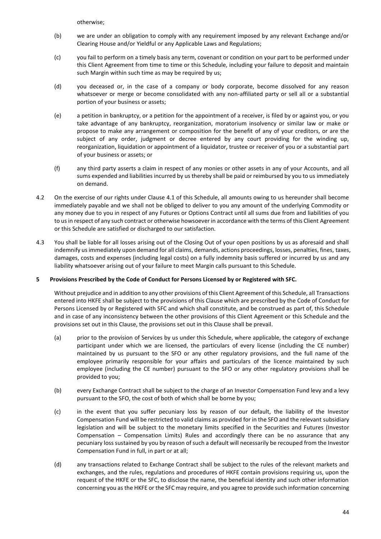otherwise;

- (b) we are under an obligation to comply with any requirement imposed by any relevant Exchange and/or Clearing House and/or Yieldful or any Applicable Laws and Regulations;
- (c) you fail to perform on a timely basis any term, covenant or condition on your part to be performed under this Client Agreement from time to time or this Schedule, including your failure to deposit and maintain such Margin within such time as may be required by us;
- (d) you deceased or, in the case of a company or body corporate, become dissolved for any reason whatsoever or merge or become consolidated with any non-affiliated party or sell all or a substantial portion of your business or assets;
- (e) a petition in bankruptcy, or a petition for the appointment of a receiver, is filed by or against you, or you take advantage of any bankruptcy, reorganization, moratorium insolvency or similar law or make or propose to make any arrangement or composition for the benefit of any of your creditors, or are the subject of any order, judgment or decree entered by any court providing for the winding up, reorganization, liquidation or appointment of a liquidator, trustee or receiver of you or a substantial part of your business or assets; or
- (f) any third party asserts a claim in respect of any monies or other assets in any of your Accounts, and all sums expended and liabilities incurred by us thereby shall be paid or reimbursed by you to us immediately on demand.
- 4.2 On the exercise of our rights under Clause 4.1 of this Schedule, all amounts owing to us hereunder shall become immediately payable and we shall not be obliged to deliver to you any amount of the underlying Commodity or any money due to you in respect of any Futures or Options Contract until all sums due from and liabilities of you to us in respect of any such contract or otherwise howsoever in accordance with the terms of this Client Agreement or this Schedule are satisfied or discharged to our satisfaction.
- 4.3 You shall be liable for all losses arising out of the Closing Out of your open positions by us as aforesaid and shall indemnify us immediately upon demand for all claims, demands, actions proceedings, losses, penalties, fines, taxes, damages, costs and expenses (including legal costs) on a fully indemnity basis suffered or incurred by us and any liability whatsoever arising out of your failure to meet Margin calls pursuant to this Schedule.

## **5 Provisions Prescribed by the Code of Conduct for Persons Licensed by or Registered with SFC.**

Without prejudice and in addition to any other provisions of this Client Agreement of this Schedule, all Transactions entered into HKFE shall be subject to the provisions of this Clause which are prescribed by the Code of Conduct for Persons Licensed by or Registered with SFC and which shall constitute, and be construed as part of, this Schedule and in case of any inconsistency between the other provisions of this Client Agreement or this Schedule and the provisions set out in this Clause, the provisions set out in this Clause shall be prevail.

- (a) prior to the provision of Services by us under this Schedule, where applicable, the category of exchange participant under which we are licensed, the particulars of every license (including the CE number) maintained by us pursuant to the SFO or any other regulatory provisions, and the full name of the employee primarily responsible for your affairs and particulars of the licence maintained by such employee (including the CE number) pursuant to the SFO or any other regulatory provisions shall be provided to you;
- (b) every Exchange Contract shall be subject to the charge of an Investor Compensation Fund levy and a levy pursuant to the SFO, the cost of both of which shall be borne by you;
- (c) in the event that you suffer pecuniary loss by reason of our default, the liability of the Investor Compensation Fund will be restricted to valid claims as provided for in the SFO and the relevant subsidiary legislation and will be subject to the monetary limits specified in the Securities and Futures (Investor Compensation – Compensation Limits) Rules and accordingly there can be no assurance that any pecuniary loss sustained by you by reason of such a default will necessarily be recouped from the Investor Compensation Fund in full, in part or at all;
- (d) any transactions related to Exchange Contract shall be subject to the rules of the relevant markets and exchanges, and the rules, regulations and procedures of HKFE contain provisions requiring us, upon the request of the HKFE or the SFC, to disclose the name, the beneficial identity and such other information concerning you as the HKFE or the SFC may require, and you agree to provide such information concerning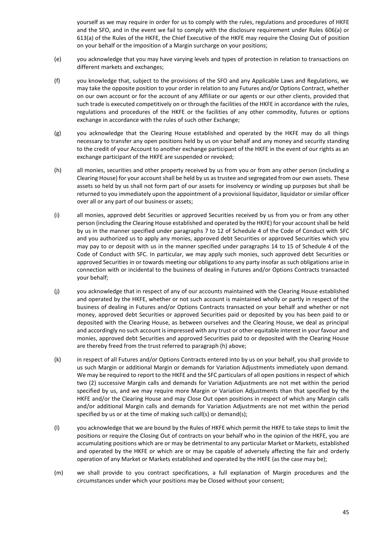yourself as we may require in order for us to comply with the rules, regulations and procedures of HKFE and the SFO, and in the event we fail to comply with the disclosure requirement under Rules 606(a) or 613(a) of the Rules of the HKFE, the Chief Executive of the HKFE may require the Closing Out of position on your behalf or the imposition of a Margin surcharge on your positions;

- (e) you acknowledge that you may have varying levels and types of protection in relation to transactions on different markets and exchanges;
- (f) you knowledge that, subject to the provisions of the SFO and any Applicable Laws and Regulations, we may take the opposite position to your order in relation to any Futures and/or Options Contract, whether on our own account or for the account of any Affiliate or our agents or our other clients, provided that such trade is executed competitively on or through the facilities of the HKFE in accordance with the rules, regulations and procedures of the HKFE or the facilities of any other commodity, futures or options exchange in accordance with the rules of such other Exchange;
- (g) you acknowledge that the Clearing House established and operated by the HKFE may do all things necessary to transfer any open positions held by us on your behalf and any money and security standing to the credit of your Account to another exchange participant of the HKFE in the event of our rights as an exchange participant of the HKFE are suspended or revoked;
- (h) all monies, securities and other property received by us from you or from any other person (including a Clearing House) for your account shall be held by us as trustee and segregated from our own assets. These assets so held by us shall not form part of our assets for insolvency or winding up purposes but shall be returned to you immediately upon the appointment of a provisional liquidator, liquidator or similar officer over all or any part of our business or assets;
- (i) all monies, approved debt Securities or approved Securities received by us from you or from any other person (including the Clearing House established and operated by the HKFE) for your account shall be held by us in the manner specified under paragraphs 7 to 12 of Schedule 4 of the Code of Conduct with SFC and you authorized us to apply any monies, approved debt Securities or approved Securities which you may pay to or deposit with us in the manner specified under paragraphs 14 to 15 of Schedule 4 of the Code of Conduct with SFC. In particular, we may apply such monies, such approved debt Securities or approved Securities in or towards meeting our obligations to any party insofar as such obligations arise in connection with or incidental to the business of dealing in Futures and/or Options Contracts transacted your behalf;
- (j) you acknowledge that in respect of any of our accounts maintained with the Clearing House established and operated by the HKFE, whether or not such account is maintained wholly or partly in respect of the business of dealing in Futures and/or Options Contracts transacted on your behalf and whether or not money, approved debt Securities or approved Securities paid or deposited by you has been paid to or deposited with the Clearing House, as between ourselves and the Clearing House, we deal as principal and accordingly no such account is impressed with any trust or other equitable interest in your favour and monies, approved debt Securities and approved Securities paid to or deposited with the Clearing House are thereby freed from the trust referred to paragraph (h) above;
- (k) in respect of all Futures and/or Options Contracts entered into by us on your behalf, you shall provide to us such Margin or additional Margin or demands for Variation Adjustments immediately upon demand. We may be required to report to the HKFE and the SFC particulars of all open positions in respect of which two (2) successive Margin calls and demands for Variation Adjustments are not met within the period specified by us, and we may require more Margin or Variation Adjustments than that specified by the HKFE and/or the Clearing House and may Close Out open positions in respect of which any Margin calls and/or additional Margin calls and demands for Variation Adjustments are not met within the period specified by us or at the time of making such call(s) or demand(s);
- (l) you acknowledge that we are bound by the Rules of HKFE which permit the HKFE to take steps to limit the positions or require the Closing Out of contracts on your behalf who in the opinion of the HKFE, you are accumulating positions which are or may be detrimental to any particular Market or Markets, established and operated by the HKFE or which are or may be capable of adversely affecting the fair and orderly operation of any Market or Markets established and operated by the HKFE (as the case may be);
- (m) we shall provide to you contract specifications, a full explanation of Margin procedures and the circumstances under which your positions may be Closed without your consent;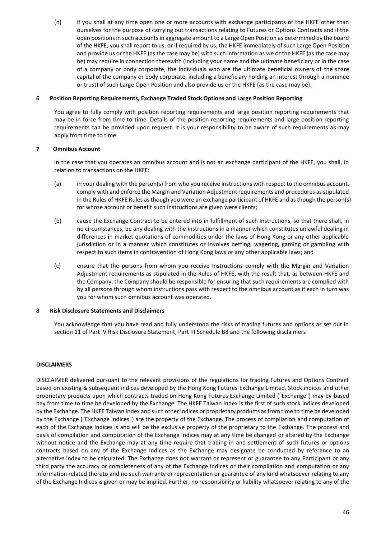(n) if you shall at any time open one or more accounts with exchange participants of the HKFE other than ourselves for the purpose of carrying out transactions relating to Futures or Options Contracts and if the open positions in such accounts in aggregate amount to a Large Open Position as determined by the board of the HKFE, you shall report to us, or if required by us, the HKFE immediately of such Large Open Position and provide us or the HKFE (as the case may be) with such information as we or the HKFE (as the case may be) may require in connection therewith (including your name and the ultimate beneficiary or in the case of a company or body corporate, the individuals who are the ultimate beneficial owners of the share capital of the company or body corporate, including a beneficiary holding an interest through a nominee or trust) of such Large Open Position and also provide us or the HKFE (as the case may be).

### **6 Position Reporting Requirements, Exchange Traded Stock Options and Large Position Reporting**

You agree to fully comply with position reporting requirements and large position reporting requirements that may be in force from time to time. Details of the position reporting requirements and large position reporting requirements can be provided upon request. It is your responsibility to be aware of such requirements as may apply from time to time.

## **7 Omnibus Account**

In the case that you operates an omnibus account and is not an exchange participant of the HKFE, you shall, in relation to transactions on the HKFE:

- (a) in your dealing with the person(s) from who you receive instructions with respect to the omnibus account, comply with and enforce the Margin and Variation Adjustment requirements and procedures as stipulated in the Rules of HKFE Rules as though you were an exchange participant of HKFE and as though the person(s) for whose account or benefit such instructions are given were clients;
- (b) cause the Exchange Contract to be entered into in fulfillment of such Instructions, so that there shall, in no circumstances, be any dealing with the instructions in a manner which constitutes unlawful dealing in differences in market quotations of commodities under the laws of Hong Kong or any other applicable jurisdiction or in a manner which constitutes or involves betting, wagering, gaming or gambling with respect to such items in contravention of Hong Kong laws or any other applicable laws; and
- (c) ensure that the persons from whom you receive Instructions comply with the Margin and Variation Adjustment requirements as stipulated in the Rules of HKFE, with the result that, as between HKFE and the Company, the Company should be responsible for ensuring that such requirements are complied with by all persons through whom instructions pass with respect to the omnibus account as if each in turn was you for whom such omnibus account was operated.

#### **8 Risk Disclosure Statements and Disclaimers**

You acknowledge that you have read and fully understood the risks of trading futures and options as set out in section 11 of Part IV Risk Disclosure Statement, Part III Schedule B8 and the following disclaimers

#### **DISCLAIMERS**

DISCLAIMER delivered pursuant to the relevant provisions of the regulations for trading Futures and Options Contract based on existing & subsequent indices developed by the Hong Kong Futures Exchange Limited. Stock indices and other proprietary products upon which contracts traded on Hong Kong Futures Exchange Limited ("Exchange") may by based bay from time to time be developed by the Exchange. The HKFE Taiwan Index is the first of such stock indices developed by the Exchange. The HKFE Taiwan Index and such other Indices or proprietary products as from time to time be developed by the Exchange ("Exchange Indices") are the property of the Exchange. The process of compilation and computation of each of the Exchange Indices is and will be the exclusive property of the proprietary to the Exchange. The process and basis of compilation and computation of the Exchange Indices may at any time be changed or altered by the Exchange without notice and the Exchange may at any time require that trading in and settlement of such futures or options contracts based on any of the Exchange Indices as the Exchange may designate be conducted by reference to an alternative index to be calculated. The Exchange does not warrant or represent or guarantee to any Participant or any third party the accuracy or completeness of any of the Exchange Indices or their compilation and computation or any information related thereto and no such warranty or representation or guarantee of any kind whatsoever relating to any of the Exchange Indices is given or may be implied. Further, no responsibility or liability whatsoever relating to any of the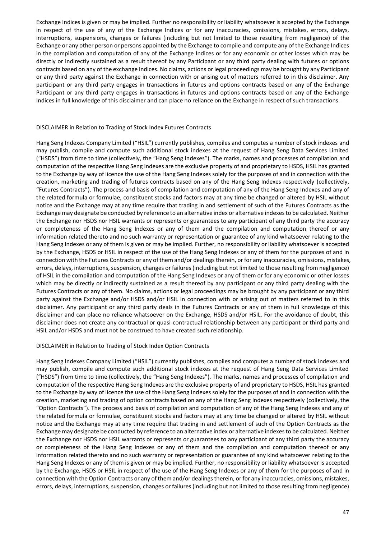Exchange Indices is given or may be implied. Further no responsibility or liability whatsoever is accepted by the Exchange in respect of the use of any of the Exchange Indices or for any inaccuracies, omissions, mistakes, errors, delays, interruptions, suspensions, changes or failures (including but not limited to those resulting from negligence) of the Exchange or any other person or persons appointed by the Exchange to compile and compute any of the Exchange Indices in the compilation and computation of any of the Exchange Indices or for any economic or other losses which may be directly or indirectly sustained as a result thereof by any Participant or any third party dealing with futures or options contracts based on any of the exchange Indices. No claims, actions or legal proceedings may be brought by any Participant or any third party against the Exchange in connection with or arising out of matters referred to in this disclaimer. Any participant or any third party engages in transactions in futures and options contracts based on any of the Exchange Participant or any third party engages in transactions in futures and options contracts based on any of the Exchange Indices in full knowledge of this disclaimer and can place no reliance on the Exchange in respect of such transactions.

#### DISCLAIMER in Relation to Trading of Stock Index Futures Contracts

Hang Seng Indexes Company Limited ("HSIL") currently publishes, compiles and computes a number of stock indexes and may publish, compile and compute such additional stock indexes at the request of Hang Seng Data Services Limited ("HSDS") from time to time (collectively, the "Hang Seng Indexes"). The marks, names and processes of compilation and computation of the respective Hang Seng Indexes are the exclusive property of and proprietary to HSDS, HSIL has granted to the Exchange by way of licence the use of the Hang Seng Indexes solely for the purposes of and in connection with the creation, marketing and trading of futures contracts based on any of the Hang Seng Indexes respectively (collectively, "Futures Contracts"). The process and basis of compilation and computation of any of the Hang Seng Indexes and any of the related formula or formulae, constituent stocks and factors may at any time be changed or altered by HSIL without notice and the Exchange may at any time require that trading in and settlement of such of the Futures Contracts as the Exchange may designate be conducted by reference to an alternative index or alternative indexes to be calculated. Neither the Exchange nor HSDS nor HSIL warrants or represents or guarantees to any participant of any third party the accuracy or completeness of the Hang Seng Indexes or any of them and the compilation and computation thereof or any information related thereto and no such warranty or representation or guarantee of any kind whatsoever relating to the Hang Seng Indexes or any of them is given or may be implied. Further, no responsibility or liability whatsoever is accepted by the Exchange, HSDS or HSIL in respect of the use of the Hang Seng Indexes or any of them for the purposes of and in connection with the Futures Contracts or any of them and/or dealings therein, or for any inaccuracies, omissions, mistakes, errors, delays, interruptions, suspension, changes or failures (including but not limited to those resulting from negligence) of HSIL in the compilation and computation of the Hang Seng Indexes or any of them or for any economic or other losses which may be directly or indirectly sustained as a result thereof by any participant or any third party dealing with the Futures Contracts or any of them. No claims, actions or legal proceedings may be brought by any participant or any third party against the Exchange and/or HSDS and/or HSIL in connection with or arising out of matters referred to in this disclaimer. Any participant or any third party deals in the Futures Contracts or any of them in full knowledge of this disclaimer and can place no reliance whatsoever on the Exchange, HSDS and/or HSIL. For the avoidance of doubt, this disclaimer does not create any contractual or quasi-contractual relationship between any participant or third party and HSIL and/or HSDS and must not be construed to have created such relationship.

#### DISCLAIMER in Relation to Trading of Stock Index Option Contracts

Hang Seng Indexes Company Limited ("HSIL") currently publishes, compiles and computes a number of stock indexes and may publish, compile and compute such additional stock indexes at the request of Hang Seng Data Services Limited ("HSDS") from time to time (collectively, the "Hang Seng Indexes"). The marks, names and processes of compilation and computation of the respective Hang Seng Indexes are the exclusive property of and proprietary to HSDS, HSIL has granted to the Exchange by way of licence the use of the Hang Seng Indexes solely for the purposes of and in connection with the creation, marketing and trading of option contracts based on any of the Hang Seng Indexes respectively (collectively, the "Option Contracts"). The process and basis of compilation and computation of any of the Hang Seng Indexes and any of the related formula or formulae, constituent stocks and factors may at any time be changed or altered by HSIL without notice and the Exchange may at any time require that trading in and settlement of such of the Option Contracts as the Exchange may designate be conducted by reference to an alternative index or alternative indexes to be calculated. Neither the Exchange nor HSDS nor HSIL warrants or represents or guarantees to any participant of any third party the accuracy or completeness of the Hang Seng Indexes or any of them and the compilation and computation thereof or any information related thereto and no such warranty or representation or guarantee of any kind whatsoever relating to the Hang Seng Indexes or any of them is given or may be implied. Further, no responsibility or liability whatsoever is accepted by the Exchange, HSDS or HSIL in respect of the use of the Hang Seng Indexes or any of them for the purposes of and in connection with the Option Contracts or any of them and/or dealings therein, or for any inaccuracies, omissions, mistakes, errors, delays, interruptions, suspension, changes or failures (including but not limited to those resulting from negligence)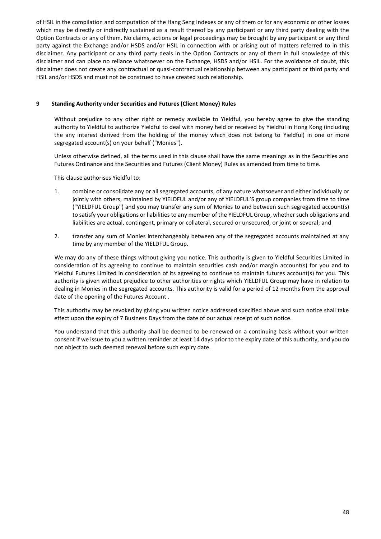of HSIL in the compilation and computation of the Hang Seng Indexes or any of them or for any economic or other losses which may be directly or indirectly sustained as a result thereof by any participant or any third party dealing with the Option Contracts or any of them. No claims, actions or legal proceedings may be brought by any participant or any third party against the Exchange and/or HSDS and/or HSIL in connection with or arising out of matters referred to in this disclaimer. Any participant or any third party deals in the Option Contracts or any of them in full knowledge of this disclaimer and can place no reliance whatsoever on the Exchange, HSDS and/or HSIL. For the avoidance of doubt, this disclaimer does not create any contractual or quasi-contractual relationship between any participant or third party and HSIL and/or HSDS and must not be construed to have created such relationship.

## **9 Standing Authority under Securities and Futures (Client Money) Rules**

Without prejudice to any other right or remedy available to Yieldful, you hereby agree to give the standing authority to Yieldful to authorize Yieldful to deal with money held or received by Yieldful in Hong Kong (including the any interest derived from the holding of the money which does not belong to Yieldful) in one or more segregated account(s) on your behalf ("Monies").

Unless otherwise defined, all the terms used in this clause shall have the same meanings as in the Securities and Futures Ordinance and the Securities and Futures (Client Money) Rules as amended from time to time.

This clause authorises Yieldful to:

- 1. combine or consolidate any or all segregated accounts, of any nature whatsoever and either individually or jointly with others, maintained by YIELDFUL and/or any of YIELDFUL'S group companies from time to time ("YIELDFUL Group") and you may transfer any sum of Monies to and between such segregated account(s) to satisfy your obligations or liabilities to any member of the YIELDFUL Group, whether such obligations and liabilities are actual, contingent, primary or collateral, secured or unsecured, or joint or several; and
- 2. transfer any sum of Monies interchangeably between any of the segregated accounts maintained at any time by any member of the YIELDFUL Group.

We may do any of these things without giving you notice. This authority is given to Yieldful Securities Limited in consideration of its agreeing to continue to maintain securities cash and/or margin account(s) for you and to Yieldful Futures Limited in consideration of its agreeing to continue to maintain futures account(s) for you. This authority is given without prejudice to other authorities or rights which YIELDFUL Group may have in relation to dealing in Monies in the segregated accounts. This authority is valid for a period of 12 months from the approval date of the opening of the Futures Account .

This authority may be revoked by giving you written notice addressed specified above and such notice shall take effect upon the expiry of 7 Business Days from the date of our actual receipt of such notice.

You understand that this authority shall be deemed to be renewed on a continuing basis without your written consent if we issue to you a written reminder at least 14 days prior to the expiry date of this authority, and you do not object to such deemed renewal before such expiry date.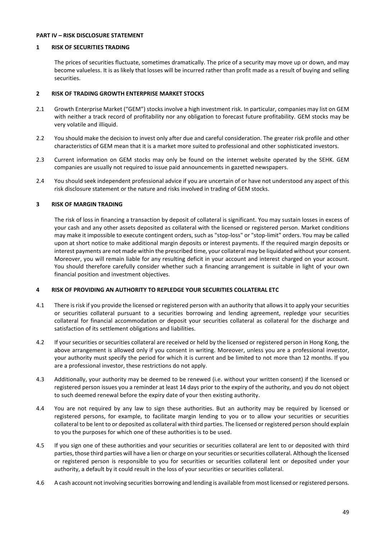#### **PART IV – RISK DISCLOSURE STATEMENT**

### **1 RISK OF SECURITIES TRADING**

The prices of securities fluctuate, sometimes dramatically. The price of a security may move up or down, and may become valueless. It is as likely that losses will be incurred rather than profit made as a result of buying and selling securities.

#### **2 RISK OF TRADING GROWTH ENTERPRISE MARKET STOCKS**

- 2.1 Growth Enterprise Market ("GEM") stocks involve a high investment risk. In particular, companies may list on GEM with neither a track record of profitability nor any obligation to forecast future profitability. GEM stocks may be very volatile and illiquid.
- 2.2 You should make the decision to invest only after due and careful consideration. The greater risk profile and other characteristics of GEM mean that it is a market more suited to professional and other sophisticated investors.
- 2.3 Current information on GEM stocks may only be found on the internet website operated by the SEHK. GEM companies are usually not required to issue paid announcements in gazetted newspapers.
- 2.4 You should seek independent professional advice if you are uncertain of or have not understood any aspect of this risk disclosure statement or the nature and risks involved in trading of GEM stocks.

#### **3 RISK OF MARGIN TRADING**

The risk of loss in financing a transaction by deposit of collateral is significant. You may sustain losses in excess of your cash and any other assets deposited as collateral with the licensed or registered person. Market conditions may make it impossible to execute contingent orders, such as "stop-loss" or "stop-limit" orders. You may be called upon at short notice to make additional margin deposits or interest payments. If the required margin deposits or interest payments are not made within the prescribed time, your collateral may be liquidated without your consent. Moreover, you will remain liable for any resulting deficit in your account and interest charged on your account. You should therefore carefully consider whether such a financing arrangement is suitable in light of your own financial position and investment objectives.

#### **4 RISK OF PROVIDING AN AUTHORITY TO REPLEDGE YOUR SECURITIES COLLATERAL ETC**

- 4.1 There is risk if you provide the licensed or registered person with an authority that allows it to apply your securities or securities collateral pursuant to a securities borrowing and lending agreement, repledge your securities collateral for financial accommodation or deposit your securities collateral as collateral for the discharge and satisfaction of its settlement obligations and liabilities.
- 4.2 If your securities or securities collateral are received or held by the licensed or registered person in Hong Kong, the above arrangement is allowed only if you consent in writing. Moreover, unless you are a professional investor, your authority must specify the period for which it is current and be limited to not more than 12 months. If you are a professional investor, these restrictions do not apply.
- 4.3 Additionally, your authority may be deemed to be renewed (i.e. without your written consent) if the licensed or registered person issues you a reminder at least 14 days prior to the expiry of the authority, and you do not object to such deemed renewal before the expiry date of your then existing authority.
- 4.4 You are not required by any law to sign these authorities. But an authority may be required by licensed or registered persons, for example, to facilitate margin lending to you or to allow your securities or securities collateral to be lent to or deposited as collateral with third parties. The licensed or registered person should explain to you the purposes for which one of these authorities is to be used.
- 4.5 If you sign one of these authorities and your securities or securities collateral are lent to or deposited with third parties, those third parties will have a lien or charge on your securities or securities collateral. Although the licensed or registered person is responsible to you for securities or securities collateral lent or deposited under your authority, a default by it could result in the loss of your securities or securities collateral.
- 4.6 A cash account not involving securities borrowing and lending is available from most licensed or registered persons.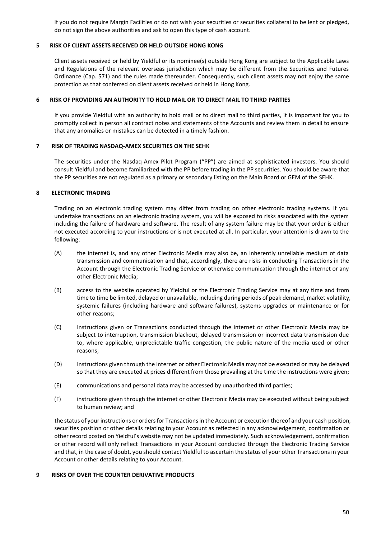If you do not require Margin Facilities or do not wish your securities or securities collateral to be lent or pledged, do not sign the above authorities and ask to open this type of cash account.

#### **5 RISK OF CLIENT ASSETS RECEIVED OR HELD OUTSIDE HONG KONG**

Client assets received or held by Yieldful or its nominee(s) outside Hong Kong are subject to the Applicable Laws and Regulations of the relevant overseas jurisdiction which may be different from the Securities and Futures Ordinance (Cap. 571) and the rules made thereunder. Consequently, such client assets may not enjoy the same protection as that conferred on client assets received or held in Hong Kong.

### **6 RISK OF PROVIDING AN AUTHORITY TO HOLD MAIL OR TO DIRECT MAIL TO THIRD PARTIES**

If you provide Yieldful with an authority to hold mail or to direct mail to third parties, it is important for you to promptly collect in person all contract notes and statements of the Accounts and review them in detail to ensure that any anomalies or mistakes can be detected in a timely fashion.

#### **7 RISK OF TRADING NASDAQ-AMEX SECURITIES ON THE SEHK**

The securities under the Nasdaq-Amex Pilot Program ("PP") are aimed at sophisticated investors. You should consult Yieldful and become familiarized with the PP before trading in the PP securities. You should be aware that the PP securities are not regulated as a primary or secondary listing on the Main Board or GEM of the SEHK.

## **8 ELECTRONIC TRADING**

Trading on an electronic trading system may differ from trading on other electronic trading systems. If you undertake transactions on an electronic trading system, you will be exposed to risks associated with the system including the failure of hardware and software. The result of any system failure may be that your order is either not executed according to your instructions or is not executed at all. In particular, your attention is drawn to the following:

- (A) the internet is, and any other Electronic Media may also be, an inherently unreliable medium of data transmission and communication and that, accordingly, there are risks in conducting Transactions in the Account through the Electronic Trading Service or otherwise communication through the internet or any other Electronic Media;
- (B) access to the website operated by Yieldful or the Electronic Trading Service may at any time and from time to time be limited, delayed or unavailable, including during periods of peak demand, market volatility, systemic failures (including hardware and software failures), systems upgrades or maintenance or for other reasons;
- (C) Instructions given or Transactions conducted through the internet or other Electronic Media may be subject to interruption, transmission blackout, delayed transmission or incorrect data transmission due to, where applicable, unpredictable traffic congestion, the public nature of the media used or other reasons;
- (D) Instructions given through the internet or other Electronic Media may not be executed or may be delayed so that they are executed at prices different from those prevailing at the time the instructions were given;
- (E) communications and personal data may be accessed by unauthorized third parties;
- (F) instructions given through the internet or other Electronic Media may be executed without being subject to human review; and

the status of your instructions or orders for Transactions in the Account or execution thereof and your cash position, securities position or other details relating to your Account as reflected in any acknowledgement, confirmation or other record posted on Yieldful's website may not be updated immediately. Such acknowledgement, confirmation or other record will only reflect Transactions in your Account conducted through the Electronic Trading Service and that, in the case of doubt, you should contact Yieldful to ascertain the status of your other Transactions in your Account or other details relating to your Account.

#### **9 RISKS OF OVER THE COUNTER DERIVATIVE PRODUCTS**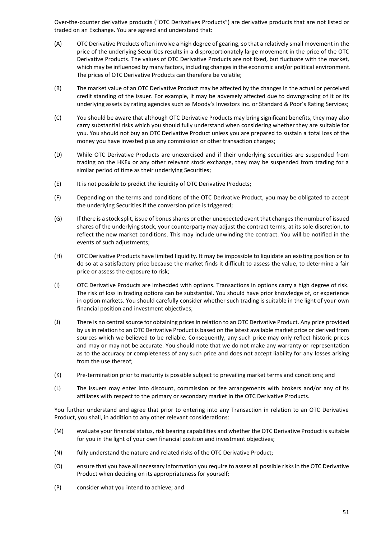Over-the-counter derivative products ("OTC Derivatives Products") are derivative products that are not listed or traded on an Exchange. You are agreed and understand that:

- (A) OTC Derivative Products often involve a high degree of gearing, so that a relatively small movement in the price of the underlying Securities results in a disproportionately large movement in the price of the OTC Derivative Products. The values of OTC Derivative Products are not fixed, but fluctuate with the market, which may be influenced by many factors, including changes in the economic and/or political environment. The prices of OTC Derivative Products can therefore be volatile;
- (B) The market value of an OTC Derivative Product may be affected by the changes in the actual or perceived credit standing of the issuer. For example, it may be adversely affected due to downgrading of it or its underlying assets by rating agencies such as Moody's Investors Inc. or Standard & Poor's Rating Services;
- (C) You should be aware that although OTC Derivative Products may bring significant benefits, they may also carry substantial risks which you should fully understand when considering whether they are suitable for you. You should not buy an OTC Derivative Product unless you are prepared to sustain a total loss of the money you have invested plus any commission or other transaction charges;
- (D) While OTC Derivative Products are unexercised and if their underlying securities are suspended from trading on the HKEx or any other relevant stock exchange, they may be suspended from trading for a similar period of time as their underlying Securities;
- (E) It is not possible to predict the liquidity of OTC Derivative Products;
- (F) Depending on the terms and conditions of the OTC Derivative Product, you may be obligated to accept the underlying Securities if the conversion price is triggered;
- (G) If there is a stock split, issue of bonus shares or other unexpected event that changes the number of issued shares of the underlying stock, your counterparty may adjust the contract terms, at its sole discretion, to reflect the new market conditions. This may include unwinding the contract. You will be notified in the events of such adjustments;
- (H) OTC Derivative Products have limited liquidity. It may be impossible to liquidate an existing position or to do so at a satisfactory price because the market finds it difficult to assess the value, to determine a fair price or assess the exposure to risk;
- (I) OTC Derivative Products are imbedded with options. Transactions in options carry a high degree of risk. The risk of loss in trading options can be substantial. You should have prior knowledge of, or experience in option markets. You should carefully consider whether such trading is suitable in the light of your own financial position and investment objectives;
- (J) There is no central source for obtaining prices in relation to an OTC Derivative Product. Any price provided by us in relation to an OTC Derivative Product is based on the latest available market price or derived from sources which we believed to be reliable. Consequently, any such price may only reflect historic prices and may or may not be accurate. You should note that we do not make any warranty or representation as to the accuracy or completeness of any such price and does not accept liability for any losses arising from the use thereof;
- (K) Pre-termination prior to maturity is possible subject to prevailing market terms and conditions; and
- (L) The issuers may enter into discount, commission or fee arrangements with brokers and/or any of its affiliates with respect to the primary or secondary market in the OTC Derivative Products.

You further understand and agree that prior to entering into any Transaction in relation to an OTC Derivative Product, you shall, in addition to any other relevant considerations:

- (M) evaluate your financial status, risk bearing capabilities and whether the OTC Derivative Product is suitable for you in the light of your own financial position and investment objectives;
- (N) fully understand the nature and related risks of the OTC Derivative Product;
- (O) ensure that you have all necessary information you require to assess all possible risks in the OTC Derivative Product when deciding on its appropriateness for yourself;
- (P) consider what you intend to achieve; and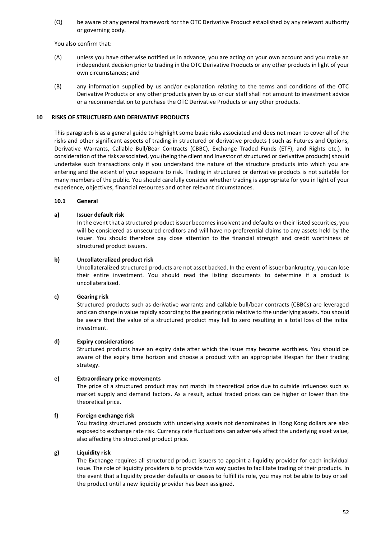(Q) be aware of any general framework for the OTC Derivative Product established by any relevant authority or governing body.

You also confirm that:

- (A) unless you have otherwise notified us in advance, you are acting on your own account and you make an independent decision prior to trading in the OTC Derivative Products or any other products in light of your own circumstances; and
- (B) any information supplied by us and/or explanation relating to the terms and conditions of the OTC Derivative Products or any other products given by us or our staff shall not amount to investment advice or a recommendation to purchase the OTC Derivative Products or any other products.

#### **10 RISKS OF STRUCTURED AND DERIVATIVE PRODUCTS**

This paragraph is as a general guide to highlight some basic risks associated and does not mean to cover all of the risks and other significant aspects of trading in structured or derivative products ( such as Futures and Options, Derivative Warrants, Callable Bull/Bear Contracts (CBBC), Exchange Traded Funds (ETF), and Rights etc.). In consideration of the risks associated, you (being the client and Investor of structured or derivative products) should undertake such transactions only if you understand the nature of the structure products into which you are entering and the extent of your exposure to risk. Trading in structured or derivative products is not suitable for many members of the public. You should carefully consider whether trading is appropriate for you in light of your experience, objectives, financial resources and other relevant circumstances.

#### **10.1 General**

## **a) Issuer default risk**

In the event that a structured product issuer becomes insolvent and defaults on their listed securities, you will be considered as unsecured creditors and will have no preferential claims to any assets held by the issuer. You should therefore pay close attention to the financial strength and credit worthiness of structured product issuers.

#### **b) Uncollateralized product risk**

Uncollateralized structured products are not asset backed. In the event of issuer bankruptcy, you can lose their entire investment. You should read the listing documents to determine if a product is uncollateralized.

## **c) Gearing risk**

Structured products such as derivative warrants and callable bull/bear contracts (CBBCs) are leveraged and can change in value rapidly according to the gearing ratio relative to the underlying assets. You should be aware that the value of a structured product may fall to zero resulting in a total loss of the initial investment.

#### **d) Expiry considerations**

Structured products have an expiry date after which the issue may become worthless. You should be aware of the expiry time horizon and choose a product with an appropriate lifespan for their trading strategy.

#### **e) Extraordinary price movements**

The price of a structured product may not match its theoretical price due to outside influences such as market supply and demand factors. As a result, actual traded prices can be higher or lower than the theoretical price.

#### **f) Foreign exchange risk**

You trading structured products with underlying assets not denominated in Hong Kong dollars are also exposed to exchange rate risk. Currency rate fluctuations can adversely affect the underlying asset value, also affecting the structured product price.

#### **g) Liquidity risk**

The Exchange requires all structured product issuers to appoint a liquidity provider for each individual issue. The role of liquidity providers is to provide two way quotes to facilitate trading of their products. In the event that a liquidity provider defaults or ceases to fulfill its role, you may not be able to buy or sell the product until a new liquidity provider has been assigned.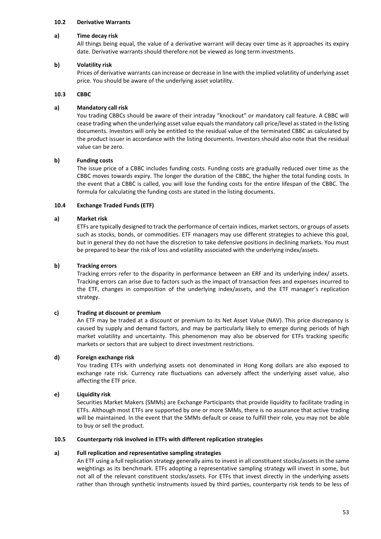#### **10.2 Derivative Warrants**

#### **a) Time decay risk**

All things being equal, the value of a derivative warrant will decay over time as it approaches its expiry date. Derivative warrants should therefore not be viewed as long term investments.

#### **b) Volatility risk**

Prices of derivative warrants can increase or decrease in line with the implied volatility of underlying asset price. You should be aware of the underlying asset volatility.

#### **10.3 CBBC**

## **a) Mandatory call risk**

You trading CBBCs should be aware of their intraday "knockout" or mandatory call feature. A CBBC will cease trading when the underlying asset value equals the mandatory call price/level as stated in the listing documents. Investors will only be entitled to the residual value of the terminated CBBC as calculated by the product issuer in accordance with the listing documents. Investors should also note that the residual value can be zero.

## **b) Funding costs**

The issue price of a CBBC includes funding costs. Funding costs are gradually reduced over time as the CBBC moves towards expiry. The longer the duration of the CBBC, the higher the total funding costs. In the event that a CBBC is called, you will lose the funding costs for the entire lifespan of the CBBC. The formula for calculating the funding costs are stated in the listing documents.

#### **10.4 Exchange Traded Funds (ETF)**

#### **a) Market risk**

ETFs are typically designed to track the performance of certain indices, market sectors, or groups of assets such as stocks, bonds, or commodities. ETF managers may use different strategies to achieve this goal, but in general they do not have the discretion to take defensive positions in declining markets. You must be prepared to bear the risk of loss and volatility associated with the underlying index/assets.

#### **b) Tracking errors**

Tracking errors refer to the disparity in performance between an ERF and its underlying index/ assets. Tracking errors can arise due to factors such as the impact of transaction fees and expenses incurred to the ETF, changes in composition of the underlying index/assets, and the ETF manager's replication strategy.

#### **c) Trading at discount or premium**

An ETF may be traded at a discount or premium to its Net Asset Value (NAV). This price discrepancy is caused by supply and demand factors, and may be particularly likely to emerge during periods of high market volatility and uncertainty. This phenomenon may also be observed for ETFs tracking specific markets or sectors that are subject to direct investment restrictions.

#### **d) Foreign exchange risk**

You trading ETFs with underlying assets not denominated in Hong Kong dollars are also exposed to exchange rate risk. Currency rate fluctuations can adversely affect the underlying asset value, also affecting the ETF price.

#### **e) Liquidity risk**

Securities Market Makers (SMMs) are Exchange Participants that provide liquidity to facilitate trading in ETFs. Although most ETFs are supported by one or more SMMs, there is no assurance that active trading will be maintained. In the event that the SMMs default or cease to fulfill their role, you may not be able to buy or sell the product.

#### **10.5 Counterparty risk involved in ETFs with different replication strategies**

#### **a) Full replication and representative sampling strategies**

An ETF using a full replication strategy generally aims to invest in all constituent stocks/assets in the same weightings as its benchmark. ETFs adopting a representative sampling strategy will invest in some, but not all of the relevant constituent stocks/assets. For ETFs that invest directly in the underlying assets rather than through synthetic instruments issued by third parties, counterparty risk tends to be less of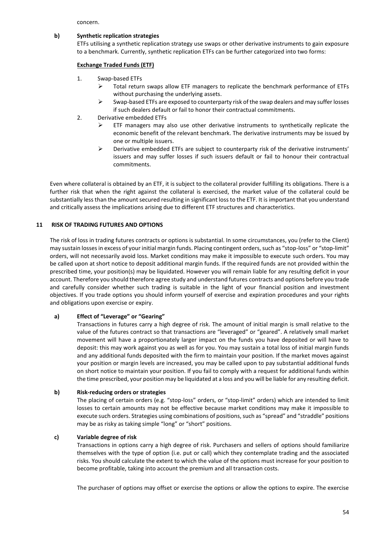concern.

#### **b) Synthetic replication strategies**

ETFs utilising a synthetic replication strategy use swaps or other derivative instruments to gain exposure to a benchmark. Currently, synthetic replication ETFs can be further categorized into two forms:

#### **Exchange Traded Funds (ETF)**

- 1. Swap-based ETFs
	- $\triangleright$  Total return swaps allow ETF managers to replicate the benchmark performance of ETFs without purchasing the underlying assets.
	- $\triangleright$  Swap-based ETFs are exposed to counterparty risk of the swap dealers and may suffer losses if such dealers default or fail to honor their contractual commitments.
- 2. Derivative embedded ETFs
	- $\triangleright$  ETF managers may also use other derivative instruments to synthetically replicate the economic benefit of the relevant benchmark. The derivative instruments may be issued by one or multiple issuers.
	- $\triangleright$  Derivative embedded ETFs are subject to counterparty risk of the derivative instruments' issuers and may suffer losses if such issuers default or fail to honour their contractual commitments.

Even where collateral is obtained by an ETF, it is subject to the collateral provider fulfilling its obligations. There is a further risk that when the right against the collateral is exercised, the market value of the collateral could be substantially less than the amount secured resulting in significant loss to the ETF. It is important that you understand and critically assess the implications arising due to different ETF structures and characteristics.

## **11 RISK OF TRADING FUTURES AND OPTIONS**

The risk of loss in trading futures contracts or options is substantial. In some circumstances, you (refer to the Client) may sustain losses in excess of your initial margin funds. Placing contingent orders, such as "stop-loss" or "stop-limit" orders, will not necessarily avoid loss. Market conditions may make it impossible to execute such orders. You may be called upon at short notice to deposit additional margin funds. If the required funds are not provided within the prescribed time, your position(s) may be liquidated. However you will remain liable for any resulting deficit in your account. Therefore you should therefore agree study and understand futures contracts and options before you trade and carefully consider whether such trading is suitable in the light of your financial position and investment objectives. If you trade options you should inform yourself of exercise and expiration procedures and your rights and obligations upon exercise or expiry.

#### **a) Effect of "Leverage" or "Gearing"**

Transactions in futures carry a high degree of risk. The amount of initial margin is small relative to the value of the futures contract so that transactions are "leveraged" or "geared". A relatively small market movement will have a proportionately larger impact on the funds you have deposited or will have to deposit: this may work against you as well as for you. You may sustain a total loss of initial margin funds and any additional funds deposited with the firm to maintain your position. If the market moves against your position or margin levels are increased, you may be called upon to pay substantial additional funds on short notice to maintain your position. If you fail to comply with a request for additional funds within the time prescribed, your position may be liquidated at a loss and you will be liable for any resulting deficit.

#### **b) Risk-reducing orders or strategies**

The placing of certain orders (e.g. "stop-loss" orders, or "stop-limit" orders) which are intended to limit losses to certain amounts may not be effective because market conditions may make it impossible to execute such orders. Strategies using combinations of positions, such as "spread" and "straddle" positions may be as risky as taking simple "long" or "short" positions.

#### **c) Variable degree of risk**

Transactions in options carry a high degree of risk. Purchasers and sellers of options should familiarize themselves with the type of option (i.e. put or call) which they contemplate trading and the associated risks. You should calculate the extent to which the value of the options must increase for your position to become profitable, taking into account the premium and all transaction costs.

The purchaser of options may offset or exercise the options or allow the options to expire. The exercise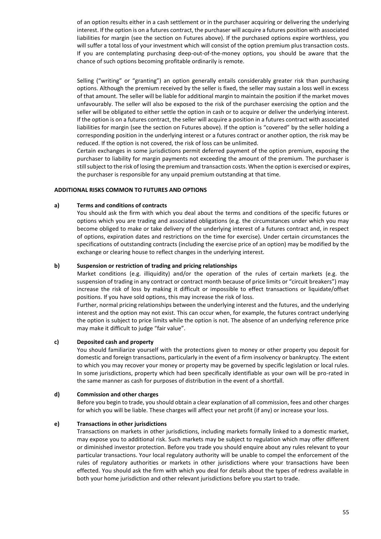of an option results either in a cash settlement or in the purchaser acquiring or delivering the underlying interest. If the option is on a futures contract, the purchaser will acquire a futures position with associated liabilities for margin (see the section on Futures above). If the purchased options expire worthless, you will suffer a total loss of your investment which will consist of the option premium plus transaction costs. If you are contemplating purchasing deep-out-of-the-money options, you should be aware that the chance of such options becoming profitable ordinarily is remote.

Selling ("writing" or "granting") an option generally entails considerably greater risk than purchasing options. Although the premium received by the seller is fixed, the seller may sustain a loss well in excess of that amount. The seller will be liable for additional margin to maintain the position if the market moves unfavourably. The seller will also be exposed to the risk of the purchaser exercising the option and the seller will be obligated to either settle the option in cash or to acquire or deliver the underlying interest. If the option is on a futures contract, the seller will acquire a position in a futures contract with associated liabilities for margin (see the section on Futures above). If the option is "covered" by the seller holding a corresponding position in the underlying interest or a futures contract or another option, the risk may be reduced. If the option is not covered, the risk of loss can be unlimited.

Certain exchanges in some jurisdictions permit deferred payment of the option premium, exposing the purchaser to liability for margin payments not exceeding the amount of the premium. The purchaser is stillsubject to the risk of losing the premium and transaction costs. When the option is exercised or expires, the purchaser is responsible for any unpaid premium outstanding at that time.

#### **ADDITIONAL RISKS COMMON TO FUTURES AND OPTIONS**

#### **a) Terms and conditions of contracts**

You should ask the firm with which you deal about the terms and conditions of the specific futures or options which you are trading and associated obligations (e.g. the circumstances under which you may become obliged to make or take delivery of the underlying interest of a futures contract and, in respect of options, expiration dates and restrictions on the time for exercise). Under certain circumstances the specifications of outstanding contracts (including the exercise price of an option) may be modified by the exchange or clearing house to reflect changes in the underlying interest.

#### **b) Suspension or restriction of trading and pricing relationships**

Market conditions (e.g. illiquidity) and/or the operation of the rules of certain markets (e.g. the suspension of trading in any contract or contract month because of price limits or "circuit breakers") may increase the risk of loss by making it difficult or impossible to effect transactions or liquidate/offset positions. If you have sold options, this may increase the risk of loss.

Further, normal pricing relationships between the underlying interest and the futures, and the underlying interest and the option may not exist. This can occur when, for example, the futures contract underlying the option is subject to price limits while the option is not. The absence of an underlying reference price may make it difficult to judge "fair value".

#### **c) Deposited cash and property**

You should familiarize yourself with the protections given to money or other property you deposit for domestic and foreign transactions, particularly in the event of a firm insolvency or bankruptcy. The extent to which you may recover your money or property may be governed by specific legislation or local rules. In some jurisdictions, property which had been specifically identifiable as your own will be pro-rated in the same manner as cash for purposes of distribution in the event of a shortfall.

#### **d) Commission and other charges**

Before you begin to trade, you should obtain a clear explanation of all commission, fees and other charges for which you will be liable. These charges will affect your net profit (if any) or increase your loss.

#### **e) Transactions in other jurisdictions**

Transactions on markets in other jurisdictions, including markets formally linked to a domestic market, may expose you to additional risk. Such markets may be subject to regulation which may offer different or diminished investor protection. Before you trade you should enquire about any rules relevant to your particular transactions. Your local regulatory authority will be unable to compel the enforcement of the rules of regulatory authorities or markets in other jurisdictions where your transactions have been effected. You should ask the firm with which you deal for details about the types of redress available in both your home jurisdiction and other relevant jurisdictions before you start to trade.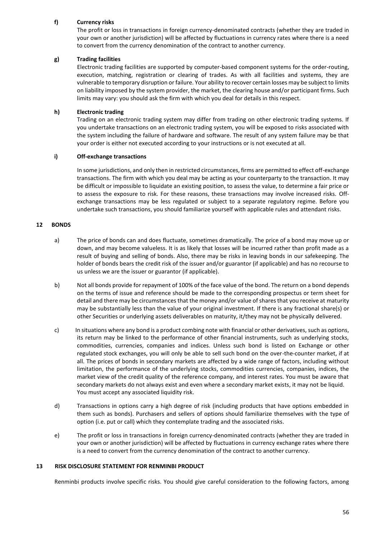## **f) Currency risks**

The profit or loss in transactions in foreign currency-denominated contracts (whether they are traded in your own or another jurisdiction) will be affected by fluctuations in currency rates where there is a need to convert from the currency denomination of the contract to another currency.

## **g) Trading facilities**

Electronic trading facilities are supported by computer-based component systems for the order-routing, execution, matching, registration or clearing of trades. As with all facilities and systems, they are vulnerable to temporary disruption or failure. Your ability to recover certain losses may be subject to limits on liability imposed by the system provider, the market, the clearing house and/or participant firms. Such limits may vary: you should ask the firm with which you deal for details in this respect.

## **h) Electronic trading**

Trading on an electronic trading system may differ from trading on other electronic trading systems. If you undertake transactions on an electronic trading system, you will be exposed to risks associated with the system including the failure of hardware and software. The result of any system failure may be that your order is either not executed according to your instructions or is not executed at all.

#### **i) Off-exchange transactions**

In some jurisdictions, and only then in restricted circumstances, firms are permitted to effect off-exchange transactions. The firm with which you deal may be acting as your counterparty to the transaction. It may be difficult or impossible to liquidate an existing position, to assess the value, to determine a fair price or to assess the exposure to risk. For these reasons, these transactions may involve increased risks. Offexchange transactions may be less regulated or subject to a separate regulatory regime. Before you undertake such transactions, you should familiarize yourself with applicable rules and attendant risks.

## **12 BONDS**

- a) The price of bonds can and does fluctuate, sometimes dramatically. The price of a bond may move up or down, and may become valueless. It is as likely that losses will be incurred rather than profit made as a result of buying and selling of bonds. Also, there may be risks in leaving bonds in our safekeeping. The holder of bonds bears the credit risk of the issuer and/or guarantor (if applicable) and has no recourse to us unless we are the issuer or guarantor (if applicable).
- b) Not all bonds provide for repayment of 100% of the face value of the bond. The return on a bond depends on the terms of issue and reference should be made to the corresponding prospectus or term sheet for detail and there may be circumstances that the money and/or value of shares that you receive at maturity may be substantially less than the value of your original investment. If there is any fractional share(s) or other Securities or underlying assets deliverables on maturity, it/they may not be physically delivered.
- c) In situations where any bond is a product combing note with financial or other derivatives, such as options, its return may be linked to the performance of other financial instruments, such as underlying stocks, commodities, currencies, companies and indices. Unless such bond is listed on Exchange or other regulated stock exchanges, you will only be able to sell such bond on the over-the-counter market, if at all. The prices of bonds in secondary markets are affected by a wide range of factors, including without limitation, the performance of the underlying stocks, commodities currencies, companies, indices, the market view of the credit quality of the reference company, and interest rates. You must be aware that secondary markets do not always exist and even where a secondary market exists, it may not be liquid. You must accept any associated liquidity risk.
- d) Transactions in options carry a high degree of risk (including products that have options embedded in them such as bonds). Purchasers and sellers of options should familiarize themselves with the type of option (i.e. put or call) which they contemplate trading and the associated risks.
- e) The profit or loss in transactions in foreign currency-denominated contracts (whether they are traded in your own or another jurisdiction) will be affected by fluctuations in currency exchange rates where there is a need to convert from the currency denomination of the contract to another currency.

#### **13 RISK DISCLOSURE STATEMENT FOR RENMINBI PRODUCT**

Renminbi products involve specific risks. You should give careful consideration to the following factors, among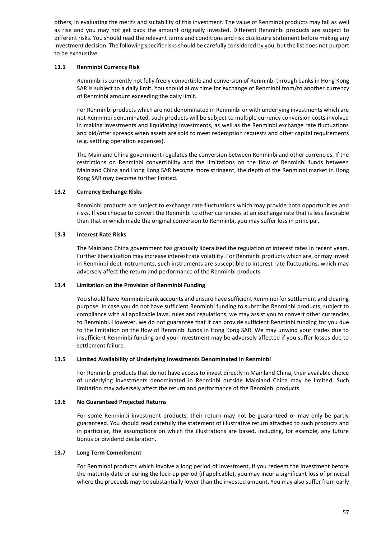others, in evaluating the merits and suitability of this investment. The value of Renminbi products may fall as well as rise and you may not get back the amount originally invested. Different Renminbi products are subject to different risks. You should read the relevant terms and conditions and risk disclosure statement before making any investment decision. The following specific risks should be carefully considered by you, but the list does not purport to be exhaustive.

#### **13.1 Renminbi Currency Risk**

Renminbi is currently not fully freely convertible and conversion of Renminbi through banks in Hong Kong SAR is subject to a daily limit. You should allow time for exchange of Renminbi from/to another currency of Renminbi amount exceeding the daily limit.

For Renminbi products which are not denominated in Renminbi or with underlying investments which are not Renminbi denominated, such products will be subject to multiple currency conversion costs involved in making investments and liquidating investments, as well as the Renminbi exchange rate fluctuations and bid/offer spreads when assets are sold to meet redemption requests and other capital requirements (e.g. settling operation expenses).

The Mainland China government regulates the conversion between Renminbi and other currencies. If the restrictions on Renminbi convertibility and the limitations on the flow of Renminbi funds between Mainland China and Hong Kong SAR become more stringent, the depth of the Renminbi market in Hong Kong SAR may become further limited.

## **13.2 Currency Exchange Risks**

Renminbi products are subject to exchange rate fluctuations which may provide both opportunities and risks. If you choose to convert the Renminbi to other currencies at an exchange rate that is less favorable than that in which made the original conversion to Renminbi, you may suffer loss in principal.

## **13.3 Interest Rate Risks**

The Mainland China government has gradually liberalized the regulation of interest rates in recent years. Further liberalization may increase interest rate volatility. For Renminbi products which are, or may invest in Renminbi debt instruments, such instruments are susceptible to interest rate fluctuations, which may adversely affect the return and performance of the Renminbi products.

#### **13.4 Limitation on the Provision of Renminbi Funding**

You should have Renminbi bank accounts and ensure have sufficient Renminbi for settlement and clearing purpose. In case you do not have sufficient Renminbi funding to subscribe Renminbi products, subject to compliance with all applicable laws, rules and regulations, we may assist you to convert other currencies to Renminbi. However, we do not guarantee that it can provide sufficient Renminbi funding for you due to the limitation on the flow of Renminbi funds in Hong Kong SAR. We may unwind your trades due to insufficient Renminbi funding and your investment may be adversely affected if you suffer losses due to settlement failure.

#### **13.5 Limited Availability of Underlying Investments Denominated in Renminbi**

For Renminbi products that do not have access to invest directly in Mainland China, their available choice of underlying investments denominated in Renminbi outside Mainland China may be limited. Such limitation may adversely affect the return and performance of the Renminbi products.

## **13.6 No Guaranteed Projected Returns**

For some Renminbi investment products, their return may not be guaranteed or may only be partly guaranteed. You should read carefully the statement of illustrative return attached to such products and in particular, the assumptions on which the illustrations are based, including, for example, any future bonus or dividend declaration.

## **13.7 Long Term Commitment**

For Renminbi products which involve a long period of investment, if you redeem the investment before the maturity date or during the lock-up period (if applicable), you may incur a significant loss of principal where the proceeds may be substantially lower than the invested amount. You may also suffer from early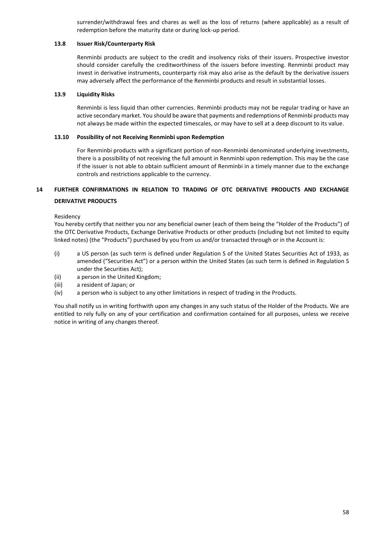surrender/withdrawal fees and chares as well as the loss of returns (where applicable) as a result of redemption before the maturity date or during lock-up period.

#### **13.8 Issuer Risk/Counterparty Risk**

Renminbi products are subject to the credit and insolvency risks of their issuers. Prospective investor should consider carefully the creditworthiness of the issuers before investing. Renminbi product may invest in derivative instruments, counterparty risk may also arise as the default by the derivative issuers may adversely affect the performance of the Renminbi products and result in substantial losses.

## **13.9 Liquidity Risks**

Renminbi is less liquid than other currencies. Renminbi products may not be regular trading or have an active secondary market. You should be aware that payments and redemptions of Renminbi products may not always be made within the expected timescales, or may have to sell at a deep discount to its value.

## **13.10 Possibility of not Receiving Renminbi upon Redemption**

For Renminbi products with a significant portion of non-Renminbi denominated underlying investments, there is a possibility of not receiving the full amount in Renminbi upon redemption. This may be the case if the issuer is not able to obtain sufficient amount of Renminbi in a timely manner due to the exchange controls and restrictions applicable to the currency.

## **14 FURTHER CONFIRMATIONS IN RELATION TO TRADING OF OTC DERIVATIVE PRODUCTS AND EXCHANGE DERIVATIVE PRODUCTS**

#### Residency

You hereby certify that neither you nor any beneficial owner (each of them being the "Holder of the Products") of the OTC Derivative Products, Exchange Derivative Products or other products (including but not limited to equity linked notes) (the "Products") purchased by you from us and/or transacted through or in the Account is:

- (i) a US person (as such term is defined under Regulation S of the United States Securities Act of 1933, as amended ("Securities Act") or a person within the United States (as such term is defined in Regulation S under the Securities Act);
- (ii) a person in the United Kingdom;
- (iii) a resident of Japan; or
- (iv) a person who is subject to any other limitations in respect of trading in the Products.

You shall notify us in writing forthwith upon any changes in any such status of the Holder of the Products. We are entitled to rely fully on any of your certification and confirmation contained for all purposes, unless we receive notice in writing of any changes thereof.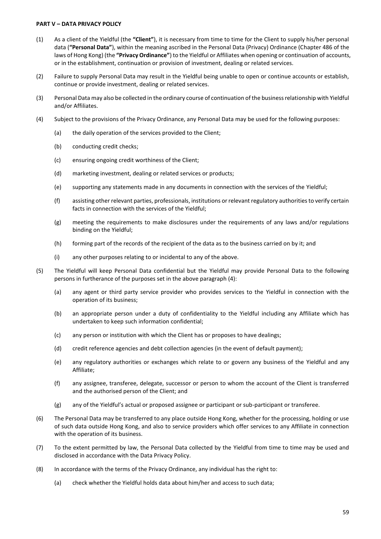#### **PART V – DATA PRIVACY POLICY**

- (1) As a client of the Yieldful (the **"Client"**), it is necessary from time to time for the Client to supply his/her personal data (**"Personal Data"**), within the meaning ascribed in the Personal Data (Privacy) Ordinance (Chapter 486 of the laws of Hong Kong) (the **"Privacy Ordinance"**) to the Yieldful or Affiliates when opening or continuation of accounts, or in the establishment, continuation or provision of investment, dealing or related services.
- (2) Failure to supply Personal Data may result in the Yieldful being unable to open or continue accounts or establish, continue or provide investment, dealing or related services.
- (3) Personal Data may also be collected in the ordinary course of continuation of the business relationship with Yieldful and/or Affiliates.
- (4) Subject to the provisions of the Privacy Ordinance, any Personal Data may be used for the following purposes:
	- (a) the daily operation of the services provided to the Client:
	- (b) conducting credit checks;
	- (c) ensuring ongoing credit worthiness of the Client;
	- (d) marketing investment, dealing or related services or products;
	- (e) supporting any statements made in any documents in connection with the services of the Yieldful;
	- (f) assisting other relevant parties, professionals, institutions or relevant regulatory authorities to verify certain facts in connection with the services of the Yieldful;
	- (g) meeting the requirements to make disclosures under the requirements of any laws and/or regulations binding on the Yieldful;
	- (h) forming part of the records of the recipient of the data as to the business carried on by it; and
	- (i) any other purposes relating to or incidental to any of the above.
- (5) The Yieldful will keep Personal Data confidential but the Yieldful may provide Personal Data to the following persons in furtherance of the purposes set in the above paragraph (4):
	- (a) any agent or third party service provider who provides services to the Yieldful in connection with the operation of its business;
	- (b) an appropriate person under a duty of confidentiality to the Yieldful including any Affiliate which has undertaken to keep such information confidential;
	- (c) any person or institution with which the Client has or proposes to have dealings;
	- (d) credit reference agencies and debt collection agencies (in the event of default payment);
	- (e) any regulatory authorities or exchanges which relate to or govern any business of the Yieldful and any Affiliate;
	- (f) any assignee, transferee, delegate, successor or person to whom the account of the Client is transferred and the authorised person of the Client; and
	- (g) any of the Yieldful's actual or proposed assignee or participant or sub-participant or transferee.
- (6) The Personal Data may be transferred to any place outside Hong Kong, whether for the processing, holding or use of such data outside Hong Kong, and also to service providers which offer services to any Affiliate in connection with the operation of its business.
- (7) To the extent permitted by law, the Personal Data collected by the Yieldful from time to time may be used and disclosed in accordance with the Data Privacy Policy.
- (8) In accordance with the terms of the Privacy Ordinance, any individual has the right to:
	- (a) check whether the Yieldful holds data about him/her and access to such data;